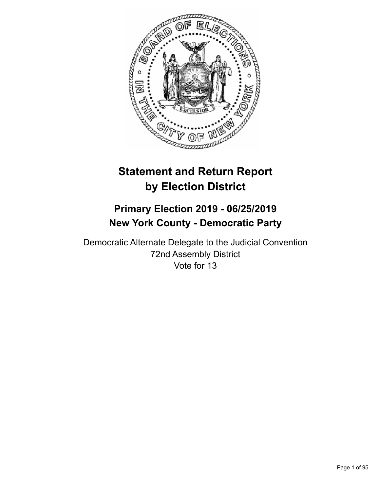

# **Statement and Return Report by Election District**

## **Primary Election 2019 - 06/25/2019 New York County - Democratic Party**

Democratic Alternate Delegate to the Judicial Convention 72nd Assembly District Vote for 13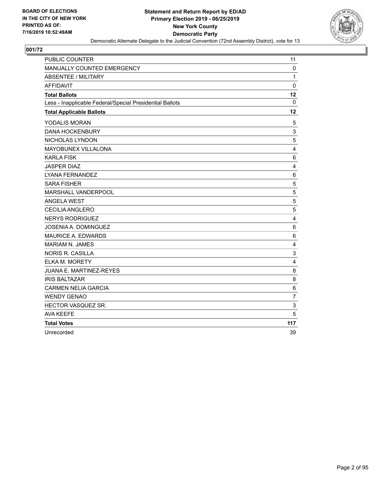

| <b>PUBLIC COUNTER</b>                                    | 11                      |
|----------------------------------------------------------|-------------------------|
| MANUALLY COUNTED EMERGENCY                               | $\mathbf 0$             |
| <b>ABSENTEE / MILITARY</b>                               | $\mathbf{1}$            |
| <b>AFFIDAVIT</b>                                         | $\mathbf 0$             |
| <b>Total Ballots</b>                                     | 12                      |
| Less - Inapplicable Federal/Special Presidential Ballots | $\mathbf{0}$            |
| <b>Total Applicable Ballots</b>                          | 12                      |
| YODALIS MORAN                                            | 5                       |
| <b>DANA HOCKENBURY</b>                                   | 3                       |
| NICHOLAS LYNDON                                          | 5                       |
| MAYOBUNEX VILLALONA                                      | 4                       |
| <b>KARLA FISK</b>                                        | $\,6\,$                 |
| <b>JASPER DIAZ</b>                                       | $\overline{\mathbf{4}}$ |
| <b>LYANA FERNANDEZ</b>                                   | 6                       |
| <b>SARA FISHER</b>                                       | 5                       |
| MARSHALL VANDERPOOL                                      | 5                       |
| <b>ANGELA WEST</b>                                       | 5                       |
| CECILIA ANGLERO                                          | 5                       |
| <b>NERYS RODRIGUEZ</b>                                   | 4                       |
| JOSENIA A. DOMINGUEZ                                     | 6                       |
| MAURICE A. EDWARDS                                       | $\,6$                   |
| <b>MARIAM N. JAMES</b>                                   | 4                       |
| <b>NORIS R. CASILLA</b>                                  | 3                       |
| ELKA M. MORETY                                           | $\overline{4}$          |
| JUANA E. MARTINEZ-REYES                                  | $\,8\,$                 |
| <b>IRIS BALTAZAR</b>                                     | 8                       |
| <b>CARMEN NELIA GARCIA</b>                               | $\,6$                   |
| <b>WENDY GENAO</b>                                       | $\overline{7}$          |
| HECTOR VASQUEZ SR.                                       | 3                       |
| <b>AVA KEEFE</b>                                         | 5                       |
| <b>Total Votes</b>                                       | 117                     |
| Unrecorded                                               | 39                      |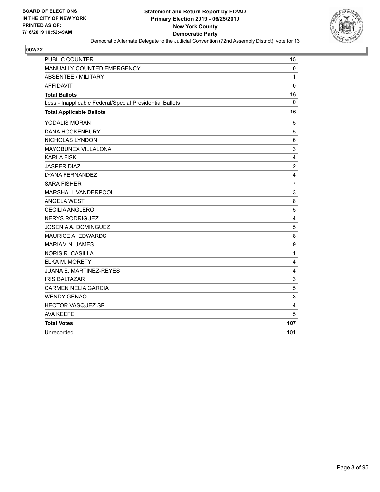

| <b>PUBLIC COUNTER</b>                                    | 15                      |
|----------------------------------------------------------|-------------------------|
| MANUALLY COUNTED EMERGENCY                               | $\mathbf 0$             |
| <b>ABSENTEE / MILITARY</b>                               | $\mathbf{1}$            |
| <b>AFFIDAVIT</b>                                         | $\mathbf 0$             |
| <b>Total Ballots</b>                                     | 16                      |
| Less - Inapplicable Federal/Special Presidential Ballots | $\mathbf{0}$            |
| <b>Total Applicable Ballots</b>                          | 16                      |
| YODALIS MORAN                                            | 5                       |
| <b>DANA HOCKENBURY</b>                                   | 5                       |
| NICHOLAS LYNDON                                          | 6                       |
| MAYOBUNEX VILLALONA                                      | 3                       |
| <b>KARLA FISK</b>                                        | $\overline{\mathbf{4}}$ |
| <b>JASPER DIAZ</b>                                       | $\overline{c}$          |
| <b>LYANA FERNANDEZ</b>                                   | $\overline{4}$          |
| <b>SARA FISHER</b>                                       | $\overline{7}$          |
| MARSHALL VANDERPOOL                                      | 3                       |
| <b>ANGELA WEST</b>                                       | 8                       |
| CECILIA ANGLERO                                          | 5                       |
| <b>NERYS RODRIGUEZ</b>                                   | 4                       |
| JOSENIA A. DOMINGUEZ                                     | $\sqrt{5}$              |
| MAURICE A. EDWARDS                                       | 8                       |
| <b>MARIAM N. JAMES</b>                                   | 9                       |
| <b>NORIS R. CASILLA</b>                                  | $\mathbf{1}$            |
| ELKA M. MORETY                                           | $\overline{4}$          |
| JUANA E. MARTINEZ-REYES                                  | 4                       |
| <b>IRIS BALTAZAR</b>                                     | 3                       |
| <b>CARMEN NELIA GARCIA</b>                               | 5                       |
| <b>WENDY GENAO</b>                                       | 3                       |
| HECTOR VASQUEZ SR.                                       | 4                       |
| <b>AVA KEEFE</b>                                         | 5                       |
| <b>Total Votes</b>                                       | 107                     |
| Unrecorded                                               | 101                     |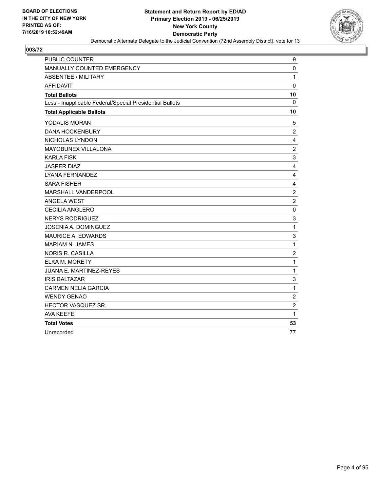

| <b>PUBLIC COUNTER</b>                                    | 9                |
|----------------------------------------------------------|------------------|
| MANUALLY COUNTED EMERGENCY                               | $\mathbf 0$      |
| ABSENTEE / MILITARY                                      | $\mathbf{1}$     |
| <b>AFFIDAVIT</b>                                         | $\mathbf 0$      |
| <b>Total Ballots</b>                                     | 10               |
| Less - Inapplicable Federal/Special Presidential Ballots | $\mathbf{0}$     |
| <b>Total Applicable Ballots</b>                          | 10               |
| YODALIS MORAN                                            | 5                |
| <b>DANA HOCKENBURY</b>                                   | $\overline{c}$   |
| NICHOLAS LYNDON                                          | 4                |
| MAYOBUNEX VILLALONA                                      | $\overline{c}$   |
| <b>KARLA FISK</b>                                        | 3                |
| <b>JASPER DIAZ</b>                                       | 4                |
| LYANA FERNANDEZ                                          | 4                |
| <b>SARA FISHER</b>                                       | 4                |
| MARSHALL VANDERPOOL                                      | $\overline{c}$   |
| <b>ANGELA WEST</b>                                       | $\overline{c}$   |
| <b>CECILIA ANGLERO</b>                                   | $\mathbf 0$      |
| <b>NERYS RODRIGUEZ</b>                                   | 3                |
| JOSENIA A. DOMINGUEZ                                     | $\mathbf{1}$     |
| <b>MAURICE A. EDWARDS</b>                                | 3                |
| <b>MARIAM N. JAMES</b>                                   | $\mathbf{1}$     |
| <b>NORIS R. CASILLA</b>                                  | $\overline{c}$   |
| <b>ELKA M. MORETY</b>                                    | $\mathbf{1}$     |
| <b>JUANA E. MARTINEZ-REYES</b>                           | 1                |
| <b>IRIS BALTAZAR</b>                                     | 3                |
| <b>CARMEN NELIA GARCIA</b>                               | $\mathbf{1}$     |
| <b>WENDY GENAO</b>                                       | $\overline{2}$   |
| HECTOR VASQUEZ SR.                                       | $\boldsymbol{2}$ |
| <b>AVA KEEFE</b>                                         | $\mathbf{1}$     |
| <b>Total Votes</b>                                       | 53               |
| Unrecorded                                               | 77               |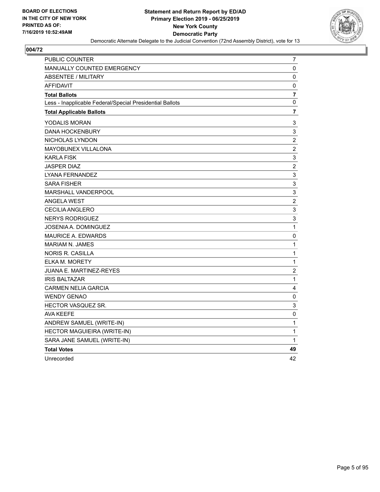

| <b>PUBLIC COUNTER</b>                                    | 7                |
|----------------------------------------------------------|------------------|
| <b>MANUALLY COUNTED EMERGENCY</b>                        | 0                |
| <b>ABSENTEE / MILITARY</b>                               | 0                |
| <b>AFFIDAVIT</b>                                         | $\mathbf 0$      |
| <b>Total Ballots</b>                                     | $\overline{7}$   |
| Less - Inapplicable Federal/Special Presidential Ballots | 0                |
| <b>Total Applicable Ballots</b>                          | 7                |
| YODALIS MORAN                                            | 3                |
| <b>DANA HOCKENBURY</b>                                   | 3                |
| NICHOLAS LYNDON                                          | $\overline{c}$   |
| MAYOBUNEX VILLALONA                                      | $\overline{c}$   |
| <b>KARLA FISK</b>                                        | 3                |
| JASPER DIAZ                                              | $\overline{c}$   |
| LYANA FERNANDEZ                                          | 3                |
| <b>SARA FISHER</b>                                       | 3                |
| MARSHALL VANDERPOOL                                      | 3                |
| <b>ANGELA WEST</b>                                       | $\boldsymbol{2}$ |
| <b>CECILIA ANGLERO</b>                                   | 3                |
| <b>NERYS RODRIGUEZ</b>                                   | 3                |
| JOSENIA A. DOMINGUEZ                                     | $\mathbf 1$      |
| <b>MAURICE A. EDWARDS</b>                                | $\pmb{0}$        |
| <b>MARIAM N. JAMES</b>                                   | 1                |
| <b>NORIS R. CASILLA</b>                                  | $\mathbf 1$      |
| ELKA M. MORETY                                           | 1                |
| JUANA E. MARTINEZ-REYES                                  | $\overline{2}$   |
| <b>IRIS BALTAZAR</b>                                     | 1                |
| <b>CARMEN NELIA GARCIA</b>                               | 4                |
| <b>WENDY GENAO</b>                                       | 0                |
| <b>HECTOR VASQUEZ SR.</b>                                | 3                |
| AVA KEEFE                                                | 0                |
| ANDREW SAMUEL (WRITE-IN)                                 | 1                |
| HECTOR MAGUIEIRA (WRITE-IN)                              | 1                |
| SARA JANE SAMUEL (WRITE-IN)                              | 1                |
| <b>Total Votes</b>                                       | 49               |
| Unrecorded                                               | 42               |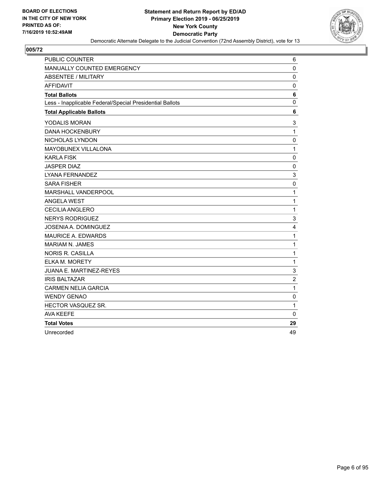

| PUBLIC COUNTER                                           | 6              |
|----------------------------------------------------------|----------------|
| MANUALLY COUNTED EMERGENCY                               | $\mathbf 0$    |
| <b>ABSENTEE / MILITARY</b>                               | $\mathbf 0$    |
| <b>AFFIDAVIT</b>                                         | $\mathbf 0$    |
| <b>Total Ballots</b>                                     | 6              |
| Less - Inapplicable Federal/Special Presidential Ballots | 0              |
| <b>Total Applicable Ballots</b>                          | 6              |
| YODALIS MORAN                                            | 3              |
| <b>DANA HOCKENBURY</b>                                   | $\mathbf{1}$   |
| NICHOLAS LYNDON                                          | $\mathbf 0$    |
| MAYOBUNEX VILLALONA                                      | $\mathbf{1}$   |
| <b>KARLA FISK</b>                                        | $\mathbf 0$    |
| <b>JASPER DIAZ</b>                                       | $\mathbf 0$    |
| <b>LYANA FERNANDEZ</b>                                   | 3              |
| <b>SARA FISHER</b>                                       | $\mathbf 0$    |
| MARSHALL VANDERPOOL                                      | $\mathbf{1}$   |
| <b>ANGELA WEST</b>                                       | $\mathbf{1}$   |
| <b>CECILIA ANGLERO</b>                                   | $\mathbf{1}$   |
| <b>NERYS RODRIGUEZ</b>                                   | 3              |
| JOSENIA A. DOMINGUEZ                                     | 4              |
| MAURICE A. EDWARDS                                       | $\mathbf{1}$   |
| <b>MARIAM N. JAMES</b>                                   | $\mathbf{1}$   |
| <b>NORIS R. CASILLA</b>                                  | 1              |
| ELKA M. MORETY                                           | $\mathbf{1}$   |
| <b>JUANA E. MARTINEZ-REYES</b>                           | 3              |
| <b>IRIS BALTAZAR</b>                                     | $\overline{c}$ |
| <b>CARMEN NELIA GARCIA</b>                               | $\mathbf{1}$   |
| <b>WENDY GENAO</b>                                       | 0              |
| HECTOR VASQUEZ SR.                                       | $\mathbf{1}$   |
| <b>AVA KEEFE</b>                                         | 0              |
| <b>Total Votes</b>                                       | 29             |
| Unrecorded                                               | 49             |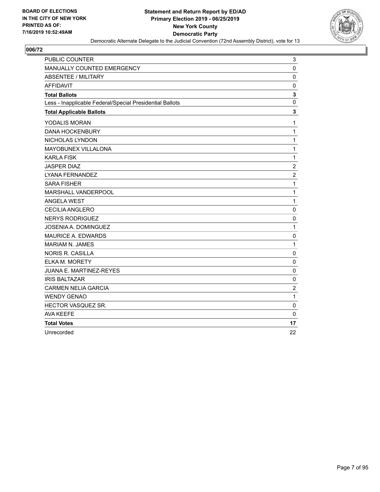

| <b>PUBLIC COUNTER</b>                                    | 3              |
|----------------------------------------------------------|----------------|
| MANUALLY COUNTED EMERGENCY                               | $\mathbf 0$    |
| <b>ABSENTEE / MILITARY</b>                               | 0              |
| <b>AFFIDAVIT</b>                                         | 0              |
| <b>Total Ballots</b>                                     | $\mathbf{3}$   |
| Less - Inapplicable Federal/Special Presidential Ballots | $\mathbf 0$    |
| <b>Total Applicable Ballots</b>                          | 3              |
| YODALIS MORAN                                            | $\mathbf{1}$   |
| <b>DANA HOCKENBURY</b>                                   | $\mathbf{1}$   |
| NICHOLAS LYNDON                                          | $\mathbf 1$    |
| MAYOBUNEX VILLALONA                                      | $\mathbf{1}$   |
| <b>KARLA FISK</b>                                        | $\mathbf{1}$   |
| <b>JASPER DIAZ</b>                                       | $\overline{c}$ |
| <b>LYANA FERNANDEZ</b>                                   | $\overline{2}$ |
| <b>SARA FISHER</b>                                       | $\mathbf{1}$   |
| MARSHALL VANDERPOOL                                      | $\mathbf{1}$   |
| <b>ANGELA WEST</b>                                       | $\mathbf{1}$   |
| <b>CECILIA ANGLERO</b>                                   | $\mathbf 0$    |
| <b>NERYS RODRIGUEZ</b>                                   | 0              |
| JOSENIA A. DOMINGUEZ                                     | $\mathbf{1}$   |
| <b>MAURICE A. EDWARDS</b>                                | $\mathbf 0$    |
| <b>MARIAM N. JAMES</b>                                   | 1              |
| <b>NORIS R. CASILLA</b>                                  | 0              |
| <b>ELKA M. MORETY</b>                                    | $\mathbf 0$    |
| JUANA E. MARTINEZ-REYES                                  | 0              |
| <b>IRIS BALTAZAR</b>                                     | 0              |
| <b>CARMEN NELIA GARCIA</b>                               | $\overline{2}$ |
| <b>WENDY GENAO</b>                                       | $\mathbf{1}$   |
| HECTOR VASQUEZ SR.                                       | 0              |
| <b>AVA KEEFE</b>                                         | $\mathbf 0$    |
| <b>Total Votes</b>                                       | 17             |
| Unrecorded                                               | 22             |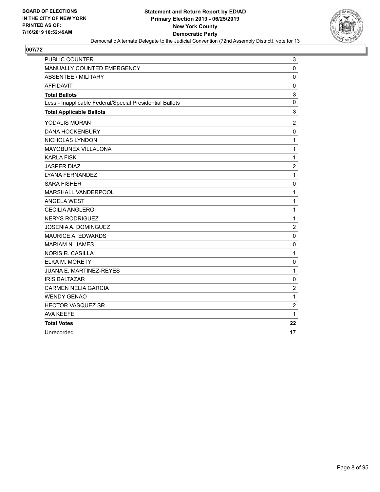

| PUBLIC COUNTER                                           | 3              |
|----------------------------------------------------------|----------------|
| MANUALLY COUNTED EMERGENCY                               | $\mathbf 0$    |
| <b>ABSENTEE / MILITARY</b>                               | $\mathbf 0$    |
| <b>AFFIDAVIT</b>                                         | $\mathbf 0$    |
| <b>Total Ballots</b>                                     | $\mathbf 3$    |
| Less - Inapplicable Federal/Special Presidential Ballots | 0              |
| <b>Total Applicable Ballots</b>                          | 3              |
| YODALIS MORAN                                            | $\overline{2}$ |
| <b>DANA HOCKENBURY</b>                                   | $\mathbf 0$    |
| NICHOLAS LYNDON                                          | $\mathbf{1}$   |
| MAYOBUNEX VILLALONA                                      | $\mathbf{1}$   |
| <b>KARLA FISK</b>                                        | $\mathbf{1}$   |
| <b>JASPER DIAZ</b>                                       | $\overline{c}$ |
| <b>LYANA FERNANDEZ</b>                                   | $\mathbf{1}$   |
| <b>SARA FISHER</b>                                       | $\mathbf 0$    |
| MARSHALL VANDERPOOL                                      | $\mathbf{1}$   |
| <b>ANGELA WEST</b>                                       | $\mathbf{1}$   |
| <b>CECILIA ANGLERO</b>                                   | $\mathbf{1}$   |
| <b>NERYS RODRIGUEZ</b>                                   | $\mathbf{1}$   |
| JOSENIA A. DOMINGUEZ                                     | $\overline{c}$ |
| MAURICE A. EDWARDS                                       | 0              |
| <b>MARIAM N. JAMES</b>                                   | $\mathbf 0$    |
| <b>NORIS R. CASILLA</b>                                  | $\mathbf{1}$   |
| ELKA M. MORETY                                           | 0              |
| <b>JUANA E. MARTINEZ-REYES</b>                           | $\mathbf{1}$   |
| <b>IRIS BALTAZAR</b>                                     | 0              |
| <b>CARMEN NELIA GARCIA</b>                               | $\overline{c}$ |
| <b>WENDY GENAO</b>                                       | $\mathbf{1}$   |
| HECTOR VASQUEZ SR.                                       | $\overline{c}$ |
| <b>AVA KEEFE</b>                                         | 1              |
| <b>Total Votes</b>                                       | 22             |
| Unrecorded                                               | 17             |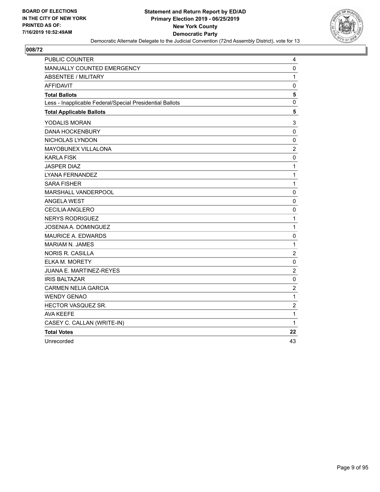

| <b>PUBLIC COUNTER</b>                                    | 4              |
|----------------------------------------------------------|----------------|
| MANUALLY COUNTED EMERGENCY                               | 0              |
| <b>ABSENTEE / MILITARY</b>                               | 1              |
| <b>AFFIDAVIT</b>                                         | 0              |
| <b>Total Ballots</b>                                     | 5              |
| Less - Inapplicable Federal/Special Presidential Ballots | 0              |
| <b>Total Applicable Ballots</b>                          | 5              |
| YODALIS MORAN                                            | 3              |
| <b>DANA HOCKENBURY</b>                                   | 0              |
| NICHOLAS LYNDON                                          | 0              |
| MAYOBUNEX VILLALONA                                      | $\overline{c}$ |
| <b>KARLA FISK</b>                                        | 0              |
| <b>JASPER DIAZ</b>                                       | 1              |
| LYANA FERNANDEZ                                          | 1              |
| <b>SARA FISHER</b>                                       | $\mathbf{1}$   |
| MARSHALL VANDERPOOL                                      | 0              |
| <b>ANGELA WEST</b>                                       | 0              |
| <b>CECILIA ANGLERO</b>                                   | 0              |
| <b>NERYS RODRIGUEZ</b>                                   | $\mathbf{1}$   |
| JOSENIA A. DOMINGUEZ                                     | 1              |
| <b>MAURICE A. EDWARDS</b>                                | 0              |
| <b>MARIAM N. JAMES</b>                                   | $\mathbf{1}$   |
| NORIS R. CASILLA                                         | $\overline{c}$ |
| <b>ELKA M. MORETY</b>                                    | 0              |
| JUANA E. MARTINEZ-REYES                                  | $\overline{c}$ |
| <b>IRIS BALTAZAR</b>                                     | 0              |
| <b>CARMEN NELIA GARCIA</b>                               | $\overline{2}$ |
| <b>WENDY GENAO</b>                                       | $\mathbf 1$    |
| <b>HECTOR VASQUEZ SR.</b>                                | $\overline{c}$ |
| <b>AVA KEEFE</b>                                         | $\mathbf 1$    |
| CASEY C. CALLAN (WRITE-IN)                               | $\mathbf{1}$   |
| <b>Total Votes</b>                                       | 22             |
| Unrecorded                                               | 43             |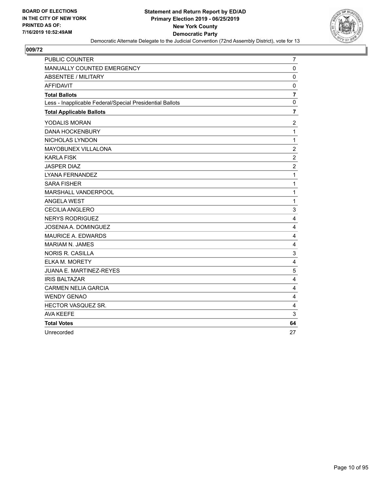

| PUBLIC COUNTER                                           | 7                |
|----------------------------------------------------------|------------------|
| MANUALLY COUNTED EMERGENCY                               | $\mathbf 0$      |
| <b>ABSENTEE / MILITARY</b>                               | $\pmb{0}$        |
| <b>AFFIDAVIT</b>                                         | $\mathbf 0$      |
| <b>Total Ballots</b>                                     | $\overline{7}$   |
| Less - Inapplicable Federal/Special Presidential Ballots | 0                |
| <b>Total Applicable Ballots</b>                          | $\overline{7}$   |
| YODALIS MORAN                                            | $\overline{2}$   |
| <b>DANA HOCKENBURY</b>                                   | $\mathbf{1}$     |
| NICHOLAS LYNDON                                          | $\mathbf{1}$     |
| <b>MAYOBUNEX VILLALONA</b>                               | $\boldsymbol{2}$ |
| <b>KARLA FISK</b>                                        | $\overline{c}$   |
| <b>JASPER DIAZ</b>                                       | $\overline{c}$   |
| <b>LYANA FERNANDEZ</b>                                   | 1                |
| <b>SARA FISHER</b>                                       | $\mathbf{1}$     |
| <b>MARSHALL VANDERPOOL</b>                               | 1                |
| <b>ANGELA WEST</b>                                       | $\mathbf{1}$     |
| <b>CECILIA ANGLERO</b>                                   | 3                |
| <b>NERYS RODRIGUEZ</b>                                   | 4                |
| JOSENIA A. DOMINGUEZ                                     | $\overline{4}$   |
| <b>MAURICE A. EDWARDS</b>                                | 4                |
| <b>MARIAM N. JAMES</b>                                   | $\overline{4}$   |
| <b>NORIS R. CASILLA</b>                                  | 3                |
| ELKA M. MORETY                                           | 4                |
| JUANA E. MARTINEZ-REYES                                  | $\sqrt{5}$       |
| <b>IRIS BALTAZAR</b>                                     | 4                |
| <b>CARMEN NELIA GARCIA</b>                               | $\overline{4}$   |
| <b>WENDY GENAO</b>                                       | 4                |
| <b>HECTOR VASQUEZ SR.</b>                                | 4                |
| <b>AVA KEEFE</b>                                         | 3                |
| <b>Total Votes</b>                                       | 64               |
| Unrecorded                                               | 27               |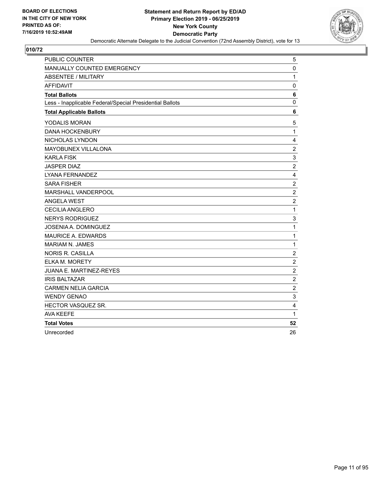

| <b>PUBLIC COUNTER</b>                                    | 5                       |
|----------------------------------------------------------|-------------------------|
| MANUALLY COUNTED EMERGENCY                               | $\pmb{0}$               |
| <b>ABSENTEE / MILITARY</b>                               | $\mathbf{1}$            |
| <b>AFFIDAVIT</b>                                         | $\mathbf 0$             |
| <b>Total Ballots</b>                                     | 6                       |
| Less - Inapplicable Federal/Special Presidential Ballots | $\mathbf 0$             |
| <b>Total Applicable Ballots</b>                          | 6                       |
| YODALIS MORAN                                            | 5                       |
| <b>DANA HOCKENBURY</b>                                   | 1                       |
| NICHOLAS LYNDON                                          | $\overline{4}$          |
| MAYOBUNEX VILLALONA                                      | $\overline{2}$          |
| <b>KARLA FISK</b>                                        | 3                       |
| <b>JASPER DIAZ</b>                                       | $\overline{c}$          |
| LYANA FERNANDEZ                                          | $\overline{\mathbf{4}}$ |
| <b>SARA FISHER</b>                                       | $\overline{c}$          |
| MARSHALL VANDERPOOL                                      | $\sqrt{2}$              |
| <b>ANGELA WEST</b>                                       | $\overline{c}$          |
| <b>CECILIA ANGLERO</b>                                   | $\mathbf{1}$            |
| <b>NERYS RODRIGUEZ</b>                                   | 3                       |
| <b>JOSENIA A. DOMINGUEZ</b>                              | 1                       |
| <b>MAURICE A. EDWARDS</b>                                | $\mathbf{1}$            |
| <b>MARIAM N. JAMES</b>                                   | 1                       |
| <b>NORIS R. CASILLA</b>                                  | $\overline{c}$          |
| ELKA M. MORETY                                           | $\overline{c}$          |
| JUANA E. MARTINEZ-REYES                                  | $\sqrt{2}$              |
| <b>IRIS BALTAZAR</b>                                     | $\boldsymbol{2}$        |
| <b>CARMEN NELIA GARCIA</b>                               | $\overline{c}$          |
| <b>WENDY GENAO</b>                                       | $\mathsf 3$             |
| HECTOR VASQUEZ SR.                                       | 4                       |
| <b>AVA KEEFE</b>                                         | 1                       |
| <b>Total Votes</b>                                       | 52                      |
| Unrecorded                                               | 26                      |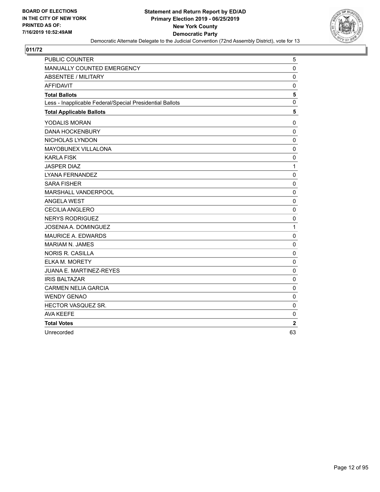

| <b>PUBLIC COUNTER</b>                                    | 5            |
|----------------------------------------------------------|--------------|
| MANUALLY COUNTED EMERGENCY                               | $\mathbf 0$  |
| <b>ABSENTEE / MILITARY</b>                               | 0            |
| <b>AFFIDAVIT</b>                                         | $\pmb{0}$    |
| <b>Total Ballots</b>                                     | 5            |
| Less - Inapplicable Federal/Special Presidential Ballots | $\mathbf 0$  |
| <b>Total Applicable Ballots</b>                          | 5            |
| YODALIS MORAN                                            | $\mathbf 0$  |
| <b>DANA HOCKENBURY</b>                                   | $\mathbf 0$  |
| NICHOLAS LYNDON                                          | 0            |
| MAYOBUNEX VILLALONA                                      | $\mathbf 0$  |
| <b>KARLA FISK</b>                                        | 0            |
| <b>JASPER DIAZ</b>                                       | $\mathbf{1}$ |
| <b>LYANA FERNANDEZ</b>                                   | 0            |
| <b>SARA FISHER</b>                                       | 0            |
| MARSHALL VANDERPOOL                                      | $\mathbf 0$  |
| <b>ANGELA WEST</b>                                       | $\mathbf 0$  |
| <b>CECILIA ANGLERO</b>                                   | $\mathbf 0$  |
| <b>NERYS RODRIGUEZ</b>                                   | 0            |
| <b>JOSENIA A. DOMINGUEZ</b>                              | $\mathbf{1}$ |
| MAURICE A. EDWARDS                                       | $\mathbf 0$  |
| <b>MARIAM N. JAMES</b>                                   | $\mathbf 0$  |
| <b>NORIS R. CASILLA</b>                                  | 0            |
| ELKA M. MORETY                                           | 0            |
| JUANA E. MARTINEZ-REYES                                  | 0            |
| <b>IRIS BALTAZAR</b>                                     | 0            |
| <b>CARMEN NELIA GARCIA</b>                               | $\pmb{0}$    |
| <b>WENDY GENAO</b>                                       | 0            |
| HECTOR VASQUEZ SR.                                       | 0            |
| <b>AVA KEEFE</b>                                         | $\mathbf 0$  |
| <b>Total Votes</b>                                       | $\mathbf 2$  |
| Unrecorded                                               | 63           |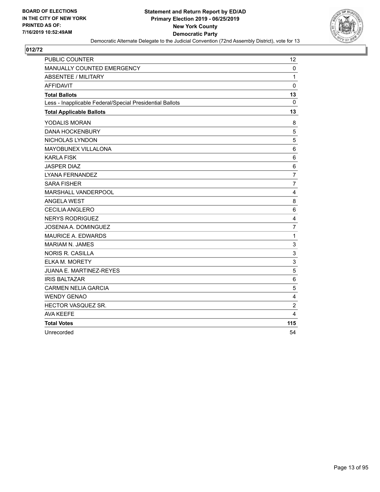

| <b>PUBLIC COUNTER</b>                                    | 12             |
|----------------------------------------------------------|----------------|
| MANUALLY COUNTED EMERGENCY                               | $\mathbf 0$    |
| ABSENTEE / MILITARY                                      | $\mathbf{1}$   |
| <b>AFFIDAVIT</b>                                         | $\mathbf{0}$   |
| <b>Total Ballots</b>                                     | 13             |
| Less - Inapplicable Federal/Special Presidential Ballots | $\mathbf{0}$   |
| <b>Total Applicable Ballots</b>                          | 13             |
| YODALIS MORAN                                            | 8              |
| <b>DANA HOCKENBURY</b>                                   | 5              |
| NICHOLAS LYNDON                                          | 5              |
| MAYOBUNEX VILLALONA                                      | 6              |
| <b>KARLA FISK</b>                                        | 6              |
| <b>JASPER DIAZ</b>                                       | 6              |
| <b>LYANA FERNANDEZ</b>                                   | $\overline{7}$ |
| <b>SARA FISHER</b>                                       | $\overline{7}$ |
| MARSHALL VANDERPOOL                                      | $\overline{4}$ |
| <b>ANGELA WEST</b>                                       | 8              |
| CECILIA ANGLERO                                          | 6              |
| <b>NERYS RODRIGUEZ</b>                                   | $\overline{4}$ |
| JOSENIA A. DOMINGUEZ                                     | $\overline{7}$ |
| <b>MAURICE A. EDWARDS</b>                                | $\mathbf{1}$   |
| <b>MARIAM N. JAMES</b>                                   | 3              |
| <b>NORIS R. CASILLA</b>                                  | 3              |
| <b>ELKA M. MORETY</b>                                    | 3              |
| JUANA E. MARTINEZ-REYES                                  | 5              |
| <b>IRIS BALTAZAR</b>                                     | 6              |
| <b>CARMEN NELIA GARCIA</b>                               | 5              |
| <b>WENDY GENAO</b>                                       | 4              |
| HECTOR VASQUEZ SR.                                       | $\overline{c}$ |
| <b>AVA KEEFE</b>                                         | 4              |
| <b>Total Votes</b>                                       | 115            |
| Unrecorded                                               | 54             |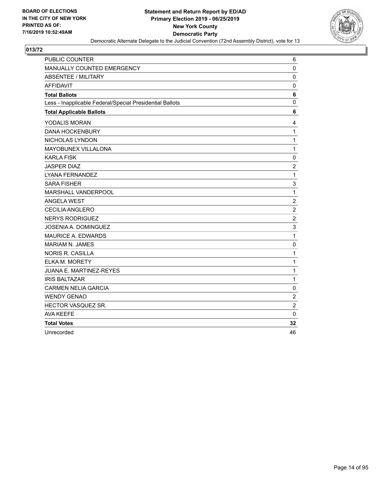

| PUBLIC COUNTER                                           | 6                |
|----------------------------------------------------------|------------------|
| MANUALLY COUNTED EMERGENCY                               | 0                |
| ABSENTEE / MILITARY                                      | $\mathbf 0$      |
| <b>AFFIDAVIT</b>                                         | 0                |
| <b>Total Ballots</b>                                     | 6                |
| Less - Inapplicable Federal/Special Presidential Ballots | $\mathbf 0$      |
| <b>Total Applicable Ballots</b>                          | 6                |
| <b>YODALIS MORAN</b>                                     | 4                |
| <b>DANA HOCKENBURY</b>                                   | $\mathbf{1}$     |
| NICHOLAS LYNDON                                          | $\mathbf{1}$     |
| MAYOBUNEX VILLALONA                                      | $\mathbf{1}$     |
| <b>KARLA FISK</b>                                        | $\mathbf 0$      |
| <b>JASPER DIAZ</b>                                       | $\boldsymbol{2}$ |
| <b>LYANA FERNANDEZ</b>                                   | $\mathbf{1}$     |
| <b>SARA FISHER</b>                                       | 3                |
| MARSHALL VANDERPOOL                                      | $\mathbf{1}$     |
| <b>ANGELA WEST</b>                                       | $\overline{c}$   |
| <b>CECILIA ANGLERO</b>                                   | $\overline{c}$   |
| <b>NERYS RODRIGUEZ</b>                                   | $\overline{2}$   |
| JOSENIA A. DOMINGUEZ                                     | 3                |
| <b>MAURICE A. EDWARDS</b>                                | $\mathbf{1}$     |
| <b>MARIAM N. JAMES</b>                                   | 0                |
| <b>NORIS R. CASILLA</b>                                  | $\mathbf{1}$     |
| ELKA M. MORETY                                           | $\mathbf{1}$     |
| JUANA E. MARTINEZ-REYES                                  | $\mathbf{1}$     |
| <b>IRIS BALTAZAR</b>                                     | $\mathbf{1}$     |
| <b>CARMEN NELIA GARCIA</b>                               | $\mathbf 0$      |
| <b>WENDY GENAO</b>                                       | $\overline{c}$   |
| HECTOR VASQUEZ SR.                                       | $\overline{c}$   |
| <b>AVA KEEFE</b>                                         | $\mathbf 0$      |
| <b>Total Votes</b>                                       | 32               |
| Unrecorded                                               | 46               |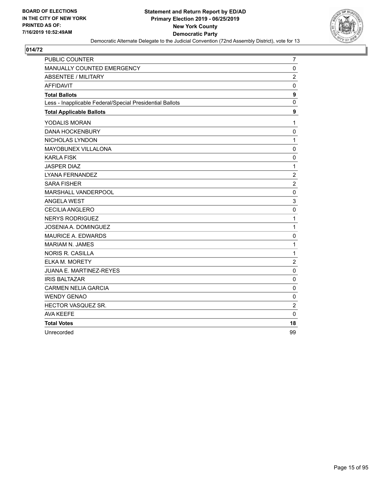

| <b>PUBLIC COUNTER</b>                                    | 7                |
|----------------------------------------------------------|------------------|
| MANUALLY COUNTED EMERGENCY                               | $\mathbf 0$      |
| ABSENTEE / MILITARY                                      | $\overline{c}$   |
| <b>AFFIDAVIT</b>                                         | 0                |
| <b>Total Ballots</b>                                     | 9                |
| Less - Inapplicable Federal/Special Presidential Ballots | $\mathbf 0$      |
| <b>Total Applicable Ballots</b>                          | 9                |
| YODALIS MORAN                                            | $\mathbf{1}$     |
| <b>DANA HOCKENBURY</b>                                   | $\mathbf 0$      |
| NICHOLAS LYNDON                                          | $\mathbf{1}$     |
| <b>MAYOBUNEX VILLALONA</b>                               | $\mathbf 0$      |
| <b>KARLA FISK</b>                                        | 0                |
| <b>JASPER DIAZ</b>                                       | $\mathbf{1}$     |
| LYANA FERNANDEZ                                          | $\overline{2}$   |
| <b>SARA FISHER</b>                                       | $\overline{c}$   |
| MARSHALL VANDERPOOL                                      | $\mathbf 0$      |
| <b>ANGELA WEST</b>                                       | 3                |
| <b>CECILIA ANGLERO</b>                                   | $\mathbf 0$      |
| <b>NERYS RODRIGUEZ</b>                                   | $\mathbf{1}$     |
| <b>JOSENIA A. DOMINGUEZ</b>                              | $\mathbf{1}$     |
| MAURICE A. EDWARDS                                       | $\mathbf 0$      |
| <b>MARIAM N. JAMES</b>                                   | $\mathbf{1}$     |
| <b>NORIS R. CASILLA</b>                                  | $\mathbf 1$      |
| ELKA M. MORETY                                           | $\boldsymbol{2}$ |
| JUANA E. MARTINEZ-REYES                                  | 0                |
| <b>IRIS BALTAZAR</b>                                     | 0                |
| <b>CARMEN NELIA GARCIA</b>                               | 0                |
| <b>WENDY GENAO</b>                                       | 0                |
| HECTOR VASQUEZ SR.                                       | $\overline{c}$   |
| <b>AVA KEEFE</b>                                         | $\mathbf 0$      |
| <b>Total Votes</b>                                       | 18               |
| Unrecorded                                               | 99               |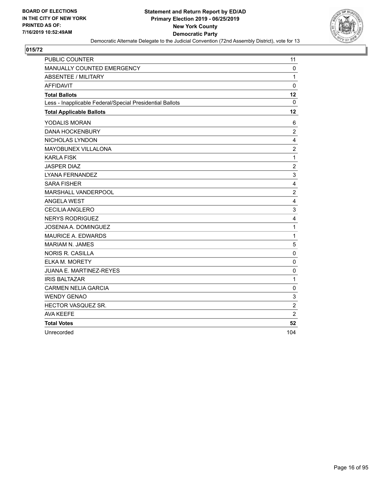

| <b>PUBLIC COUNTER</b>                                    | 11             |
|----------------------------------------------------------|----------------|
| MANUALLY COUNTED EMERGENCY                               | $\mathbf 0$    |
| <b>ABSENTEE / MILITARY</b>                               | $\mathbf{1}$   |
| <b>AFFIDAVIT</b>                                         | $\mathbf 0$    |
| <b>Total Ballots</b>                                     | 12             |
| Less - Inapplicable Federal/Special Presidential Ballots | 0              |
| <b>Total Applicable Ballots</b>                          | 12             |
| YODALIS MORAN                                            | 6              |
| <b>DANA HOCKENBURY</b>                                   | $\overline{c}$ |
| NICHOLAS LYNDON                                          | 4              |
| MAYOBUNEX VILLALONA                                      | $\overline{c}$ |
| <b>KARLA FISK</b>                                        | $\mathbf 1$    |
| <b>JASPER DIAZ</b>                                       | $\overline{c}$ |
| LYANA FERNANDEZ                                          | 3              |
| <b>SARA FISHER</b>                                       | 4              |
| MARSHALL VANDERPOOL                                      | $\overline{2}$ |
| <b>ANGELA WEST</b>                                       | 4              |
| <b>CECILIA ANGLERO</b>                                   | 3              |
| <b>NERYS RODRIGUEZ</b>                                   | 4              |
| JOSENIA A. DOMINGUEZ                                     | $\mathbf{1}$   |
| <b>MAURICE A. EDWARDS</b>                                | $\mathbf{1}$   |
| <b>MARIAM N. JAMES</b>                                   | 5              |
| <b>NORIS R. CASILLA</b>                                  | 0              |
| ELKA M. MORETY                                           | 0              |
| JUANA E. MARTINEZ-REYES                                  | 0              |
| <b>IRIS BALTAZAR</b>                                     | $\mathbf{1}$   |
| <b>CARMEN NELIA GARCIA</b>                               | $\pmb{0}$      |
| <b>WENDY GENAO</b>                                       | 3              |
| HECTOR VASQUEZ SR.                                       | $\overline{c}$ |
| <b>AVA KEEFE</b>                                         | $\overline{2}$ |
| <b>Total Votes</b>                                       | 52             |
| Unrecorded                                               | 104            |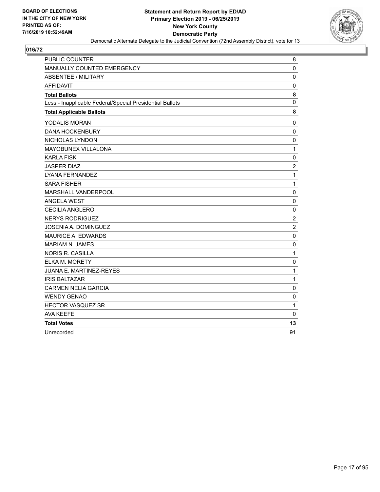

| <b>PUBLIC COUNTER</b>                                    | 8              |
|----------------------------------------------------------|----------------|
| MANUALLY COUNTED EMERGENCY                               | $\mathbf 0$    |
| ABSENTEE / MILITARY                                      | $\mathbf 0$    |
| <b>AFFIDAVIT</b>                                         | $\mathbf 0$    |
| <b>Total Ballots</b>                                     | 8              |
| Less - Inapplicable Federal/Special Presidential Ballots | $\mathbf 0$    |
| <b>Total Applicable Ballots</b>                          | 8              |
| YODALIS MORAN                                            | $\pmb{0}$      |
| <b>DANA HOCKENBURY</b>                                   | $\mathbf 0$    |
| NICHOLAS LYNDON                                          | $\mathbf 0$    |
| MAYOBUNEX VILLALONA                                      | 1              |
| <b>KARLA FISK</b>                                        | $\mathbf 0$    |
| <b>JASPER DIAZ</b>                                       | $\overline{c}$ |
| LYANA FERNANDEZ                                          | $\mathbf{1}$   |
| <b>SARA FISHER</b>                                       | $\mathbf{1}$   |
| MARSHALL VANDERPOOL                                      | $\mathbf 0$    |
| <b>ANGELA WEST</b>                                       | $\mathbf 0$    |
| <b>CECILIA ANGLERO</b>                                   | $\mathbf 0$    |
| <b>NERYS RODRIGUEZ</b>                                   | $\overline{2}$ |
| JOSENIA A. DOMINGUEZ                                     | $\overline{2}$ |
| <b>MAURICE A. EDWARDS</b>                                | $\mathbf 0$    |
| <b>MARIAM N. JAMES</b>                                   | $\mathbf 0$    |
| <b>NORIS R. CASILLA</b>                                  | $\mathbf{1}$   |
| <b>ELKA M. MORETY</b>                                    | $\mathbf 0$    |
| <b>JUANA E. MARTINEZ-REYES</b>                           | 1              |
| <b>IRIS BALTAZAR</b>                                     | $\mathbf 1$    |
| <b>CARMEN NELIA GARCIA</b>                               | $\mathbf 0$    |
| <b>WENDY GENAO</b>                                       | $\mathbf 0$    |
| HECTOR VASQUEZ SR.                                       | 1              |
| <b>AVA KEEFE</b>                                         | $\mathbf{0}$   |
| <b>Total Votes</b>                                       | 13             |
| Unrecorded                                               | 91             |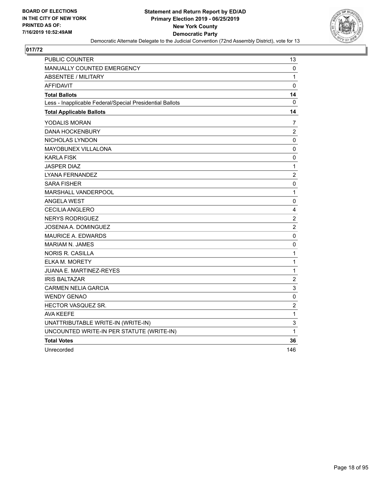

| PUBLIC COUNTER                                           | 13               |
|----------------------------------------------------------|------------------|
| <b>MANUALLY COUNTED EMERGENCY</b>                        | 0                |
| <b>ABSENTEE / MILITARY</b>                               | 1                |
| <b>AFFIDAVIT</b>                                         | 0                |
| <b>Total Ballots</b>                                     | 14               |
| Less - Inapplicable Federal/Special Presidential Ballots | 0                |
| <b>Total Applicable Ballots</b>                          | 14               |
| YODALIS MORAN                                            | 7                |
| <b>DANA HOCKENBURY</b>                                   | $\overline{c}$   |
| NICHOLAS LYNDON                                          | 0                |
| MAYOBUNEX VILLALONA                                      | 0                |
| KARLA FISK                                               | 0                |
| <b>JASPER DIAZ</b>                                       | 1                |
| <b>LYANA FERNANDEZ</b>                                   | $\overline{c}$   |
| <b>SARA FISHER</b>                                       | 0                |
| <b>MARSHALL VANDERPOOL</b>                               | 1                |
| <b>ANGELA WEST</b>                                       | 0                |
| CECILIA ANGLERO                                          | 4                |
| <b>NERYS RODRIGUEZ</b>                                   | $\overline{2}$   |
| JOSENIA A. DOMINGUEZ                                     | $\overline{c}$   |
| <b>MAURICE A. EDWARDS</b>                                | 0                |
| <b>MARIAM N. JAMES</b>                                   | 0                |
| NORIS R. CASILLA                                         | $\mathbf 1$      |
| ELKA M. MORETY                                           | $\mathbf{1}$     |
| JUANA E. MARTINEZ-REYES                                  | $\mathbf 1$      |
| <b>IRIS BALTAZAR</b>                                     | $\boldsymbol{2}$ |
| <b>CARMEN NELIA GARCIA</b>                               | 3                |
| <b>WENDY GENAO</b>                                       | $\pmb{0}$        |
| <b>HECTOR VASQUEZ SR.</b>                                | $\boldsymbol{2}$ |
| AVA KEEFE                                                | $\mathbf 1$      |
| UNATTRIBUTABLE WRITE-IN (WRITE-IN)                       | 3                |
| UNCOUNTED WRITE-IN PER STATUTE (WRITE-IN)                | 1                |
| <b>Total Votes</b>                                       | 36               |
| Unrecorded                                               | 146              |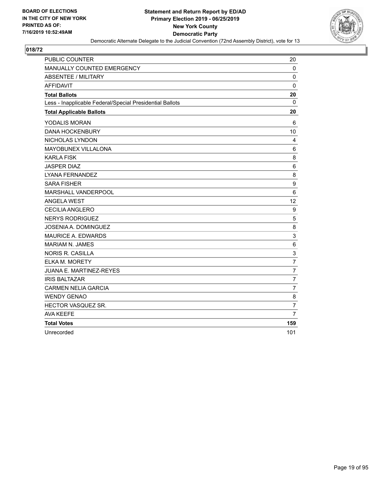

| <b>PUBLIC COUNTER</b>                                    | 20             |
|----------------------------------------------------------|----------------|
| MANUALLY COUNTED EMERGENCY                               | $\mathbf 0$    |
| <b>ABSENTEE / MILITARY</b>                               | $\mathbf 0$    |
| <b>AFFIDAVIT</b>                                         | 0              |
| <b>Total Ballots</b>                                     | 20             |
| Less - Inapplicable Federal/Special Presidential Ballots | $\mathbf{0}$   |
| <b>Total Applicable Ballots</b>                          | 20             |
| YODALIS MORAN                                            | 6              |
| <b>DANA HOCKENBURY</b>                                   | 10             |
| NICHOLAS LYNDON                                          | 4              |
| MAYOBUNEX VILLALONA                                      | 6              |
| <b>KARLA FISK</b>                                        | 8              |
| <b>JASPER DIAZ</b>                                       | 6              |
| LYANA FERNANDEZ                                          | 8              |
| <b>SARA FISHER</b>                                       | 9              |
| MARSHALL VANDERPOOL                                      | 6              |
| <b>ANGELA WEST</b>                                       | 12             |
| <b>CECILIA ANGLERO</b>                                   | 9              |
| <b>NERYS RODRIGUEZ</b>                                   | 5              |
| <b>JOSENIA A. DOMINGUEZ</b>                              | 8              |
| <b>MAURICE A. EDWARDS</b>                                | 3              |
| <b>MARIAM N. JAMES</b>                                   | 6              |
| <b>NORIS R. CASILLA</b>                                  | 3              |
| <b>ELKA M. MORETY</b>                                    | $\overline{7}$ |
| <b>JUANA E. MARTINEZ-REYES</b>                           | $\overline{7}$ |
| <b>IRIS BALTAZAR</b>                                     | 7              |
| <b>CARMEN NELIA GARCIA</b>                               | $\overline{7}$ |
| <b>WENDY GENAO</b>                                       | 8              |
| HECTOR VASQUEZ SR.                                       | $\overline{7}$ |
| <b>AVA KEEFE</b>                                         | 7              |
| <b>Total Votes</b>                                       | 159            |
| Unrecorded                                               | 101            |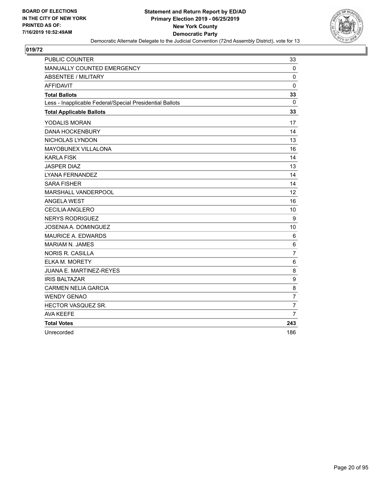

| <b>PUBLIC COUNTER</b>                                    | 33             |
|----------------------------------------------------------|----------------|
| MANUALLY COUNTED EMERGENCY                               | $\mathbf 0$    |
| <b>ABSENTEE / MILITARY</b>                               | $\mathbf 0$    |
| <b>AFFIDAVIT</b>                                         | 0              |
| <b>Total Ballots</b>                                     | 33             |
| Less - Inapplicable Federal/Special Presidential Ballots | $\mathbf{0}$   |
| <b>Total Applicable Ballots</b>                          | 33             |
| YODALIS MORAN                                            | 17             |
| <b>DANA HOCKENBURY</b>                                   | 14             |
| NICHOLAS LYNDON                                          | 13             |
| MAYOBUNEX VILLALONA                                      | 16             |
| <b>KARLA FISK</b>                                        | 14             |
| <b>JASPER DIAZ</b>                                       | 13             |
| <b>LYANA FERNANDEZ</b>                                   | 14             |
| <b>SARA FISHER</b>                                       | 14             |
| MARSHALL VANDERPOOL                                      | 12             |
| <b>ANGELA WEST</b>                                       | 16             |
| <b>CECILIA ANGLERO</b>                                   | 10             |
| <b>NERYS RODRIGUEZ</b>                                   | 9              |
| <b>JOSENIA A. DOMINGUEZ</b>                              | 10             |
| <b>MAURICE A. EDWARDS</b>                                | 6              |
| <b>MARIAM N. JAMES</b>                                   | 6              |
| <b>NORIS R. CASILLA</b>                                  | 7              |
| <b>ELKA M. MORETY</b>                                    | 6              |
| <b>JUANA E. MARTINEZ-REYES</b>                           | 8              |
| <b>IRIS BALTAZAR</b>                                     | 9              |
| <b>CARMEN NELIA GARCIA</b>                               | 8              |
| <b>WENDY GENAO</b>                                       | $\overline{7}$ |
| HECTOR VASQUEZ SR.                                       | 7              |
| AVA KEEFE                                                | 7              |
| <b>Total Votes</b>                                       | 243            |
| Unrecorded                                               | 186            |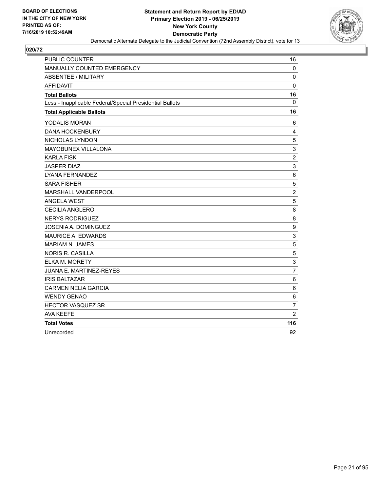

| <b>PUBLIC COUNTER</b>                                    | 16                        |
|----------------------------------------------------------|---------------------------|
| MANUALLY COUNTED EMERGENCY                               | $\mathbf 0$               |
| <b>ABSENTEE / MILITARY</b>                               | $\mathbf 0$               |
| <b>AFFIDAVIT</b>                                         | $\mathbf 0$               |
| <b>Total Ballots</b>                                     | 16                        |
| Less - Inapplicable Federal/Special Presidential Ballots | $\mathbf{0}$              |
| <b>Total Applicable Ballots</b>                          | 16                        |
| YODALIS MORAN                                            | 6                         |
| <b>DANA HOCKENBURY</b>                                   | 4                         |
| NICHOLAS LYNDON                                          | 5                         |
| MAYOBUNEX VILLALONA                                      | $\ensuremath{\mathsf{3}}$ |
| <b>KARLA FISK</b>                                        | $\overline{c}$            |
| <b>JASPER DIAZ</b>                                       | 3                         |
| LYANA FERNANDEZ                                          | 6                         |
| <b>SARA FISHER</b>                                       | 5                         |
| MARSHALL VANDERPOOL                                      | $\overline{c}$            |
| <b>ANGELA WEST</b>                                       | 5                         |
| <b>CECILIA ANGLERO</b>                                   | 8                         |
| <b>NERYS RODRIGUEZ</b>                                   | 8                         |
| <b>JOSENIA A. DOMINGUEZ</b>                              | $\boldsymbol{9}$          |
| <b>MAURICE A. EDWARDS</b>                                | 3                         |
| <b>MARIAM N. JAMES</b>                                   | 5                         |
| <b>NORIS R. CASILLA</b>                                  | 5                         |
| <b>ELKA M. MORETY</b>                                    | 3                         |
| <b>JUANA E. MARTINEZ-REYES</b>                           | $\overline{7}$            |
| <b>IRIS BALTAZAR</b>                                     | 6                         |
| <b>CARMEN NELIA GARCIA</b>                               | 6                         |
| <b>WENDY GENAO</b>                                       | 6                         |
| HECTOR VASQUEZ SR.                                       | $\overline{7}$            |
| <b>AVA KEEFE</b>                                         | $\overline{2}$            |
| <b>Total Votes</b>                                       | 116                       |
| Unrecorded                                               | 92                        |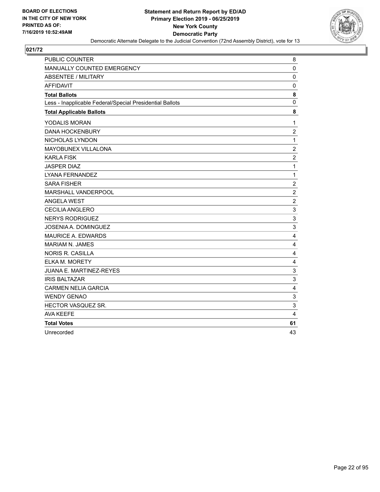

| <b>PUBLIC COUNTER</b>                                    | 8                |
|----------------------------------------------------------|------------------|
| MANUALLY COUNTED EMERGENCY                               | $\mathbf 0$      |
| <b>ABSENTEE / MILITARY</b>                               | $\mathbf 0$      |
| <b>AFFIDAVIT</b>                                         | $\mathbf 0$      |
| <b>Total Ballots</b>                                     | 8                |
| Less - Inapplicable Federal/Special Presidential Ballots | 0                |
| <b>Total Applicable Ballots</b>                          | 8                |
| YODALIS MORAN                                            | 1                |
| <b>DANA HOCKENBURY</b>                                   | $\overline{c}$   |
| NICHOLAS LYNDON                                          | $\mathbf{1}$     |
| MAYOBUNEX VILLALONA                                      | $\overline{c}$   |
| <b>KARLA FISK</b>                                        | $\overline{c}$   |
| <b>JASPER DIAZ</b>                                       | $\mathbf{1}$     |
| <b>LYANA FERNANDEZ</b>                                   | $\mathbf{1}$     |
| <b>SARA FISHER</b>                                       | $\overline{c}$   |
| MARSHALL VANDERPOOL                                      | $\boldsymbol{2}$ |
| <b>ANGELA WEST</b>                                       | $\overline{c}$   |
| <b>CECILIA ANGLERO</b>                                   | 3                |
| <b>NERYS RODRIGUEZ</b>                                   | 3                |
| <b>JOSENIA A. DOMINGUEZ</b>                              | 3                |
| MAURICE A. EDWARDS                                       | $\overline{4}$   |
| <b>MARIAM N. JAMES</b>                                   | 4                |
| <b>NORIS R. CASILLA</b>                                  | 4                |
| ELKA M. MORETY                                           | 4                |
| <b>JUANA E. MARTINEZ-REYES</b>                           | 3                |
| <b>IRIS BALTAZAR</b>                                     | 3                |
| <b>CARMEN NELIA GARCIA</b>                               | $\overline{4}$   |
| <b>WENDY GENAO</b>                                       | 3                |
| HECTOR VASQUEZ SR.                                       | 3                |
| <b>AVA KEEFE</b>                                         | $\overline{4}$   |
| <b>Total Votes</b>                                       | 61               |
| Unrecorded                                               | 43               |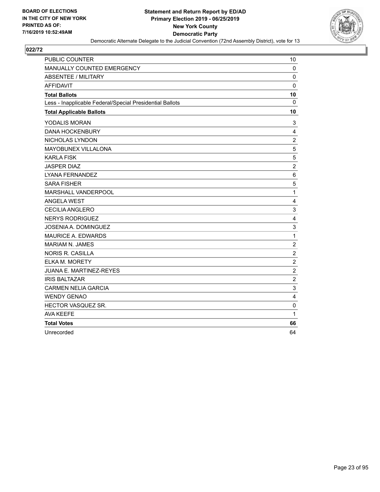

| <b>PUBLIC COUNTER</b>                                    | 10               |
|----------------------------------------------------------|------------------|
| MANUALLY COUNTED EMERGENCY                               | 0                |
| <b>ABSENTEE / MILITARY</b>                               | $\mathbf 0$      |
| <b>AFFIDAVIT</b>                                         | 0                |
| <b>Total Ballots</b>                                     | 10               |
| Less - Inapplicable Federal/Special Presidential Ballots | $\mathbf{0}$     |
| <b>Total Applicable Ballots</b>                          | 10               |
| YODALIS MORAN                                            | 3                |
| <b>DANA HOCKENBURY</b>                                   | 4                |
| NICHOLAS LYNDON                                          | $\boldsymbol{2}$ |
| MAYOBUNEX VILLALONA                                      | 5                |
| <b>KARLA FISK</b>                                        | 5                |
| <b>JASPER DIAZ</b>                                       | $\overline{c}$   |
| <b>LYANA FERNANDEZ</b>                                   | 6                |
| <b>SARA FISHER</b>                                       | 5                |
| MARSHALL VANDERPOOL                                      | $\mathbf{1}$     |
| <b>ANGELA WEST</b>                                       | 4                |
| <b>CECILIA ANGLERO</b>                                   | 3                |
| <b>NERYS RODRIGUEZ</b>                                   | 4                |
| JOSENIA A. DOMINGUEZ                                     | 3                |
| <b>MAURICE A. EDWARDS</b>                                | $\mathbf{1}$     |
| <b>MARIAM N. JAMES</b>                                   | $\boldsymbol{2}$ |
| <b>NORIS R. CASILLA</b>                                  | $\overline{c}$   |
| <b>ELKA M. MORETY</b>                                    | $\overline{c}$   |
| JUANA E. MARTINEZ-REYES                                  | $\sqrt{2}$       |
| <b>IRIS BALTAZAR</b>                                     | $\overline{c}$   |
| <b>CARMEN NELIA GARCIA</b>                               | 3                |
| <b>WENDY GENAO</b>                                       | 4                |
| HECTOR VASQUEZ SR.                                       | 0                |
| <b>AVA KEEFE</b>                                         | $\mathbf{1}$     |
| <b>Total Votes</b>                                       | 66               |
| Unrecorded                                               | 64               |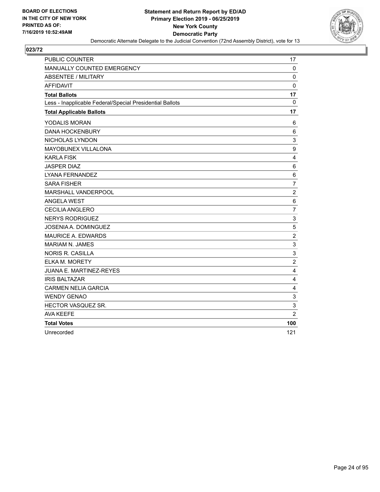

| <b>PUBLIC COUNTER</b>                                    | 17                      |
|----------------------------------------------------------|-------------------------|
| MANUALLY COUNTED EMERGENCY                               | $\mathbf 0$             |
| <b>ABSENTEE / MILITARY</b>                               | $\mathbf 0$             |
| <b>AFFIDAVIT</b>                                         | $\mathbf 0$             |
| <b>Total Ballots</b>                                     | 17                      |
| Less - Inapplicable Federal/Special Presidential Ballots | $\mathbf{0}$            |
| <b>Total Applicable Ballots</b>                          | 17                      |
| YODALIS MORAN                                            | 6                       |
| <b>DANA HOCKENBURY</b>                                   | 6                       |
| NICHOLAS LYNDON                                          | 3                       |
| MAYOBUNEX VILLALONA                                      | 9                       |
| <b>KARLA FISK</b>                                        | 4                       |
| <b>JASPER DIAZ</b>                                       | $\,6$                   |
| <b>LYANA FERNANDEZ</b>                                   | 6                       |
| <b>SARA FISHER</b>                                       | $\overline{7}$          |
| MARSHALL VANDERPOOL                                      | $\overline{2}$          |
| <b>ANGELA WEST</b>                                       | 6                       |
| CECILIA ANGLERO                                          | $\overline{7}$          |
| <b>NERYS RODRIGUEZ</b>                                   | 3                       |
| <b>JOSENIA A. DOMINGUEZ</b>                              | $\sqrt{5}$              |
| MAURICE A. EDWARDS                                       | $\overline{c}$          |
| <b>MARIAM N. JAMES</b>                                   | $\mathsf 3$             |
| <b>NORIS R. CASILLA</b>                                  | $\mathsf 3$             |
| ELKA M. MORETY                                           | $\overline{c}$          |
| JUANA E. MARTINEZ-REYES                                  | 4                       |
| <b>IRIS BALTAZAR</b>                                     | 4                       |
| <b>CARMEN NELIA GARCIA</b>                               | $\overline{\mathbf{4}}$ |
| <b>WENDY GENAO</b>                                       | $\mathbf{3}$            |
| HECTOR VASQUEZ SR.                                       | 3                       |
| <b>AVA KEEFE</b>                                         | $\overline{2}$          |
| <b>Total Votes</b>                                       | 100                     |
| Unrecorded                                               | 121                     |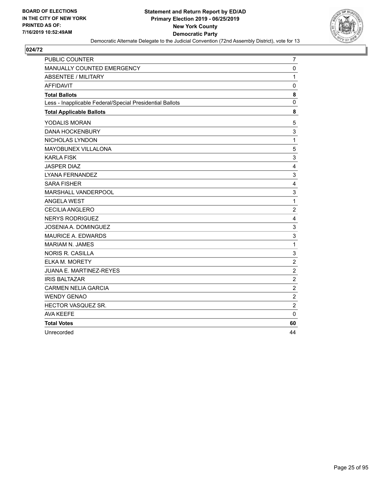

| <b>PUBLIC COUNTER</b>                                    | 7                |
|----------------------------------------------------------|------------------|
| MANUALLY COUNTED EMERGENCY                               | $\mathbf 0$      |
| ABSENTEE / MILITARY                                      | $\mathbf{1}$     |
| <b>AFFIDAVIT</b>                                         | $\mathbf 0$      |
| <b>Total Ballots</b>                                     | 8                |
| Less - Inapplicable Federal/Special Presidential Ballots | $\mathbf 0$      |
| <b>Total Applicable Ballots</b>                          | 8                |
| YODALIS MORAN                                            | 5                |
| <b>DANA HOCKENBURY</b>                                   | 3                |
| NICHOLAS LYNDON                                          | $\mathbf{1}$     |
| MAYOBUNEX VILLALONA                                      | 5                |
| <b>KARLA FISK</b>                                        | 3                |
| <b>JASPER DIAZ</b>                                       | $\overline{4}$   |
| LYANA FERNANDEZ                                          | $\mathsf 3$      |
| <b>SARA FISHER</b>                                       | 4                |
| MARSHALL VANDERPOOL                                      | 3                |
| <b>ANGELA WEST</b>                                       | $\mathbf{1}$     |
| <b>CECILIA ANGLERO</b>                                   | $\overline{2}$   |
| <b>NERYS RODRIGUEZ</b>                                   | 4                |
| <b>JOSENIA A. DOMINGUEZ</b>                              | 3                |
| MAURICE A. EDWARDS                                       | 3                |
| <b>MARIAM N. JAMES</b>                                   | $\mathbf{1}$     |
| <b>NORIS R. CASILLA</b>                                  | 3                |
| ELKA M. MORETY                                           | $\boldsymbol{2}$ |
| JUANA E. MARTINEZ-REYES                                  | $\overline{2}$   |
| <b>IRIS BALTAZAR</b>                                     | $\boldsymbol{2}$ |
| <b>CARMEN NELIA GARCIA</b>                               | $\overline{c}$   |
| <b>WENDY GENAO</b>                                       | $\overline{c}$   |
| HECTOR VASQUEZ SR.                                       | $\overline{c}$   |
| <b>AVA KEEFE</b>                                         | $\mathbf{0}$     |
| <b>Total Votes</b>                                       | 60               |
| Unrecorded                                               | 44               |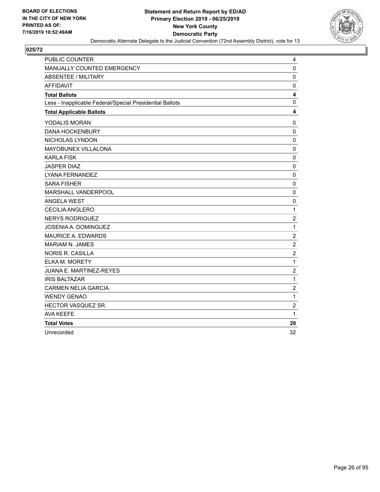

| <b>PUBLIC COUNTER</b>                                    | 4                |
|----------------------------------------------------------|------------------|
| MANUALLY COUNTED EMERGENCY                               | $\mathbf 0$      |
| <b>ABSENTEE / MILITARY</b>                               | $\mathbf 0$      |
| <b>AFFIDAVIT</b>                                         | 0                |
| <b>Total Ballots</b>                                     | 4                |
| Less - Inapplicable Federal/Special Presidential Ballots | $\mathbf 0$      |
| <b>Total Applicable Ballots</b>                          | 4                |
| YODALIS MORAN                                            | 0                |
| <b>DANA HOCKENBURY</b>                                   | $\mathbf 0$      |
| NICHOLAS LYNDON                                          | $\mathbf 0$      |
| MAYOBUNEX VILLALONA                                      | $\pmb{0}$        |
| <b>KARLA FISK</b>                                        | $\mathbf 0$      |
| <b>JASPER DIAZ</b>                                       | $\mathbf 0$      |
| LYANA FERNANDEZ                                          | $\mathbf 0$      |
| <b>SARA FISHER</b>                                       | 0                |
| MARSHALL VANDERPOOL                                      | $\mathbf 0$      |
| <b>ANGELA WEST</b>                                       | $\mathbf 0$      |
| <b>CECILIA ANGLERO</b>                                   | $\mathbf 1$      |
| <b>NERYS RODRIGUEZ</b>                                   | $\boldsymbol{2}$ |
| JOSENIA A. DOMINGUEZ                                     | $\mathbf{1}$     |
| <b>MAURICE A. EDWARDS</b>                                | $\overline{c}$   |
| <b>MARIAM N. JAMES</b>                                   | $\overline{2}$   |
| <b>NORIS R. CASILLA</b>                                  | $\overline{c}$   |
| <b>ELKA M. MORETY</b>                                    | $\mathbf{1}$     |
| <b>JUANA E. MARTINEZ-REYES</b>                           | $\overline{2}$   |
| <b>IRIS BALTAZAR</b>                                     | $\mathbf 1$      |
| <b>CARMEN NELIA GARCIA</b>                               | $\overline{c}$   |
| <b>WENDY GENAO</b>                                       | $\mathbf{1}$     |
| HECTOR VASQUEZ SR.                                       | $\overline{c}$   |
| <b>AVA KEEFE</b>                                         | 1                |
| <b>Total Votes</b>                                       | 20               |
| Unrecorded                                               | 32               |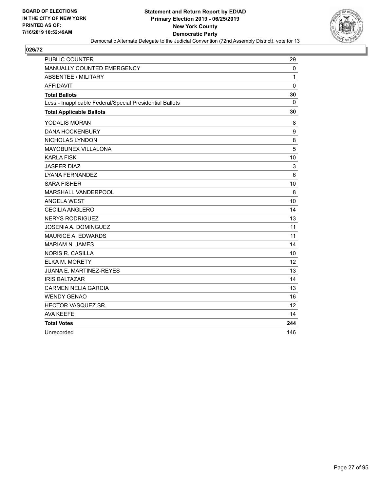

| <b>PUBLIC COUNTER</b>                                    | 29           |
|----------------------------------------------------------|--------------|
| MANUALLY COUNTED EMERGENCY                               | $\mathbf 0$  |
| <b>ABSENTEE / MILITARY</b>                               | $\mathbf{1}$ |
| <b>AFFIDAVIT</b>                                         | $\mathbf 0$  |
| <b>Total Ballots</b>                                     | 30           |
| Less - Inapplicable Federal/Special Presidential Ballots | 0            |
| <b>Total Applicable Ballots</b>                          | 30           |
| YODALIS MORAN                                            | 8            |
| <b>DANA HOCKENBURY</b>                                   | 9            |
| NICHOLAS LYNDON                                          | 8            |
| MAYOBUNEX VILLALONA                                      | 5            |
| <b>KARLA FISK</b>                                        | 10           |
| <b>JASPER DIAZ</b>                                       | 3            |
| LYANA FERNANDEZ                                          | 6            |
| <b>SARA FISHER</b>                                       | 10           |
| MARSHALL VANDERPOOL                                      | 8            |
| <b>ANGELA WEST</b>                                       | 10           |
| CECILIA ANGLERO                                          | 14           |
| <b>NERYS RODRIGUEZ</b>                                   | 13           |
| JOSENIA A. DOMINGUEZ                                     | 11           |
| MAURICE A. EDWARDS                                       | 11           |
| <b>MARIAM N. JAMES</b>                                   | 14           |
| <b>NORIS R. CASILLA</b>                                  | 10           |
| ELKA M. MORETY                                           | 12           |
| <b>JUANA E. MARTINEZ-REYES</b>                           | 13           |
| <b>IRIS BALTAZAR</b>                                     | 14           |
| <b>CARMEN NELIA GARCIA</b>                               | 13           |
| <b>WENDY GENAO</b>                                       | 16           |
| HECTOR VASQUEZ SR.                                       | 12           |
| <b>AVA KEEFE</b>                                         | 14           |
| <b>Total Votes</b>                                       | 244          |
| Unrecorded                                               | 146          |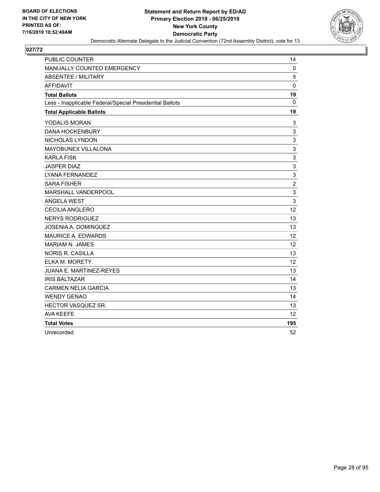

| <b>PUBLIC COUNTER</b>                                    | 14             |
|----------------------------------------------------------|----------------|
| MANUALLY COUNTED EMERGENCY                               | $\mathbf 0$    |
| <b>ABSENTEE / MILITARY</b>                               | 5              |
| <b>AFFIDAVIT</b>                                         | $\mathbf 0$    |
| <b>Total Ballots</b>                                     | 19             |
| Less - Inapplicable Federal/Special Presidential Ballots | 0              |
| <b>Total Applicable Ballots</b>                          | 19             |
| YODALIS MORAN                                            | 3              |
| <b>DANA HOCKENBURY</b>                                   | 3              |
| NICHOLAS LYNDON                                          | 3              |
| MAYOBUNEX VILLALONA                                      | 3              |
| <b>KARLA FISK</b>                                        | 3              |
| <b>JASPER DIAZ</b>                                       | 3              |
| LYANA FERNANDEZ                                          | 3              |
| <b>SARA FISHER</b>                                       | $\overline{c}$ |
| MARSHALL VANDERPOOL                                      | 3              |
| <b>ANGELA WEST</b>                                       | 3              |
| CECILIA ANGLERO                                          | 12             |
| <b>NERYS RODRIGUEZ</b>                                   | 13             |
| JOSENIA A. DOMINGUEZ                                     | 13             |
| MAURICE A. EDWARDS                                       | 12             |
| <b>MARIAM N. JAMES</b>                                   | 12             |
| <b>NORIS R. CASILLA</b>                                  | 13             |
| ELKA M. MORETY                                           | 12             |
| JUANA E. MARTINEZ-REYES                                  | 13             |
| <b>IRIS BALTAZAR</b>                                     | 14             |
| <b>CARMEN NELIA GARCIA</b>                               | 13             |
| <b>WENDY GENAO</b>                                       | 14             |
| HECTOR VASQUEZ SR.                                       | 13             |
| <b>AVA KEEFE</b>                                         | 12             |
| <b>Total Votes</b>                                       | 195            |
| Unrecorded                                               | 52             |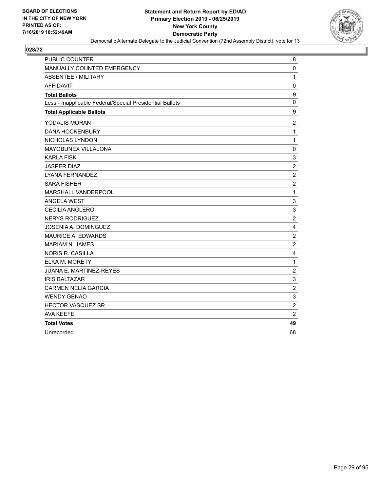

| <b>PUBLIC COUNTER</b>                                    | 8                         |
|----------------------------------------------------------|---------------------------|
| MANUALLY COUNTED EMERGENCY                               | $\mathbf 0$               |
| <b>ABSENTEE / MILITARY</b>                               | $\mathbf{1}$              |
| <b>AFFIDAVIT</b>                                         | $\mathbf 0$               |
| <b>Total Ballots</b>                                     | 9                         |
| Less - Inapplicable Federal/Special Presidential Ballots | $\mathbf 0$               |
| <b>Total Applicable Ballots</b>                          | $\boldsymbol{9}$          |
| YODALIS MORAN                                            | $\overline{c}$            |
| <b>DANA HOCKENBURY</b>                                   | $\mathbf{1}$              |
| NICHOLAS LYNDON                                          | $\mathbf{1}$              |
| MAYOBUNEX VILLALONA                                      | $\mathbf 0$               |
| <b>KARLA FISK</b>                                        | 3                         |
| <b>JASPER DIAZ</b>                                       | $\sqrt{2}$                |
| LYANA FERNANDEZ                                          | $\overline{c}$            |
| <b>SARA FISHER</b>                                       | $\overline{c}$            |
| MARSHALL VANDERPOOL                                      | $\mathbf{1}$              |
| <b>ANGELA WEST</b>                                       | $\mathsf 3$               |
| <b>CECILIA ANGLERO</b>                                   | $\ensuremath{\mathsf{3}}$ |
| <b>NERYS RODRIGUEZ</b>                                   | $\overline{2}$            |
| JOSENIA A. DOMINGUEZ                                     | $\overline{4}$            |
| <b>MAURICE A. EDWARDS</b>                                | $\overline{2}$            |
| <b>MARIAM N. JAMES</b>                                   | $\overline{2}$            |
| <b>NORIS R. CASILLA</b>                                  | 4                         |
| <b>ELKA M. MORETY</b>                                    | $\mathbf{1}$              |
| <b>JUANA E. MARTINEZ-REYES</b>                           | $\overline{2}$            |
| <b>IRIS BALTAZAR</b>                                     | 3                         |
| <b>CARMEN NELIA GARCIA</b>                               | $\overline{c}$            |
| <b>WENDY GENAO</b>                                       | 3                         |
| HECTOR VASQUEZ SR.                                       | $\overline{2}$            |
| <b>AVA KEEFE</b>                                         | $\overline{2}$            |
| <b>Total Votes</b>                                       | 49                        |
| Unrecorded                                               | 68                        |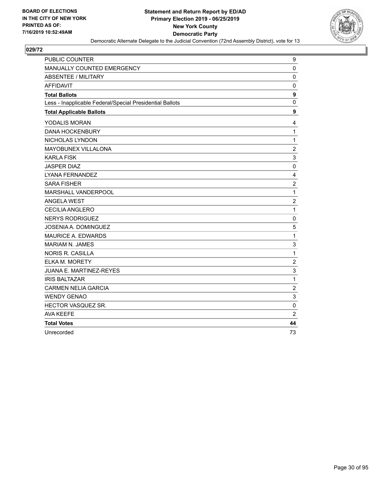

| <b>PUBLIC COUNTER</b>                                    | 9                |
|----------------------------------------------------------|------------------|
| MANUALLY COUNTED EMERGENCY                               | 0                |
| <b>ABSENTEE / MILITARY</b>                               | $\mathbf 0$      |
| <b>AFFIDAVIT</b>                                         | $\mathbf 0$      |
| <b>Total Ballots</b>                                     | $\boldsymbol{9}$ |
| Less - Inapplicable Federal/Special Presidential Ballots | $\mathbf 0$      |
| <b>Total Applicable Ballots</b>                          | 9                |
| YODALIS MORAN                                            | 4                |
| <b>DANA HOCKENBURY</b>                                   | $\mathbf{1}$     |
| NICHOLAS LYNDON                                          | $\mathbf{1}$     |
| MAYOBUNEX VILLALONA                                      | $\overline{c}$   |
| <b>KARLA FISK</b>                                        | 3                |
| <b>JASPER DIAZ</b>                                       | 0                |
| LYANA FERNANDEZ                                          | 4                |
| <b>SARA FISHER</b>                                       | $\overline{c}$   |
| MARSHALL VANDERPOOL                                      | $\mathbf 1$      |
| <b>ANGELA WEST</b>                                       | $\overline{c}$   |
| <b>CECILIA ANGLERO</b>                                   | $\mathbf{1}$     |
| <b>NERYS RODRIGUEZ</b>                                   | 0                |
| JOSENIA A. DOMINGUEZ                                     | 5                |
| <b>MAURICE A. EDWARDS</b>                                | $\mathbf{1}$     |
| <b>MARIAM N. JAMES</b>                                   | 3                |
| <b>NORIS R. CASILLA</b>                                  | 1                |
| ELKA M. MORETY                                           | $\overline{c}$   |
| JUANA E. MARTINEZ-REYES                                  | 3                |
| <b>IRIS BALTAZAR</b>                                     | $\mathbf{1}$     |
| <b>CARMEN NELIA GARCIA</b>                               | $\overline{c}$   |
| <b>WENDY GENAO</b>                                       | 3                |
| HECTOR VASQUEZ SR.                                       | 0                |
| <b>AVA KEEFE</b>                                         | $\overline{2}$   |
| <b>Total Votes</b>                                       | 44               |
| Unrecorded                                               | 73               |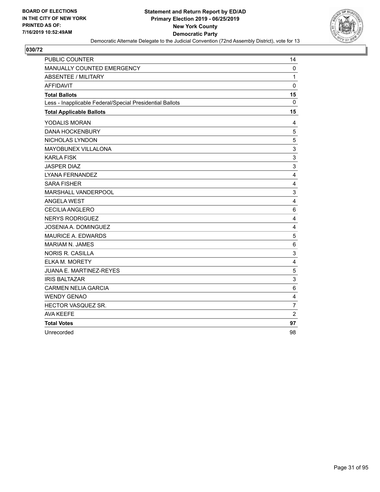

| <b>PUBLIC COUNTER</b>                                    | 14                      |
|----------------------------------------------------------|-------------------------|
| MANUALLY COUNTED EMERGENCY                               | $\mathbf 0$             |
| <b>ABSENTEE / MILITARY</b>                               | $\mathbf{1}$            |
| <b>AFFIDAVIT</b>                                         | $\mathbf 0$             |
| <b>Total Ballots</b>                                     | 15                      |
| Less - Inapplicable Federal/Special Presidential Ballots | $\mathbf{0}$            |
| <b>Total Applicable Ballots</b>                          | 15                      |
| YODALIS MORAN                                            | 4                       |
| <b>DANA HOCKENBURY</b>                                   | 5                       |
| NICHOLAS LYNDON                                          | 5                       |
| MAYOBUNEX VILLALONA                                      | 3                       |
| <b>KARLA FISK</b>                                        | 3                       |
| <b>JASPER DIAZ</b>                                       | 3                       |
| LYANA FERNANDEZ                                          | 4                       |
| <b>SARA FISHER</b>                                       | 4                       |
| MARSHALL VANDERPOOL                                      | 3                       |
| <b>ANGELA WEST</b>                                       | 4                       |
| <b>CECILIA ANGLERO</b>                                   | 6                       |
| <b>NERYS RODRIGUEZ</b>                                   | 4                       |
| JOSENIA A. DOMINGUEZ                                     | $\overline{\mathbf{4}}$ |
| <b>MAURICE A. EDWARDS</b>                                | 5                       |
| <b>MARIAM N. JAMES</b>                                   | 6                       |
| <b>NORIS R. CASILLA</b>                                  | 3                       |
| <b>ELKA M. MORETY</b>                                    | $\overline{4}$          |
| <b>JUANA E. MARTINEZ-REYES</b>                           | 5                       |
| <b>IRIS BALTAZAR</b>                                     | 3                       |
| <b>CARMEN NELIA GARCIA</b>                               | 6                       |
| <b>WENDY GENAO</b>                                       | $\overline{4}$          |
| HECTOR VASQUEZ SR.                                       | $\overline{7}$          |
| <b>AVA KEEFE</b>                                         | $\overline{2}$          |
| <b>Total Votes</b>                                       | 97                      |
| Unrecorded                                               | 98                      |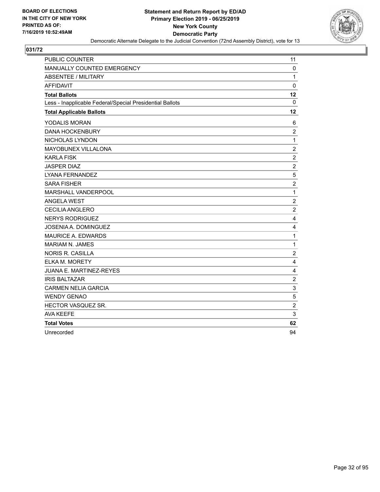

| <b>PUBLIC COUNTER</b>                                    | 11                      |
|----------------------------------------------------------|-------------------------|
| MANUALLY COUNTED EMERGENCY                               | $\mathbf 0$             |
| <b>ABSENTEE / MILITARY</b>                               | $\mathbf{1}$            |
| <b>AFFIDAVIT</b>                                         | $\mathbf 0$             |
| <b>Total Ballots</b>                                     | 12                      |
| Less - Inapplicable Federal/Special Presidential Ballots | $\mathbf{0}$            |
| <b>Total Applicable Ballots</b>                          | 12                      |
| YODALIS MORAN                                            | 6                       |
| <b>DANA HOCKENBURY</b>                                   | $\overline{c}$          |
| NICHOLAS LYNDON                                          | $\mathbf{1}$            |
| MAYOBUNEX VILLALONA                                      | $\boldsymbol{2}$        |
| <b>KARLA FISK</b>                                        | $\overline{c}$          |
| <b>JASPER DIAZ</b>                                       | $\sqrt{2}$              |
| LYANA FERNANDEZ                                          | 5                       |
| <b>SARA FISHER</b>                                       | $\overline{c}$          |
| MARSHALL VANDERPOOL                                      | $\mathbf{1}$            |
| <b>ANGELA WEST</b>                                       | $\overline{2}$          |
| <b>CECILIA ANGLERO</b>                                   | $\overline{c}$          |
| <b>NERYS RODRIGUEZ</b>                                   | 4                       |
| JOSENIA A. DOMINGUEZ                                     | $\overline{\mathbf{4}}$ |
| <b>MAURICE A. EDWARDS</b>                                | $\mathbf{1}$            |
| <b>MARIAM N. JAMES</b>                                   | 1                       |
| <b>NORIS R. CASILLA</b>                                  | $\overline{\mathbf{c}}$ |
| <b>ELKA M. MORETY</b>                                    | $\overline{4}$          |
| <b>JUANA E. MARTINEZ-REYES</b>                           | 4                       |
| <b>IRIS BALTAZAR</b>                                     | $\overline{2}$          |
| <b>CARMEN NELIA GARCIA</b>                               | 3                       |
| <b>WENDY GENAO</b>                                       | 5                       |
| HECTOR VASQUEZ SR.                                       | $\overline{2}$          |
| <b>AVA KEEFE</b>                                         | 3                       |
| <b>Total Votes</b>                                       | 62                      |
| Unrecorded                                               | 94                      |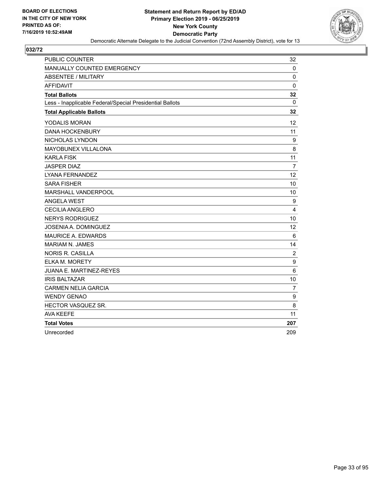

| <b>PUBLIC COUNTER</b>                                    | 32             |
|----------------------------------------------------------|----------------|
| MANUALLY COUNTED EMERGENCY                               | $\mathbf 0$    |
| <b>ABSENTEE / MILITARY</b>                               | $\mathbf 0$    |
| <b>AFFIDAVIT</b>                                         | $\mathbf 0$    |
| <b>Total Ballots</b>                                     | 32             |
| Less - Inapplicable Federal/Special Presidential Ballots | $\Omega$       |
| <b>Total Applicable Ballots</b>                          | 32             |
| YODALIS MORAN                                            | 12             |
| <b>DANA HOCKENBURY</b>                                   | 11             |
| NICHOLAS LYNDON                                          | 9              |
| MAYOBUNEX VILLALONA                                      | 8              |
| <b>KARLA FISK</b>                                        | 11             |
| <b>JASPER DIAZ</b>                                       | $\overline{7}$ |
| <b>LYANA FERNANDEZ</b>                                   | 12             |
| <b>SARA FISHER</b>                                       | 10             |
| MARSHALL VANDERPOOL                                      | 10             |
| <b>ANGELA WEST</b>                                       | 9              |
| CECILIA ANGLERO                                          | 4              |
| <b>NERYS RODRIGUEZ</b>                                   | 10             |
| JOSENIA A. DOMINGUEZ                                     | 12             |
| MAURICE A. EDWARDS                                       | 6              |
| <b>MARIAM N. JAMES</b>                                   | 14             |
| <b>NORIS R. CASILLA</b>                                  | $\overline{c}$ |
| ELKA M. MORETY                                           | 9              |
| <b>JUANA E. MARTINEZ-REYES</b>                           | 6              |
| <b>IRIS BALTAZAR</b>                                     | 10             |
| <b>CARMEN NELIA GARCIA</b>                               | $\overline{7}$ |
| <b>WENDY GENAO</b>                                       | 9              |
| HECTOR VASQUEZ SR.                                       | 8              |
| <b>AVA KEEFE</b>                                         | 11             |
| <b>Total Votes</b>                                       | 207            |
| Unrecorded                                               | 209            |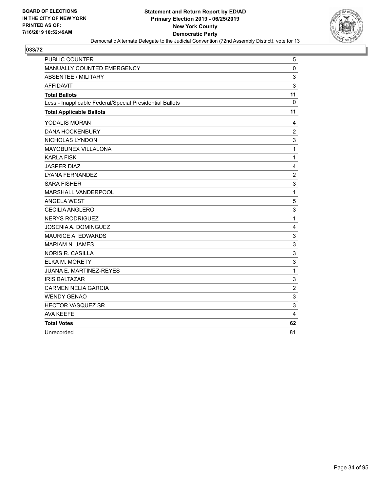

| <b>PUBLIC COUNTER</b>                                    | 5              |
|----------------------------------------------------------|----------------|
| MANUALLY COUNTED EMERGENCY                               | 0              |
| ABSENTEE / MILITARY                                      | 3              |
| <b>AFFIDAVIT</b>                                         | 3              |
| <b>Total Ballots</b>                                     | 11             |
| Less - Inapplicable Federal/Special Presidential Ballots | $\Omega$       |
| <b>Total Applicable Ballots</b>                          | 11             |
| YODALIS MORAN                                            | 4              |
| <b>DANA HOCKENBURY</b>                                   | $\overline{2}$ |
| NICHOLAS LYNDON                                          | 3              |
| MAYOBUNEX VILLALONA                                      | $\mathbf{1}$   |
| <b>KARLA FISK</b>                                        | $\mathbf{1}$   |
| <b>JASPER DIAZ</b>                                       | 4              |
| <b>LYANA FERNANDEZ</b>                                   | $\overline{c}$ |
| <b>SARA FISHER</b>                                       | 3              |
| MARSHALL VANDERPOOL                                      | $\mathbf{1}$   |
| <b>ANGELA WEST</b>                                       | 5              |
| <b>CECILIA ANGLERO</b>                                   | 3              |
| <b>NERYS RODRIGUEZ</b>                                   | $\mathbf{1}$   |
| JOSENIA A. DOMINGUEZ                                     | 4              |
| <b>MAURICE A. EDWARDS</b>                                | 3              |
| <b>MARIAM N. JAMES</b>                                   | 3              |
| <b>NORIS R. CASILLA</b>                                  | 3              |
| <b>ELKA M. MORETY</b>                                    | 3              |
| <b>JUANA E. MARTINEZ-REYES</b>                           | $\mathbf 1$    |
| <b>IRIS BALTAZAR</b>                                     | 3              |
| <b>CARMEN NELIA GARCIA</b>                               | $\overline{c}$ |
| <b>WENDY GENAO</b>                                       | 3              |
| HECTOR VASQUEZ SR.                                       | 3              |
| <b>AVA KEEFE</b>                                         | 4              |
| <b>Total Votes</b>                                       | 62             |
| Unrecorded                                               | 81             |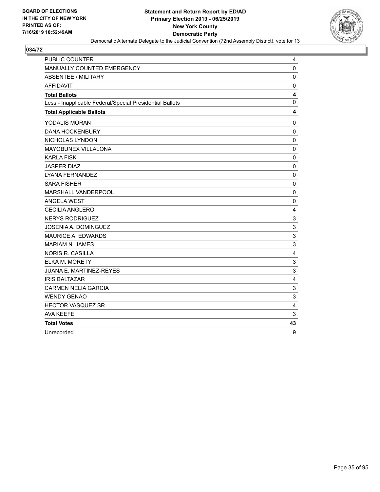

| <b>PUBLIC COUNTER</b>                                    | 4                       |
|----------------------------------------------------------|-------------------------|
| MANUALLY COUNTED EMERGENCY                               | $\mathbf 0$             |
| <b>ABSENTEE / MILITARY</b>                               | $\mathbf 0$             |
| <b>AFFIDAVIT</b>                                         | $\mathbf 0$             |
| <b>Total Ballots</b>                                     | 4                       |
| Less - Inapplicable Federal/Special Presidential Ballots | $\mathbf 0$             |
| <b>Total Applicable Ballots</b>                          | $\overline{\mathbf{4}}$ |
| YODALIS MORAN                                            | $\pmb{0}$               |
| <b>DANA HOCKENBURY</b>                                   | $\mathbf 0$             |
| NICHOLAS LYNDON                                          | $\mathbf 0$             |
| MAYOBUNEX VILLALONA                                      | $\mathbf 0$             |
| <b>KARLA FISK</b>                                        | $\mathbf 0$             |
| <b>JASPER DIAZ</b>                                       | $\mathbf 0$             |
| LYANA FERNANDEZ                                          | $\mathbf 0$             |
| <b>SARA FISHER</b>                                       | $\mathbf 0$             |
| MARSHALL VANDERPOOL                                      | $\Omega$                |
| <b>ANGELA WEST</b>                                       | 0                       |
| <b>CECILIA ANGLERO</b>                                   | $\overline{4}$          |
| <b>NERYS RODRIGUEZ</b>                                   | $\mathsf 3$             |
| JOSENIA A. DOMINGUEZ                                     | 3                       |
| <b>MAURICE A. EDWARDS</b>                                | 3                       |
| MARIAM N. JAMES                                          | 3                       |
| <b>NORIS R. CASILLA</b>                                  | 4                       |
| <b>ELKA M. MORETY</b>                                    | 3                       |
| <b>JUANA E. MARTINEZ-REYES</b>                           | $\sqrt{3}$              |
| <b>IRIS BALTAZAR</b>                                     | 4                       |
| <b>CARMEN NELIA GARCIA</b>                               | 3                       |
| <b>WENDY GENAO</b>                                       | 3                       |
| HECTOR VASQUEZ SR.                                       | 4                       |
| <b>AVA KEEFE</b>                                         | 3                       |
| <b>Total Votes</b>                                       | 43                      |
| Unrecorded                                               | 9                       |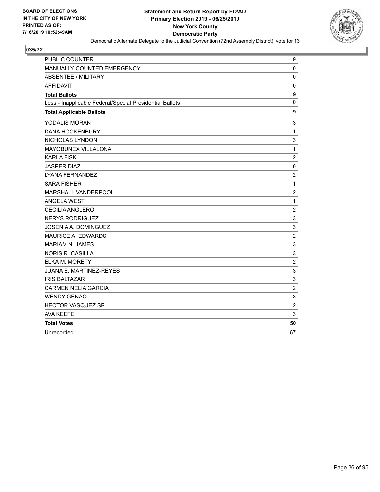

| <b>PUBLIC COUNTER</b>                                    | 9                         |
|----------------------------------------------------------|---------------------------|
| MANUALLY COUNTED EMERGENCY                               | 0                         |
| <b>ABSENTEE / MILITARY</b>                               | $\mathbf 0$               |
| <b>AFFIDAVIT</b>                                         | $\mathbf 0$               |
| <b>Total Ballots</b>                                     | $\boldsymbol{9}$          |
| Less - Inapplicable Federal/Special Presidential Ballots | $\mathbf 0$               |
| <b>Total Applicable Ballots</b>                          | 9                         |
| YODALIS MORAN                                            | 3                         |
| <b>DANA HOCKENBURY</b>                                   | $\mathbf{1}$              |
| NICHOLAS LYNDON                                          | 3                         |
| MAYOBUNEX VILLALONA                                      | $\mathbf{1}$              |
| <b>KARLA FISK</b>                                        | $\boldsymbol{2}$          |
| <b>JASPER DIAZ</b>                                       | 0                         |
| LYANA FERNANDEZ                                          | $\overline{c}$            |
| <b>SARA FISHER</b>                                       | $\mathbf 1$               |
| MARSHALL VANDERPOOL                                      | $\boldsymbol{2}$          |
| <b>ANGELA WEST</b>                                       | $\mathbf{1}$              |
| <b>CECILIA ANGLERO</b>                                   | $\overline{c}$            |
| <b>NERYS RODRIGUEZ</b>                                   | 3                         |
| JOSENIA A. DOMINGUEZ                                     | 3                         |
| <b>MAURICE A. EDWARDS</b>                                | $\overline{c}$            |
| <b>MARIAM N. JAMES</b>                                   | 3                         |
| <b>NORIS R. CASILLA</b>                                  | $\ensuremath{\mathsf{3}}$ |
| ELKA M. MORETY                                           | $\overline{c}$            |
| JUANA E. MARTINEZ-REYES                                  | 3                         |
| <b>IRIS BALTAZAR</b>                                     | 3                         |
| <b>CARMEN NELIA GARCIA</b>                               | $\overline{c}$            |
| <b>WENDY GENAO</b>                                       | 3                         |
| HECTOR VASQUEZ SR.                                       | $\boldsymbol{2}$          |
| <b>AVA KEEFE</b>                                         | 3                         |
| <b>Total Votes</b>                                       | 50                        |
| Unrecorded                                               | 67                        |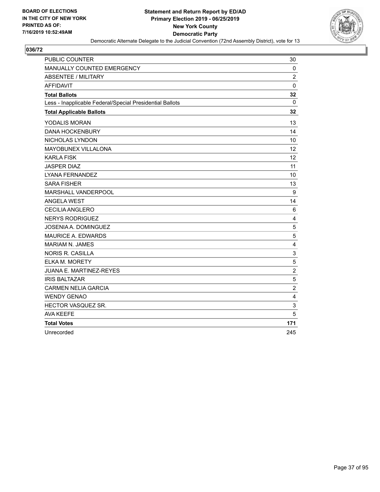

| <b>PUBLIC COUNTER</b>                                    | 30                      |
|----------------------------------------------------------|-------------------------|
| MANUALLY COUNTED EMERGENCY                               | $\mathbf{0}$            |
| <b>ABSENTEE / MILITARY</b>                               | $\overline{c}$          |
| <b>AFFIDAVIT</b>                                         | $\mathbf 0$             |
| <b>Total Ballots</b>                                     | 32                      |
| Less - Inapplicable Federal/Special Presidential Ballots | 0                       |
| <b>Total Applicable Ballots</b>                          | 32                      |
| <b>YODALIS MORAN</b>                                     | 13                      |
| <b>DANA HOCKENBURY</b>                                   | 14                      |
| NICHOLAS LYNDON                                          | 10                      |
| <b>MAYOBUNEX VILLALONA</b>                               | 12                      |
| <b>KARLA FISK</b>                                        | 12                      |
| <b>JASPER DIAZ</b>                                       | 11                      |
| LYANA FERNANDEZ                                          | 10                      |
| <b>SARA FISHER</b>                                       | 13                      |
| MARSHALL VANDERPOOL                                      | 9                       |
| <b>ANGELA WEST</b>                                       | 14                      |
| <b>CECILIA ANGLERO</b>                                   | 6                       |
| <b>NERYS RODRIGUEZ</b>                                   | 4                       |
| JOSENIA A. DOMINGUEZ                                     | $\sqrt{5}$              |
| <b>MAURICE A. EDWARDS</b>                                | 5                       |
| <b>MARIAM N. JAMES</b>                                   | 4                       |
| <b>NORIS R. CASILLA</b>                                  | 3                       |
| ELKA M. MORETY                                           | 5                       |
| JUANA E. MARTINEZ-REYES                                  | $\overline{c}$          |
| <b>IRIS BALTAZAR</b>                                     | 5                       |
| <b>CARMEN NELIA GARCIA</b>                               | $\overline{c}$          |
| <b>WENDY GENAO</b>                                       | $\overline{\mathbf{4}}$ |
| HECTOR VASQUEZ SR.                                       | 3                       |
| <b>AVA KEEFE</b>                                         | 5                       |
| <b>Total Votes</b>                                       | 171                     |
| Unrecorded                                               | 245                     |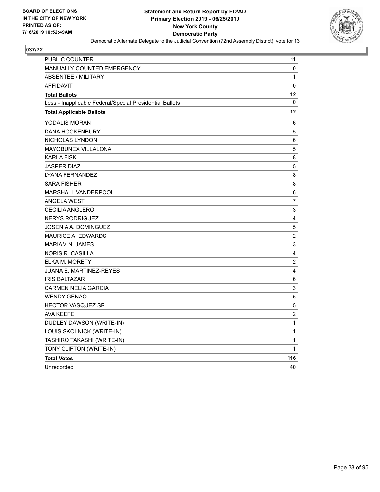

| PUBLIC COUNTER                                           | 11                      |
|----------------------------------------------------------|-------------------------|
| <b>MANUALLY COUNTED EMERGENCY</b>                        | 0                       |
| <b>ABSENTEE / MILITARY</b>                               | $\mathbf 1$             |
| <b>AFFIDAVIT</b>                                         | 0                       |
| <b>Total Ballots</b>                                     | 12                      |
| Less - Inapplicable Federal/Special Presidential Ballots | $\mathbf{0}$            |
| <b>Total Applicable Ballots</b>                          | 12                      |
| YODALIS MORAN                                            | 6                       |
| <b>DANA HOCKENBURY</b>                                   | 5                       |
| NICHOLAS LYNDON                                          | 6                       |
| MAYOBUNEX VILLALONA                                      | 5                       |
| <b>KARLA FISK</b>                                        | 8                       |
| <b>JASPER DIAZ</b>                                       | 5                       |
| LYANA FERNANDEZ                                          | 8                       |
| <b>SARA FISHER</b>                                       | 8                       |
| <b>MARSHALL VANDERPOOL</b>                               | 6                       |
| <b>ANGELA WEST</b>                                       | 7                       |
| CECILIA ANGLERO                                          | 3                       |
| <b>NERYS RODRIGUEZ</b>                                   | 4                       |
| JOSENIA A. DOMINGUEZ                                     | 5                       |
| <b>MAURICE A. EDWARDS</b>                                | $\boldsymbol{2}$        |
| <b>MARIAM N. JAMES</b>                                   | 3                       |
| <b>NORIS R. CASILLA</b>                                  | $\overline{\mathbf{4}}$ |
| <b>ELKA M. MORETY</b>                                    | $\overline{c}$          |
| JUANA E. MARTINEZ-REYES                                  | 4                       |
| <b>IRIS BALTAZAR</b>                                     | 6                       |
| <b>CARMEN NELIA GARCIA</b>                               | 3                       |
| <b>WENDY GENAO</b>                                       | 5                       |
| <b>HECTOR VASQUEZ SR.</b>                                | 5                       |
| <b>AVA KEEFE</b>                                         | $\overline{c}$          |
| DUDLEY DAWSON (WRITE-IN)                                 | $\mathbf{1}$            |
| LOUIS SKOLNICK (WRITE-IN)                                | $\mathbf{1}$            |
| TASHIRO TAKASHI (WRITE-IN)                               | $\mathbf{1}$            |
| TONY CLIFTON (WRITE-IN)                                  | 1                       |
| <b>Total Votes</b>                                       | 116                     |
| Unrecorded                                               | 40                      |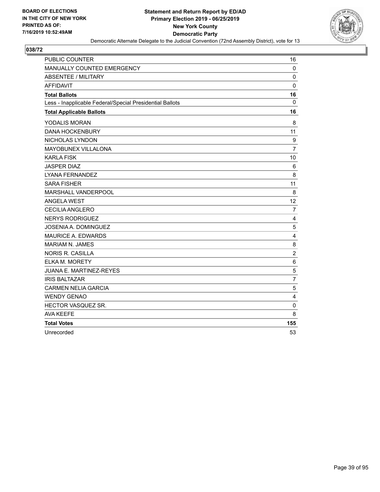

| <b>PUBLIC COUNTER</b>                                    | 16             |
|----------------------------------------------------------|----------------|
| MANUALLY COUNTED EMERGENCY                               | $\mathbf 0$    |
| <b>ABSENTEE / MILITARY</b>                               | $\mathbf 0$    |
| <b>AFFIDAVIT</b>                                         | $\mathbf 0$    |
| <b>Total Ballots</b>                                     | 16             |
| Less - Inapplicable Federal/Special Presidential Ballots | 0              |
| <b>Total Applicable Ballots</b>                          | 16             |
| YODALIS MORAN                                            | 8              |
| <b>DANA HOCKENBURY</b>                                   | 11             |
| NICHOLAS LYNDON                                          | 9              |
| MAYOBUNEX VILLALONA                                      | $\overline{7}$ |
| <b>KARLA FISK</b>                                        | 10             |
| <b>JASPER DIAZ</b>                                       | 6              |
| <b>LYANA FERNANDEZ</b>                                   | 8              |
| <b>SARA FISHER</b>                                       | 11             |
| MARSHALL VANDERPOOL                                      | 8              |
| <b>ANGELA WEST</b>                                       | 12             |
| <b>CECILIA ANGLERO</b>                                   | $\overline{7}$ |
| <b>NERYS RODRIGUEZ</b>                                   | 4              |
| <b>JOSENIA A. DOMINGUEZ</b>                              | 5              |
| <b>MAURICE A. EDWARDS</b>                                | $\overline{4}$ |
| <b>MARIAM N. JAMES</b>                                   | 8              |
| <b>NORIS R. CASILLA</b>                                  | $\overline{c}$ |
| <b>ELKA M. MORETY</b>                                    | 6              |
| <b>JUANA E. MARTINEZ-REYES</b>                           | 5              |
| <b>IRIS BALTAZAR</b>                                     | $\overline{7}$ |
| <b>CARMEN NELIA GARCIA</b>                               | 5              |
| <b>WENDY GENAO</b>                                       | 4              |
| HECTOR VASQUEZ SR.                                       | 0              |
| <b>AVA KEEFE</b>                                         | 8              |
| <b>Total Votes</b>                                       | 155            |
| Unrecorded                                               | 53             |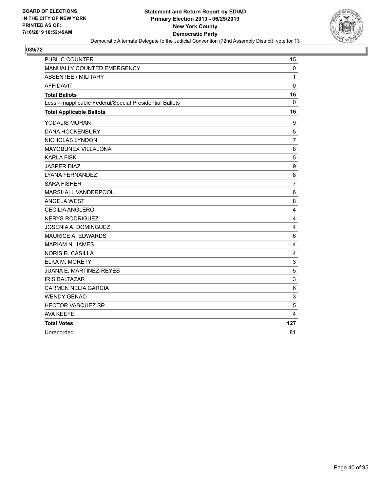

| <b>PUBLIC COUNTER</b>                                    | 15                      |
|----------------------------------------------------------|-------------------------|
| MANUALLY COUNTED EMERGENCY                               | $\mathbf 0$             |
| <b>ABSENTEE / MILITARY</b>                               | 1                       |
| <b>AFFIDAVIT</b>                                         | $\mathbf 0$             |
| <b>Total Ballots</b>                                     | 16                      |
| Less - Inapplicable Federal/Special Presidential Ballots | $\mathbf{0}$            |
| <b>Total Applicable Ballots</b>                          | 16                      |
| YODALIS MORAN                                            | 9                       |
| <b>DANA HOCKENBURY</b>                                   | 5                       |
| NICHOLAS LYNDON                                          | 7                       |
| MAYOBUNEX VILLALONA                                      | 8                       |
| <b>KARLA FISK</b>                                        | 5                       |
| <b>JASPER DIAZ</b>                                       | 9                       |
| LYANA FERNANDEZ                                          | 8                       |
| <b>SARA FISHER</b>                                       | $\overline{7}$          |
| MARSHALL VANDERPOOL                                      | 6                       |
| <b>ANGELA WEST</b>                                       | 8                       |
| <b>CECILIA ANGLERO</b>                                   | 4                       |
| <b>NERYS RODRIGUEZ</b>                                   | 4                       |
| <b>JOSENIA A. DOMINGUEZ</b>                              | $\overline{4}$          |
| <b>MAURICE A. EDWARDS</b>                                | 6                       |
| <b>MARIAM N. JAMES</b>                                   | 4                       |
| <b>NORIS R. CASILLA</b>                                  | $\overline{\mathbf{4}}$ |
| <b>ELKA M. MORETY</b>                                    | 3                       |
| JUANA E. MARTINEZ-REYES                                  | 5                       |
| <b>IRIS BALTAZAR</b>                                     | 3                       |
| <b>CARMEN NELIA GARCIA</b>                               | 6                       |
| <b>WENDY GENAO</b>                                       | $\sqrt{3}$              |
| HECTOR VASQUEZ SR.                                       | 5                       |
| <b>AVA KEEFE</b>                                         | 4                       |
| <b>Total Votes</b>                                       | 127                     |
| Unrecorded                                               | 81                      |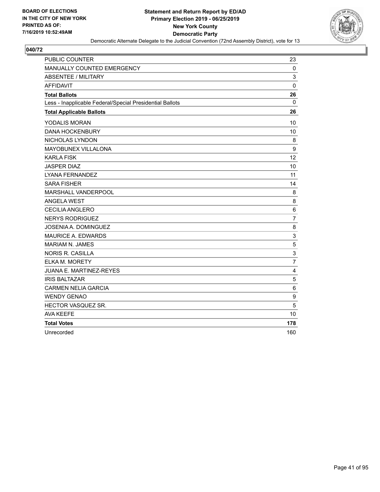

| <b>PUBLIC COUNTER</b>                                    | 23             |
|----------------------------------------------------------|----------------|
| MANUALLY COUNTED EMERGENCY                               | $\mathbf 0$    |
| <b>ABSENTEE / MILITARY</b>                               | 3              |
| <b>AFFIDAVIT</b>                                         | $\mathbf 0$    |
| <b>Total Ballots</b>                                     | 26             |
| Less - Inapplicable Federal/Special Presidential Ballots | $\mathbf{0}$   |
| <b>Total Applicable Ballots</b>                          | 26             |
| YODALIS MORAN                                            | 10             |
| <b>DANA HOCKENBURY</b>                                   | 10             |
| NICHOLAS LYNDON                                          | 8              |
| MAYOBUNEX VILLALONA                                      | 9              |
| <b>KARLA FISK</b>                                        | 12             |
| <b>JASPER DIAZ</b>                                       | 10             |
| <b>LYANA FERNANDEZ</b>                                   | 11             |
| <b>SARA FISHER</b>                                       | 14             |
| MARSHALL VANDERPOOL                                      | 8              |
| <b>ANGELA WEST</b>                                       | 8              |
| CECILIA ANGLERO                                          | 6              |
| <b>NERYS RODRIGUEZ</b>                                   | $\overline{7}$ |
| <b>JOSENIA A. DOMINGUEZ</b>                              | 8              |
| <b>MAURICE A. EDWARDS</b>                                | 3              |
| <b>MARIAM N. JAMES</b>                                   | 5              |
| <b>NORIS R. CASILLA</b>                                  | 3              |
| ELKA M. MORETY                                           | $\overline{7}$ |
| JUANA E. MARTINEZ-REYES                                  | 4              |
| <b>IRIS BALTAZAR</b>                                     | $\mathbf 5$    |
| <b>CARMEN NELIA GARCIA</b>                               | 6              |
| <b>WENDY GENAO</b>                                       | 9              |
| HECTOR VASQUEZ SR.                                       | 5              |
| <b>AVA KEEFE</b>                                         | 10             |
| <b>Total Votes</b>                                       | 178            |
| Unrecorded                                               | 160            |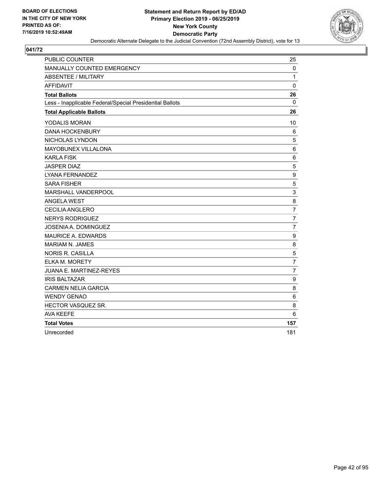

| <b>PUBLIC COUNTER</b>                                    | 25             |
|----------------------------------------------------------|----------------|
| MANUALLY COUNTED EMERGENCY                               | 0              |
| <b>ABSENTEE / MILITARY</b>                               | $\mathbf{1}$   |
| <b>AFFIDAVIT</b>                                         | $\mathbf 0$    |
| <b>Total Ballots</b>                                     | 26             |
| Less - Inapplicable Federal/Special Presidential Ballots | $\mathbf{0}$   |
| <b>Total Applicable Ballots</b>                          | 26             |
| YODALIS MORAN                                            | 10             |
| <b>DANA HOCKENBURY</b>                                   | 6              |
| NICHOLAS LYNDON                                          | 5              |
| MAYOBUNEX VILLALONA                                      | 6              |
| <b>KARLA FISK</b>                                        | 6              |
| <b>JASPER DIAZ</b>                                       | 5              |
| LYANA FERNANDEZ                                          | 9              |
| <b>SARA FISHER</b>                                       | 5              |
| MARSHALL VANDERPOOL                                      | 3              |
| <b>ANGELA WEST</b>                                       | 8              |
| <b>CECILIA ANGLERO</b>                                   | $\overline{7}$ |
| <b>NERYS RODRIGUEZ</b>                                   | $\overline{7}$ |
| <b>JOSENIA A. DOMINGUEZ</b>                              | $\overline{7}$ |
| <b>MAURICE A. EDWARDS</b>                                | 9              |
| <b>MARIAM N. JAMES</b>                                   | 8              |
| <b>NORIS R. CASILLA</b>                                  | 5              |
| <b>ELKA M. MORETY</b>                                    | $\overline{7}$ |
| <b>JUANA E. MARTINEZ-REYES</b>                           | $\overline{7}$ |
| <b>IRIS BALTAZAR</b>                                     | 9              |
| <b>CARMEN NELIA GARCIA</b>                               | 8              |
| <b>WENDY GENAO</b>                                       | 6              |
| HECTOR VASQUEZ SR.                                       | 8              |
| <b>AVA KEEFE</b>                                         | 6              |
| <b>Total Votes</b>                                       | 157            |
| Unrecorded                                               | 181            |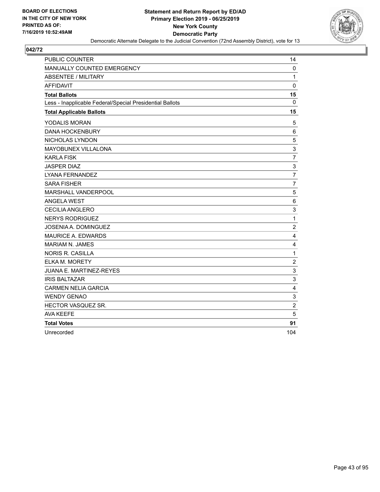

| <b>PUBLIC COUNTER</b>                                    | 14             |
|----------------------------------------------------------|----------------|
| MANUALLY COUNTED EMERGENCY                               | $\mathbf 0$    |
| ABSENTEE / MILITARY                                      | $\mathbf{1}$   |
| <b>AFFIDAVIT</b>                                         | $\mathbf{0}$   |
| <b>Total Ballots</b>                                     | 15             |
| Less - Inapplicable Federal/Special Presidential Ballots | 0              |
| <b>Total Applicable Ballots</b>                          | 15             |
| YODALIS MORAN                                            | 5              |
| <b>DANA HOCKENBURY</b>                                   | 6              |
| NICHOLAS LYNDON                                          | 5              |
| MAYOBUNEX VILLALONA                                      | 3              |
| <b>KARLA FISK</b>                                        | $\overline{7}$ |
| <b>JASPER DIAZ</b>                                       | 3              |
| LYANA FERNANDEZ                                          | $\overline{7}$ |
| <b>SARA FISHER</b>                                       | $\overline{7}$ |
| MARSHALL VANDERPOOL                                      | 5              |
| <b>ANGELA WEST</b>                                       | 6              |
| <b>CECILIA ANGLERO</b>                                   | 3              |
| <b>NERYS RODRIGUEZ</b>                                   | $\mathbf{1}$   |
| <b>JOSENIA A. DOMINGUEZ</b>                              | $\overline{c}$ |
| <b>MAURICE A. EDWARDS</b>                                | 4              |
| <b>MARIAM N. JAMES</b>                                   | 4              |
| <b>NORIS R. CASILLA</b>                                  | $\mathbf{1}$   |
| ELKA M. MORETY                                           | $\overline{c}$ |
| JUANA E. MARTINEZ-REYES                                  | 3              |
| <b>IRIS BALTAZAR</b>                                     | 3              |
| <b>CARMEN NELIA GARCIA</b>                               | $\overline{4}$ |
| <b>WENDY GENAO</b>                                       | 3              |
| HECTOR VASQUEZ SR.                                       | $\overline{c}$ |
| <b>AVA KEEFE</b>                                         | 5              |
| <b>Total Votes</b>                                       | 91             |
| Unrecorded                                               | 104            |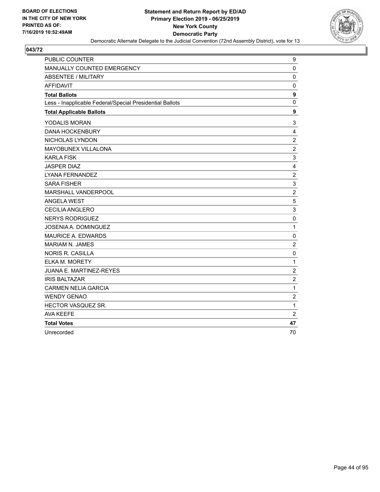

| <b>PUBLIC COUNTER</b>                                    | 9                |
|----------------------------------------------------------|------------------|
| MANUALLY COUNTED EMERGENCY                               | $\mathbf 0$      |
| <b>ABSENTEE / MILITARY</b>                               | $\mathbf 0$      |
| <b>AFFIDAVIT</b>                                         | $\mathbf 0$      |
| <b>Total Ballots</b>                                     | 9                |
| Less - Inapplicable Federal/Special Presidential Ballots | $\mathbf 0$      |
| <b>Total Applicable Ballots</b>                          | $\boldsymbol{9}$ |
| YODALIS MORAN                                            | 3                |
| <b>DANA HOCKENBURY</b>                                   | 4                |
| NICHOLAS LYNDON                                          | $\overline{c}$   |
| MAYOBUNEX VILLALONA                                      | $\overline{2}$   |
| <b>KARLA FISK</b>                                        | 3                |
| <b>JASPER DIAZ</b>                                       | 4                |
| <b>LYANA FERNANDEZ</b>                                   | $\overline{c}$   |
| <b>SARA FISHER</b>                                       | 3                |
| MARSHALL VANDERPOOL                                      | $\overline{2}$   |
| <b>ANGELA WEST</b>                                       | 5                |
| <b>CECILIA ANGLERO</b>                                   | 3                |
| <b>NERYS RODRIGUEZ</b>                                   | $\mathbf 0$      |
| JOSENIA A. DOMINGUEZ                                     | $\mathbf{1}$     |
| <b>MAURICE A. EDWARDS</b>                                | $\mathbf 0$      |
| <b>MARIAM N. JAMES</b>                                   | $\overline{c}$   |
| <b>NORIS R. CASILLA</b>                                  | 0                |
| <b>ELKA M. MORETY</b>                                    | $\mathbf{1}$     |
| <b>JUANA E. MARTINEZ-REYES</b>                           | $\overline{c}$   |
| <b>IRIS BALTAZAR</b>                                     | $\overline{c}$   |
| <b>CARMEN NELIA GARCIA</b>                               | $\mathbf{1}$     |
| <b>WENDY GENAO</b>                                       | $\overline{2}$   |
| HECTOR VASQUEZ SR.                                       | $\mathbf{1}$     |
| <b>AVA KEEFE</b>                                         | $\overline{2}$   |
| <b>Total Votes</b>                                       | 47               |
| Unrecorded                                               | 70               |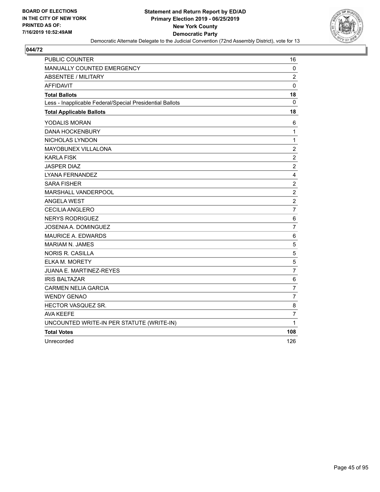

| <b>PUBLIC COUNTER</b>                                    | 16                      |
|----------------------------------------------------------|-------------------------|
| MANUALLY COUNTED EMERGENCY                               | 0                       |
| <b>ABSENTEE / MILITARY</b>                               | $\overline{c}$          |
| <b>AFFIDAVIT</b>                                         | $\mathbf 0$             |
| <b>Total Ballots</b>                                     | 18                      |
| Less - Inapplicable Federal/Special Presidential Ballots | 0                       |
| <b>Total Applicable Ballots</b>                          | 18                      |
| YODALIS MORAN                                            | 6                       |
| <b>DANA HOCKENBURY</b>                                   | 1                       |
| NICHOLAS LYNDON                                          | $\mathbf{1}$            |
| <b>MAYOBUNEX VILLALONA</b>                               | $\boldsymbol{2}$        |
| <b>KARLA FISK</b>                                        | $\overline{c}$          |
| <b>JASPER DIAZ</b>                                       | $\overline{c}$          |
| LYANA FERNANDEZ                                          | $\overline{\mathbf{4}}$ |
| <b>SARA FISHER</b>                                       | $\overline{c}$          |
| MARSHALL VANDERPOOL                                      | $\overline{c}$          |
| <b>ANGELA WEST</b>                                       | $\boldsymbol{2}$        |
| CECILIA ANGLERO                                          | $\overline{7}$          |
| <b>NERYS RODRIGUEZ</b>                                   | 6                       |
| JOSENIA A. DOMINGUEZ                                     | $\overline{7}$          |
| <b>MAURICE A. EDWARDS</b>                                | 6                       |
| <b>MARIAM N. JAMES</b>                                   | 5                       |
| <b>NORIS R. CASILLA</b>                                  | 5                       |
| ELKA M. MORETY                                           | 5                       |
| JUANA E. MARTINEZ-REYES                                  | $\overline{7}$          |
| <b>IRIS BALTAZAR</b>                                     | $\,6$                   |
| <b>CARMEN NELIA GARCIA</b>                               | $\overline{7}$          |
| <b>WENDY GENAO</b>                                       | $\overline{7}$          |
| HECTOR VASQUEZ SR.                                       | 8                       |
| <b>AVA KEEFE</b>                                         | $\overline{7}$          |
| UNCOUNTED WRITE-IN PER STATUTE (WRITE-IN)                | $\mathbf{1}$            |
| <b>Total Votes</b>                                       | 108                     |
| Unrecorded                                               | 126                     |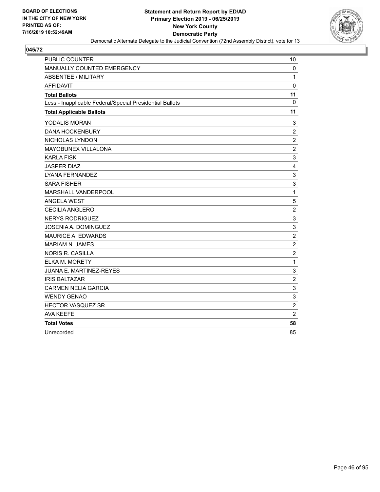

| <b>PUBLIC COUNTER</b>                                    | 10             |
|----------------------------------------------------------|----------------|
| MANUALLY COUNTED EMERGENCY                               | 0              |
| ABSENTEE / MILITARY                                      | $\mathbf{1}$   |
| <b>AFFIDAVIT</b>                                         | $\mathbf 0$    |
| <b>Total Ballots</b>                                     | 11             |
| Less - Inapplicable Federal/Special Presidential Ballots | $\mathbf{0}$   |
| <b>Total Applicable Ballots</b>                          | 11             |
| YODALIS MORAN                                            | 3              |
| <b>DANA HOCKENBURY</b>                                   | $\overline{c}$ |
| NICHOLAS LYNDON                                          | $\overline{c}$ |
| MAYOBUNEX VILLALONA                                      | $\overline{2}$ |
| <b>KARLA FISK</b>                                        | 3              |
| <b>JASPER DIAZ</b>                                       | 4              |
| <b>LYANA FERNANDEZ</b>                                   | 3              |
| <b>SARA FISHER</b>                                       | 3              |
| MARSHALL VANDERPOOL                                      | $\mathbf{1}$   |
| <b>ANGELA WEST</b>                                       | 5              |
| <b>CECILIA ANGLERO</b>                                   | $\overline{c}$ |
| <b>NERYS RODRIGUEZ</b>                                   | 3              |
| JOSENIA A. DOMINGUEZ                                     | 3              |
| <b>MAURICE A. EDWARDS</b>                                | $\overline{c}$ |
| <b>MARIAM N. JAMES</b>                                   | $\overline{c}$ |
| <b>NORIS R. CASILLA</b>                                  | $\overline{c}$ |
| <b>ELKA M. MORETY</b>                                    | $\mathbf{1}$   |
| <b>JUANA E. MARTINEZ-REYES</b>                           | 3              |
| <b>IRIS BALTAZAR</b>                                     | $\overline{c}$ |
| <b>CARMEN NELIA GARCIA</b>                               | 3              |
| <b>WENDY GENAO</b>                                       | 3              |
| HECTOR VASQUEZ SR.                                       | $\overline{c}$ |
| <b>AVA KEEFE</b>                                         | $\overline{2}$ |
| <b>Total Votes</b>                                       | 58             |
| Unrecorded                                               | 85             |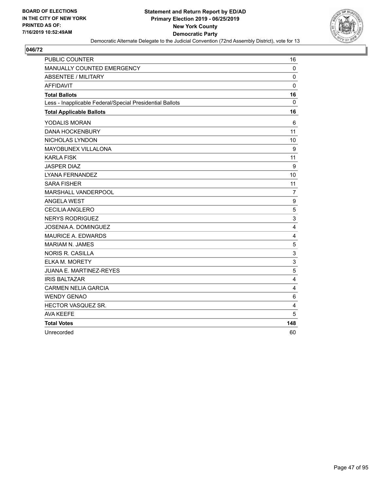

| PUBLIC COUNTER                                           | 16                        |
|----------------------------------------------------------|---------------------------|
| MANUALLY COUNTED EMERGENCY                               | $\mathbf{0}$              |
| <b>ABSENTEE / MILITARY</b>                               | $\pmb{0}$                 |
| <b>AFFIDAVIT</b>                                         | $\mathbf 0$               |
| <b>Total Ballots</b>                                     | 16                        |
| Less - Inapplicable Federal/Special Presidential Ballots | $\mathbf{0}$              |
| <b>Total Applicable Ballots</b>                          | 16                        |
| YODALIS MORAN                                            | 6                         |
| <b>DANA HOCKENBURY</b>                                   | 11                        |
| NICHOLAS LYNDON                                          | 10                        |
| MAYOBUNEX VILLALONA                                      | 9                         |
| <b>KARLA FISK</b>                                        | 11                        |
| <b>JASPER DIAZ</b>                                       | 9                         |
| LYANA FERNANDEZ                                          | 10                        |
| <b>SARA FISHER</b>                                       | 11                        |
| MARSHALL VANDERPOOL                                      | $\overline{7}$            |
| <b>ANGELA WEST</b>                                       | 9                         |
| <b>CECILIA ANGLERO</b>                                   | $\sqrt{5}$                |
| <b>NERYS RODRIGUEZ</b>                                   | $\ensuremath{\mathsf{3}}$ |
| <b>JOSENIA A. DOMINGUEZ</b>                              | 4                         |
| <b>MAURICE A. EDWARDS</b>                                | $\overline{4}$            |
| <b>MARIAM N. JAMES</b>                                   | 5                         |
| <b>NORIS R. CASILLA</b>                                  | 3                         |
| <b>ELKA M. MORETY</b>                                    | 3                         |
| JUANA E. MARTINEZ-REYES                                  | 5                         |
| <b>IRIS BALTAZAR</b>                                     | 4                         |
| <b>CARMEN NELIA GARCIA</b>                               | $\overline{\mathbf{4}}$   |
| <b>WENDY GENAO</b>                                       | 6                         |
| HECTOR VASQUEZ SR.                                       | $\overline{4}$            |
| <b>AVA KEEFE</b>                                         | 5                         |
| <b>Total Votes</b>                                       | 148                       |
| Unrecorded                                               | 60                        |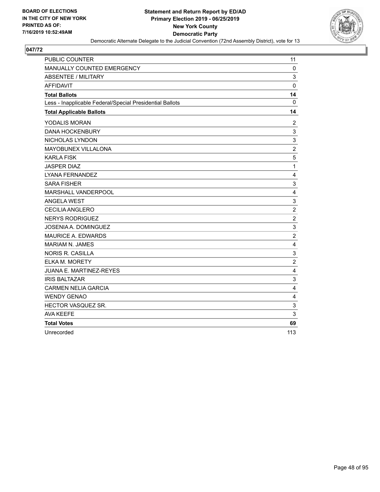

| <b>PUBLIC COUNTER</b>                                    | 11                        |
|----------------------------------------------------------|---------------------------|
| MANUALLY COUNTED EMERGENCY                               | $\mathbf 0$               |
| <b>ABSENTEE / MILITARY</b>                               | 3                         |
| <b>AFFIDAVIT</b>                                         | 0                         |
| <b>Total Ballots</b>                                     | 14                        |
| Less - Inapplicable Federal/Special Presidential Ballots | 0                         |
| <b>Total Applicable Ballots</b>                          | 14                        |
| YODALIS MORAN                                            | $\overline{2}$            |
| <b>DANA HOCKENBURY</b>                                   | 3                         |
| NICHOLAS LYNDON                                          | 3                         |
| MAYOBUNEX VILLALONA                                      | $\overline{2}$            |
| <b>KARLA FISK</b>                                        | $\sqrt{5}$                |
| <b>JASPER DIAZ</b>                                       | $\mathbf{1}$              |
| LYANA FERNANDEZ                                          | $\overline{4}$            |
| <b>SARA FISHER</b>                                       | 3                         |
| MARSHALL VANDERPOOL                                      | $\overline{4}$            |
| <b>ANGELA WEST</b>                                       | $\mathbf{3}$              |
| <b>CECILIA ANGLERO</b>                                   | $\overline{c}$            |
| <b>NERYS RODRIGUEZ</b>                                   | $\boldsymbol{2}$          |
| JOSENIA A. DOMINGUEZ                                     | $\mathsf 3$               |
| <b>MAURICE A. EDWARDS</b>                                | $\overline{c}$            |
| <b>MARIAM N. JAMES</b>                                   | 4                         |
| <b>NORIS R. CASILLA</b>                                  | 3                         |
| <b>ELKA M. MORETY</b>                                    | $\overline{c}$            |
| <b>JUANA E. MARTINEZ-REYES</b>                           | $\overline{4}$            |
| <b>IRIS BALTAZAR</b>                                     | 3                         |
| <b>CARMEN NELIA GARCIA</b>                               | $\overline{4}$            |
| <b>WENDY GENAO</b>                                       | $\overline{4}$            |
| HECTOR VASQUEZ SR.                                       | $\ensuremath{\mathsf{3}}$ |
| <b>AVA KEEFE</b>                                         | 3                         |
| <b>Total Votes</b>                                       | 69                        |
| Unrecorded                                               | 113                       |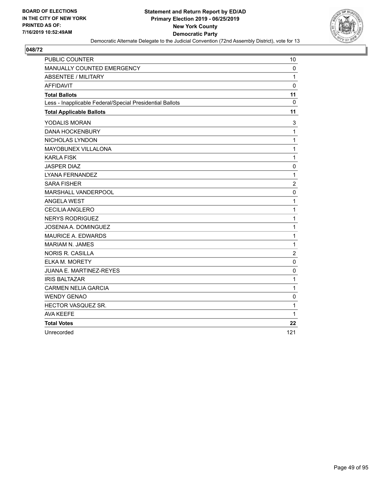

| <b>PUBLIC COUNTER</b>                                    | 10                      |
|----------------------------------------------------------|-------------------------|
| MANUALLY COUNTED EMERGENCY                               | $\mathbf 0$             |
| <b>ABSENTEE / MILITARY</b>                               | $\mathbf{1}$            |
| <b>AFFIDAVIT</b>                                         | $\mathbf 0$             |
| <b>Total Ballots</b>                                     | 11                      |
| Less - Inapplicable Federal/Special Presidential Ballots | 0                       |
| <b>Total Applicable Ballots</b>                          | 11                      |
| YODALIS MORAN                                            | 3                       |
| <b>DANA HOCKENBURY</b>                                   | $\mathbf{1}$            |
| NICHOLAS LYNDON                                          | $\mathbf{1}$            |
| MAYOBUNEX VILLALONA                                      | $\mathbf{1}$            |
| <b>KARLA FISK</b>                                        | $\mathbf{1}$            |
| <b>JASPER DIAZ</b>                                       | $\mathbf 0$             |
| LYANA FERNANDEZ                                          | $\mathbf{1}$            |
| <b>SARA FISHER</b>                                       | $\overline{c}$          |
| MARSHALL VANDERPOOL                                      | 0                       |
| <b>ANGELA WEST</b>                                       | $\mathbf{1}$            |
| <b>CECILIA ANGLERO</b>                                   | $\mathbf{1}$            |
| <b>NERYS RODRIGUEZ</b>                                   | $\mathbf 1$             |
| JOSENIA A. DOMINGUEZ                                     | $\mathbf{1}$            |
| <b>MAURICE A. EDWARDS</b>                                | $\mathbf{1}$            |
| <b>MARIAM N. JAMES</b>                                   | $\mathbf{1}$            |
| <b>NORIS R. CASILLA</b>                                  | $\overline{\mathbf{c}}$ |
| <b>ELKA M. MORETY</b>                                    | 0                       |
| <b>JUANA E. MARTINEZ-REYES</b>                           | $\mathbf 0$             |
| <b>IRIS BALTAZAR</b>                                     | $\mathbf{1}$            |
| <b>CARMEN NELIA GARCIA</b>                               | $\mathbf{1}$            |
| <b>WENDY GENAO</b>                                       | $\mathbf 0$             |
| HECTOR VASQUEZ SR.                                       | 1                       |
| <b>AVA KEEFE</b>                                         | 1                       |
| <b>Total Votes</b>                                       | 22                      |
| Unrecorded                                               | 121                     |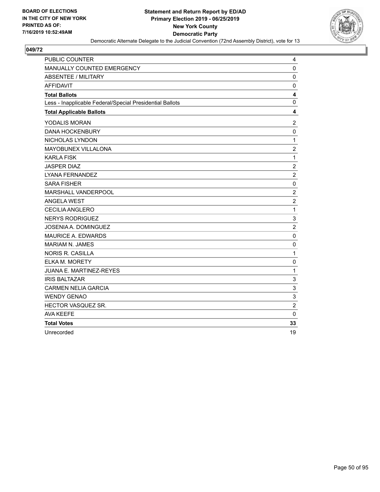

| <b>PUBLIC COUNTER</b>                                    | 4              |
|----------------------------------------------------------|----------------|
| MANUALLY COUNTED EMERGENCY                               | $\mathbf 0$    |
| <b>ABSENTEE / MILITARY</b>                               | 0              |
| <b>AFFIDAVIT</b>                                         | 0              |
| <b>Total Ballots</b>                                     | 4              |
| Less - Inapplicable Federal/Special Presidential Ballots | $\mathbf 0$    |
| <b>Total Applicable Ballots</b>                          | 4              |
| YODALIS MORAN                                            | $\overline{c}$ |
| <b>DANA HOCKENBURY</b>                                   | $\mathbf 0$    |
| NICHOLAS LYNDON                                          | $\mathbf{1}$   |
| MAYOBUNEX VILLALONA                                      | $\overline{c}$ |
| <b>KARLA FISK</b>                                        | $\mathbf{1}$   |
| <b>JASPER DIAZ</b>                                       | $\overline{c}$ |
| <b>LYANA FERNANDEZ</b>                                   | $\overline{2}$ |
| <b>SARA FISHER</b>                                       | 0              |
| MARSHALL VANDERPOOL                                      | $\overline{c}$ |
| <b>ANGELA WEST</b>                                       | $\overline{c}$ |
| <b>CECILIA ANGLERO</b>                                   | $\mathbf{1}$   |
| <b>NERYS RODRIGUEZ</b>                                   | 3              |
| JOSENIA A. DOMINGUEZ                                     | $\overline{2}$ |
| <b>MAURICE A. EDWARDS</b>                                | $\mathbf 0$    |
| <b>MARIAM N. JAMES</b>                                   | $\mathbf 0$    |
| <b>NORIS R. CASILLA</b>                                  | $\mathbf{1}$   |
| <b>ELKA M. MORETY</b>                                    | $\mathbf 0$    |
| JUANA E. MARTINEZ-REYES                                  | $\mathbf{1}$   |
| <b>IRIS BALTAZAR</b>                                     | 3              |
| <b>CARMEN NELIA GARCIA</b>                               | 3              |
| <b>WENDY GENAO</b>                                       | 3              |
| HECTOR VASQUEZ SR.                                       | $\overline{c}$ |
| <b>AVA KEEFE</b>                                         | $\mathbf 0$    |
| <b>Total Votes</b>                                       | 33             |
| Unrecorded                                               | 19             |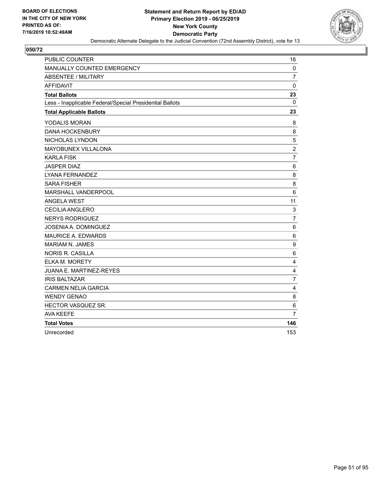

| <b>PUBLIC COUNTER</b>                                    | 16                      |
|----------------------------------------------------------|-------------------------|
| MANUALLY COUNTED EMERGENCY                               | $\mathbf 0$             |
| <b>ABSENTEE / MILITARY</b>                               | $\overline{7}$          |
| <b>AFFIDAVIT</b>                                         | $\mathbf 0$             |
| <b>Total Ballots</b>                                     | 23                      |
| Less - Inapplicable Federal/Special Presidential Ballots | $\Omega$                |
| <b>Total Applicable Ballots</b>                          | 23                      |
| YODALIS MORAN                                            | 8                       |
| <b>DANA HOCKENBURY</b>                                   | 8                       |
| NICHOLAS LYNDON                                          | 5                       |
| MAYOBUNEX VILLALONA                                      | $\overline{c}$          |
| <b>KARLA FISK</b>                                        | $\overline{7}$          |
| <b>JASPER DIAZ</b>                                       | 6                       |
| LYANA FERNANDEZ                                          | 8                       |
| <b>SARA FISHER</b>                                       | 8                       |
| MARSHALL VANDERPOOL                                      | 6                       |
| <b>ANGELA WEST</b>                                       | 11                      |
| <b>CECILIA ANGLERO</b>                                   | 3                       |
| <b>NERYS RODRIGUEZ</b>                                   | $\overline{7}$          |
| <b>JOSENIA A. DOMINGUEZ</b>                              | $6\phantom{1}6$         |
| <b>MAURICE A. EDWARDS</b>                                | 6                       |
| <b>MARIAM N. JAMES</b>                                   | 9                       |
| <b>NORIS R. CASILLA</b>                                  | 6                       |
| <b>ELKA M. MORETY</b>                                    | $\overline{4}$          |
| JUANA E. MARTINEZ-REYES                                  | 4                       |
| <b>IRIS BALTAZAR</b>                                     | $\overline{7}$          |
| <b>CARMEN NELIA GARCIA</b>                               | $\overline{\mathbf{4}}$ |
| <b>WENDY GENAO</b>                                       | 8                       |
| HECTOR VASQUEZ SR.                                       | 6                       |
| <b>AVA KEEFE</b>                                         | 7                       |
| <b>Total Votes</b>                                       | 146                     |
| Unrecorded                                               | 153                     |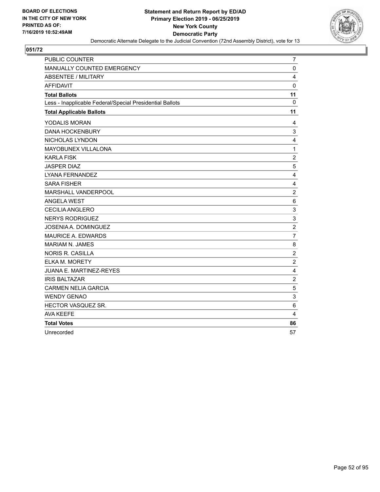

| <b>PUBLIC COUNTER</b>                                    | 7                         |
|----------------------------------------------------------|---------------------------|
| MANUALLY COUNTED EMERGENCY                               | $\mathbf 0$               |
| <b>ABSENTEE / MILITARY</b>                               | 4                         |
| <b>AFFIDAVIT</b>                                         | $\mathbf 0$               |
| <b>Total Ballots</b>                                     | 11                        |
| Less - Inapplicable Federal/Special Presidential Ballots | $\mathbf{0}$              |
| <b>Total Applicable Ballots</b>                          | 11                        |
| YODALIS MORAN                                            | 4                         |
| <b>DANA HOCKENBURY</b>                                   | 3                         |
| NICHOLAS LYNDON                                          | 4                         |
| MAYOBUNEX VILLALONA                                      | $\mathbf{1}$              |
| <b>KARLA FISK</b>                                        | $\overline{c}$            |
| <b>JASPER DIAZ</b>                                       | 5                         |
| LYANA FERNANDEZ                                          | 4                         |
| <b>SARA FISHER</b>                                       | 4                         |
| MARSHALL VANDERPOOL                                      | $\overline{2}$            |
| <b>ANGELA WEST</b>                                       | 6                         |
| <b>CECILIA ANGLERO</b>                                   | $\ensuremath{\mathsf{3}}$ |
| <b>NERYS RODRIGUEZ</b>                                   | 3                         |
| JOSENIA A. DOMINGUEZ                                     | $\overline{c}$            |
| <b>MAURICE A. EDWARDS</b>                                | $\overline{7}$            |
| <b>MARIAM N. JAMES</b>                                   | 8                         |
| <b>NORIS R. CASILLA</b>                                  | $\overline{c}$            |
| <b>ELKA M. MORETY</b>                                    | $\overline{c}$            |
| <b>JUANA E. MARTINEZ-REYES</b>                           | 4                         |
| <b>IRIS BALTAZAR</b>                                     | $\overline{\mathbf{c}}$   |
| <b>CARMEN NELIA GARCIA</b>                               | 5                         |
| <b>WENDY GENAO</b>                                       | 3                         |
| HECTOR VASQUEZ SR.                                       | 6                         |
| <b>AVA KEEFE</b>                                         | 4                         |
| <b>Total Votes</b>                                       | 86                        |
| Unrecorded                                               | 57                        |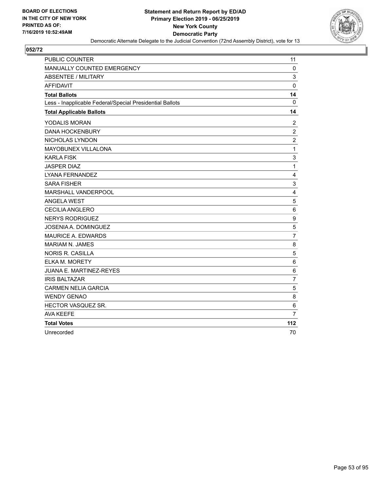

| <b>PUBLIC COUNTER</b>                                    | 11               |
|----------------------------------------------------------|------------------|
| MANUALLY COUNTED EMERGENCY                               | $\mathbf 0$      |
| <b>ABSENTEE / MILITARY</b>                               | 3                |
| <b>AFFIDAVIT</b>                                         | $\mathbf 0$      |
| <b>Total Ballots</b>                                     | 14               |
| Less - Inapplicable Federal/Special Presidential Ballots | $\mathbf{0}$     |
| <b>Total Applicable Ballots</b>                          | 14               |
| YODALIS MORAN                                            | $\overline{c}$   |
| <b>DANA HOCKENBURY</b>                                   | $\overline{c}$   |
| NICHOLAS LYNDON                                          | $\overline{c}$   |
| MAYOBUNEX VILLALONA                                      | $\mathbf{1}$     |
| <b>KARLA FISK</b>                                        | 3                |
| <b>JASPER DIAZ</b>                                       | $\mathbf{1}$     |
| LYANA FERNANDEZ                                          | 4                |
| <b>SARA FISHER</b>                                       | 3                |
| MARSHALL VANDERPOOL                                      | $\overline{4}$   |
| <b>ANGELA WEST</b>                                       | 5                |
| <b>CECILIA ANGLERO</b>                                   | 6                |
| <b>NERYS RODRIGUEZ</b>                                   | $\boldsymbol{9}$ |
| <b>JOSENIA A. DOMINGUEZ</b>                              | 5                |
| <b>MAURICE A. EDWARDS</b>                                | $\overline{7}$   |
| <b>MARIAM N. JAMES</b>                                   | 8                |
| <b>NORIS R. CASILLA</b>                                  | 5                |
| <b>ELKA M. MORETY</b>                                    | 6                |
| <b>JUANA E. MARTINEZ-REYES</b>                           | 6                |
| <b>IRIS BALTAZAR</b>                                     | 7                |
| <b>CARMEN NELIA GARCIA</b>                               | 5                |
| <b>WENDY GENAO</b>                                       | 8                |
| HECTOR VASQUEZ SR.                                       | 6                |
| <b>AVA KEEFE</b>                                         | 7                |
| <b>Total Votes</b>                                       | 112              |
| Unrecorded                                               | 70               |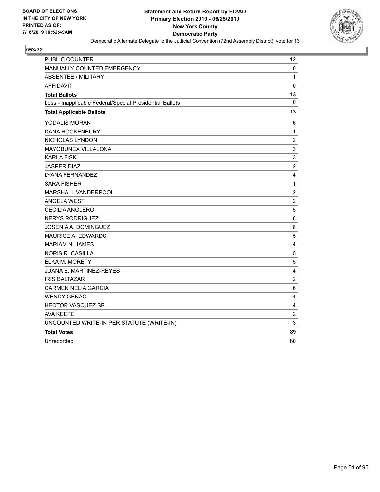

| <b>PUBLIC COUNTER</b>                                    | 12             |
|----------------------------------------------------------|----------------|
| MANUALLY COUNTED EMERGENCY                               | 0              |
| <b>ABSENTEE / MILITARY</b>                               | 1              |
| <b>AFFIDAVIT</b>                                         | 0              |
| <b>Total Ballots</b>                                     | 13             |
| Less - Inapplicable Federal/Special Presidential Ballots | 0              |
| <b>Total Applicable Ballots</b>                          | 13             |
| YODALIS MORAN                                            | 6              |
| <b>DANA HOCKENBURY</b>                                   | 1              |
| NICHOLAS LYNDON                                          | $\overline{c}$ |
| <b>MAYOBUNEX VILLALONA</b>                               | 3              |
| <b>KARLA FISK</b>                                        | $\mathsf 3$    |
| <b>JASPER DIAZ</b>                                       | $\overline{c}$ |
| <b>LYANA FERNANDEZ</b>                                   | 4              |
| <b>SARA FISHER</b>                                       | $\mathbf 1$    |
| <b>MARSHALL VANDERPOOL</b>                               | $\overline{c}$ |
| ANGELA WEST                                              | $\sqrt{2}$     |
| <b>CECILIA ANGLERO</b>                                   | 5              |
| <b>NERYS RODRIGUEZ</b>                                   | 6              |
| JOSENIA A. DOMINGUEZ                                     | 8              |
| <b>MAURICE A. EDWARDS</b>                                | 5              |
| <b>MARIAM N. JAMES</b>                                   | 4              |
| NORIS R. CASILLA                                         | 5              |
| ELKA M. MORETY                                           | 5              |
| JUANA E. MARTINEZ-REYES                                  | 4              |
| <b>IRIS BALTAZAR</b>                                     | $\overline{c}$ |
| <b>CARMEN NELIA GARCIA</b>                               | 6              |
| <b>WENDY GENAO</b>                                       | 4              |
| HECTOR VASQUEZ SR.                                       | 4              |
| AVA KEEFE                                                | $\overline{c}$ |
| UNCOUNTED WRITE-IN PER STATUTE (WRITE-IN)                | 3              |
| <b>Total Votes</b>                                       | 89             |
| Unrecorded                                               | 80             |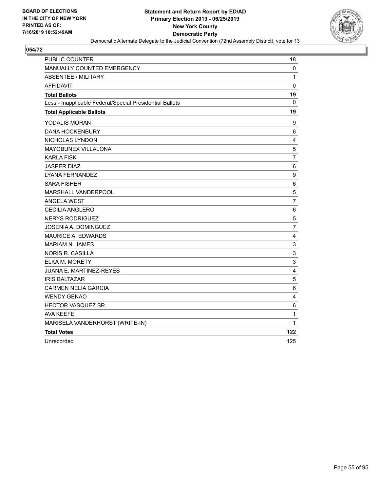

| <b>PUBLIC COUNTER</b>                                    | 18             |
|----------------------------------------------------------|----------------|
| MANUALLY COUNTED EMERGENCY                               | 0              |
| <b>ABSENTEE / MILITARY</b>                               | $\mathbf{1}$   |
| <b>AFFIDAVIT</b>                                         | $\mathbf 0$    |
| <b>Total Ballots</b>                                     | 19             |
| Less - Inapplicable Federal/Special Presidential Ballots | 0              |
| <b>Total Applicable Ballots</b>                          | 19             |
| YODALIS MORAN                                            | 9              |
| <b>DANA HOCKENBURY</b>                                   | 6              |
| NICHOLAS LYNDON                                          | 4              |
| MAYOBUNEX VILLALONA                                      | 5              |
| <b>KARLA FISK</b>                                        | $\overline{7}$ |
| <b>JASPER DIAZ</b>                                       | 6              |
| LYANA FERNANDEZ                                          | 9              |
| <b>SARA FISHER</b>                                       | 6              |
| MARSHALL VANDERPOOL                                      | 5              |
| <b>ANGELA WEST</b>                                       | $\overline{7}$ |
| <b>CECILIA ANGLERO</b>                                   | $\,6$          |
| <b>NERYS RODRIGUEZ</b>                                   | 5              |
| JOSENIA A. DOMINGUEZ                                     | $\overline{7}$ |
| MAURICE A. EDWARDS                                       | 4              |
| <b>MARIAM N. JAMES</b>                                   | 3              |
| <b>NORIS R. CASILLA</b>                                  | 3              |
| <b>ELKA M. MORETY</b>                                    | 3              |
| JUANA E. MARTINEZ-REYES                                  | 4              |
| <b>IRIS BALTAZAR</b>                                     | 5              |
| <b>CARMEN NELIA GARCIA</b>                               | $\,6$          |
| <b>WENDY GENAO</b>                                       | 4              |
| HECTOR VASQUEZ SR.                                       | 6              |
| <b>AVA KEEFE</b>                                         | $\mathbf{1}$   |
| MARISELA VANDERHORST (WRITE-IN)                          | $\mathbf 1$    |
| <b>Total Votes</b>                                       | 122            |
| Unrecorded                                               | 125            |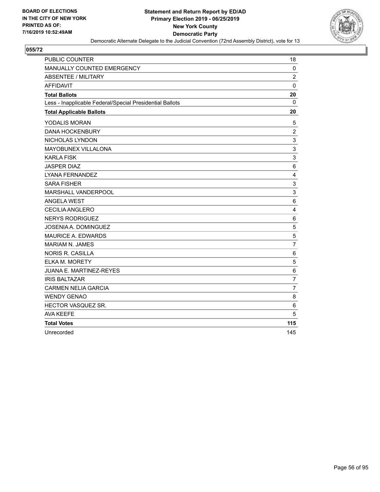

| <b>PUBLIC COUNTER</b>                                    | 18              |
|----------------------------------------------------------|-----------------|
| MANUALLY COUNTED EMERGENCY                               | $\mathbf 0$     |
| <b>ABSENTEE / MILITARY</b>                               | $\overline{2}$  |
| <b>AFFIDAVIT</b>                                         | $\mathbf 0$     |
| <b>Total Ballots</b>                                     | 20              |
| Less - Inapplicable Federal/Special Presidential Ballots | $\mathbf{0}$    |
| <b>Total Applicable Ballots</b>                          | 20              |
| YODALIS MORAN                                            | 5               |
| <b>DANA HOCKENBURY</b>                                   | $\overline{2}$  |
| NICHOLAS LYNDON                                          | 3               |
| MAYOBUNEX VILLALONA                                      | 3               |
| <b>KARLA FISK</b>                                        | 3               |
| <b>JASPER DIAZ</b>                                       | $\,6$           |
| <b>LYANA FERNANDEZ</b>                                   | $\overline{4}$  |
| <b>SARA FISHER</b>                                       | 3               |
| MARSHALL VANDERPOOL                                      | 3               |
| <b>ANGELA WEST</b>                                       | 6               |
| CECILIA ANGLERO                                          | 4               |
| <b>NERYS RODRIGUEZ</b>                                   | $6\phantom{1}6$ |
| <b>JOSENIA A. DOMINGUEZ</b>                              | $\sqrt{5}$      |
| <b>MAURICE A. EDWARDS</b>                                | 5               |
| <b>MARIAM N. JAMES</b>                                   | $\overline{7}$  |
| <b>NORIS R. CASILLA</b>                                  | 6               |
| ELKA M. MORETY                                           | 5               |
| JUANA E. MARTINEZ-REYES                                  | $\,6$           |
| <b>IRIS BALTAZAR</b>                                     | $\overline{7}$  |
| <b>CARMEN NELIA GARCIA</b>                               | $\overline{7}$  |
| <b>WENDY GENAO</b>                                       | 8               |
| HECTOR VASQUEZ SR.                                       | 6               |
| <b>AVA KEEFE</b>                                         | 5               |
| <b>Total Votes</b>                                       | 115             |
| Unrecorded                                               | 145             |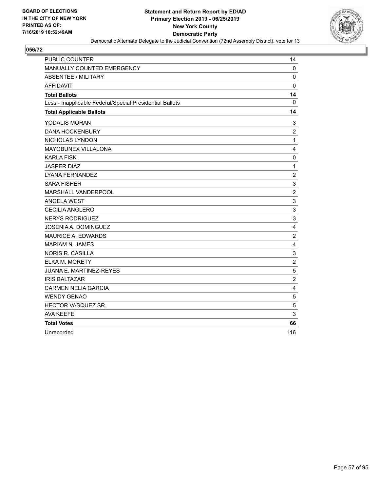

| <b>PUBLIC COUNTER</b>                                    | 14                        |
|----------------------------------------------------------|---------------------------|
| MANUALLY COUNTED EMERGENCY                               | $\mathbf 0$               |
| <b>ABSENTEE / MILITARY</b>                               | $\mathbf 0$               |
| <b>AFFIDAVIT</b>                                         | 0                         |
| <b>Total Ballots</b>                                     | 14                        |
| Less - Inapplicable Federal/Special Presidential Ballots | $\mathbf{0}$              |
| <b>Total Applicable Ballots</b>                          | 14                        |
| YODALIS MORAN                                            | 3                         |
| <b>DANA HOCKENBURY</b>                                   | $\overline{c}$            |
| NICHOLAS LYNDON                                          | $\mathbf{1}$              |
| MAYOBUNEX VILLALONA                                      | 4                         |
| <b>KARLA FISK</b>                                        | $\pmb{0}$                 |
| <b>JASPER DIAZ</b>                                       | $\mathbf{1}$              |
| LYANA FERNANDEZ                                          | $\overline{2}$            |
| <b>SARA FISHER</b>                                       | 3                         |
| MARSHALL VANDERPOOL                                      | $\overline{c}$            |
| <b>ANGELA WEST</b>                                       | $\mathsf 3$               |
| <b>CECILIA ANGLERO</b>                                   | $\ensuremath{\mathsf{3}}$ |
| <b>NERYS RODRIGUEZ</b>                                   | 3                         |
| <b>JOSENIA A. DOMINGUEZ</b>                              | $\overline{\mathbf{4}}$   |
| <b>MAURICE A. EDWARDS</b>                                | $\overline{c}$            |
| <b>MARIAM N. JAMES</b>                                   | 4                         |
| <b>NORIS R. CASILLA</b>                                  | $\mathsf 3$               |
| <b>ELKA M. MORETY</b>                                    | $\overline{c}$            |
| <b>JUANA E. MARTINEZ-REYES</b>                           | 5                         |
| <b>IRIS BALTAZAR</b>                                     | $\overline{c}$            |
| <b>CARMEN NELIA GARCIA</b>                               | 4                         |
| <b>WENDY GENAO</b>                                       | 5                         |
| HECTOR VASQUEZ SR.                                       | $\mathbf 5$               |
| <b>AVA KEEFE</b>                                         | 3                         |
| <b>Total Votes</b>                                       | 66                        |
| Unrecorded                                               | 116                       |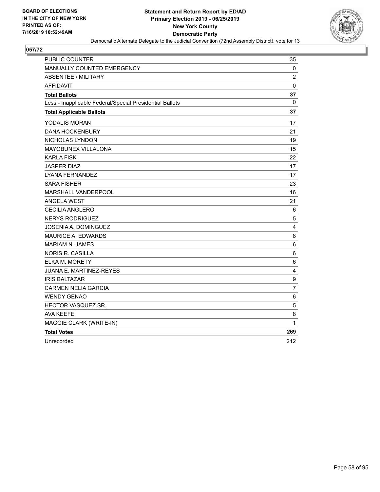

| <b>PUBLIC COUNTER</b>                                    | 35             |
|----------------------------------------------------------|----------------|
| MANUALLY COUNTED EMERGENCY                               | 0              |
| <b>ABSENTEE / MILITARY</b>                               | $\overline{c}$ |
| <b>AFFIDAVIT</b>                                         | $\mathbf 0$    |
| <b>Total Ballots</b>                                     | 37             |
| Less - Inapplicable Federal/Special Presidential Ballots | 0              |
| <b>Total Applicable Ballots</b>                          | 37             |
| YODALIS MORAN                                            | 17             |
| <b>DANA HOCKENBURY</b>                                   | 21             |
| NICHOLAS LYNDON                                          | 19             |
| MAYOBUNEX VILLALONA                                      | 15             |
| <b>KARLA FISK</b>                                        | 22             |
| <b>JASPER DIAZ</b>                                       | 17             |
| <b>LYANA FERNANDEZ</b>                                   | 17             |
| <b>SARA FISHER</b>                                       | 23             |
| MARSHALL VANDERPOOL                                      | 16             |
| <b>ANGELA WEST</b>                                       | 21             |
| <b>CECILIA ANGLERO</b>                                   | 6              |
| <b>NERYS RODRIGUEZ</b>                                   | 5              |
| JOSENIA A. DOMINGUEZ                                     | 4              |
| <b>MAURICE A. EDWARDS</b>                                | 8              |
| <b>MARIAM N. JAMES</b>                                   | 6              |
| <b>NORIS R. CASILLA</b>                                  | 6              |
| <b>ELKA M. MORETY</b>                                    | 6              |
| <b>JUANA E. MARTINEZ-REYES</b>                           | 4              |
| <b>IRIS BALTAZAR</b>                                     | 9              |
| <b>CARMEN NELIA GARCIA</b>                               | $\overline{7}$ |
| <b>WENDY GENAO</b>                                       | 6              |
| HECTOR VASQUEZ SR.                                       | 5              |
| <b>AVA KEEFE</b>                                         | 8              |
| MAGGIE CLARK (WRITE-IN)                                  | $\mathbf{1}$   |
| <b>Total Votes</b>                                       | 269            |
| Unrecorded                                               | 212            |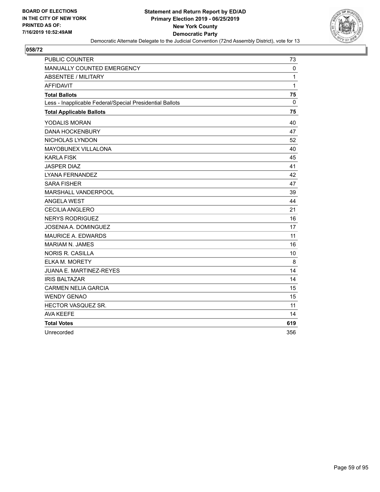

| <b>PUBLIC COUNTER</b>                                    | 73           |
|----------------------------------------------------------|--------------|
| MANUALLY COUNTED EMERGENCY                               | $\mathbf 0$  |
| <b>ABSENTEE / MILITARY</b>                               | $\mathbf{1}$ |
| <b>AFFIDAVIT</b>                                         | 1            |
| <b>Total Ballots</b>                                     | 75           |
| Less - Inapplicable Federal/Special Presidential Ballots | 0            |
| <b>Total Applicable Ballots</b>                          | 75           |
| YODALIS MORAN                                            | 40           |
| <b>DANA HOCKENBURY</b>                                   | 47           |
| NICHOLAS LYNDON                                          | 52           |
| MAYOBUNEX VILLALONA                                      | 40           |
| <b>KARLA FISK</b>                                        | 45           |
| <b>JASPER DIAZ</b>                                       | 41           |
| LYANA FERNANDEZ                                          | 42           |
| <b>SARA FISHER</b>                                       | 47           |
| MARSHALL VANDERPOOL                                      | 39           |
| <b>ANGELA WEST</b>                                       | 44           |
| CECILIA ANGLERO                                          | 21           |
| <b>NERYS RODRIGUEZ</b>                                   | 16           |
| JOSENIA A. DOMINGUEZ                                     | 17           |
| <b>MAURICE A. EDWARDS</b>                                | 11           |
| <b>MARIAM N. JAMES</b>                                   | 16           |
| <b>NORIS R. CASILLA</b>                                  | 10           |
| ELKA M. MORETY                                           | 8            |
| <b>JUANA E. MARTINEZ-REYES</b>                           | 14           |
| <b>IRIS BALTAZAR</b>                                     | 14           |
| <b>CARMEN NELIA GARCIA</b>                               | 15           |
| <b>WENDY GENAO</b>                                       | 15           |
| HECTOR VASQUEZ SR.                                       | 11           |
| <b>AVA KEEFE</b>                                         | 14           |
| <b>Total Votes</b>                                       | 619          |
| Unrecorded                                               | 356          |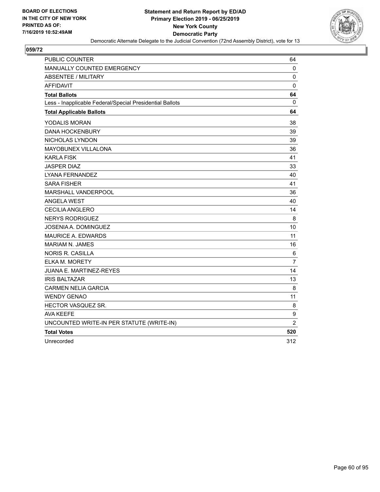

| <b>PUBLIC COUNTER</b>                                    | 64             |
|----------------------------------------------------------|----------------|
| MANUALLY COUNTED EMERGENCY                               | 0              |
| <b>ABSENTEE / MILITARY</b>                               | 0              |
| AFFIDAVIT                                                | 0              |
| <b>Total Ballots</b>                                     | 64             |
| Less - Inapplicable Federal/Special Presidential Ballots | 0              |
| <b>Total Applicable Ballots</b>                          | 64             |
| YODALIS MORAN                                            | 38             |
| <b>DANA HOCKENBURY</b>                                   | 39             |
| NICHOLAS LYNDON                                          | 39             |
| MAYOBUNEX VILLALONA                                      | 36             |
| <b>KARLA FISK</b>                                        | 41             |
| <b>JASPER DIAZ</b>                                       | 33             |
| <b>LYANA FERNANDEZ</b>                                   | 40             |
| <b>SARA FISHER</b>                                       | 41             |
| MARSHALL VANDERPOOL                                      | 36             |
| <b>ANGELA WEST</b>                                       | 40             |
| <b>CECILIA ANGLERO</b>                                   | 14             |
| <b>NERYS RODRIGUEZ</b>                                   | 8              |
| JOSENIA A. DOMINGUEZ                                     | 10             |
| MAURICE A. EDWARDS                                       | 11             |
| <b>MARIAM N. JAMES</b>                                   | 16             |
| <b>NORIS R. CASILLA</b>                                  | 6              |
| ELKA M. MORETY                                           | $\overline{7}$ |
| JUANA E. MARTINEZ-REYES                                  | 14             |
| <b>IRIS BALTAZAR</b>                                     | 13             |
| <b>CARMEN NELIA GARCIA</b>                               | 8              |
| <b>WENDY GENAO</b>                                       | 11             |
| HECTOR VASQUEZ SR.                                       | 8              |
| <b>AVA KEEFE</b>                                         | 9              |
| UNCOUNTED WRITE-IN PER STATUTE (WRITE-IN)                | $\overline{2}$ |
| <b>Total Votes</b>                                       | 520            |
| Unrecorded                                               | 312            |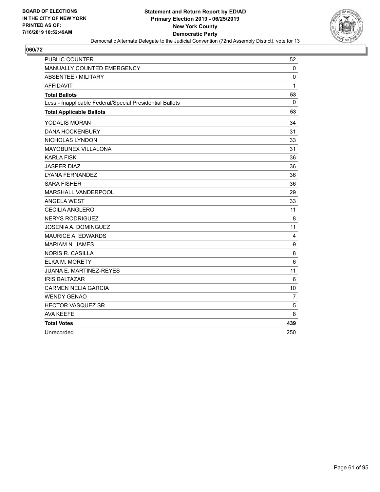

| <b>PUBLIC COUNTER</b>                                    | 52             |
|----------------------------------------------------------|----------------|
| MANUALLY COUNTED EMERGENCY                               | $\mathbf 0$    |
| <b>ABSENTEE / MILITARY</b>                               | $\mathbf 0$    |
| <b>AFFIDAVIT</b>                                         | 1              |
| <b>Total Ballots</b>                                     | 53             |
| Less - Inapplicable Federal/Special Presidential Ballots | 0              |
| <b>Total Applicable Ballots</b>                          | 53             |
| YODALIS MORAN                                            | 34             |
| <b>DANA HOCKENBURY</b>                                   | 31             |
| NICHOLAS LYNDON                                          | 33             |
| MAYOBUNEX VILLALONA                                      | 31             |
| <b>KARLA FISK</b>                                        | 36             |
| <b>JASPER DIAZ</b>                                       | 36             |
| LYANA FERNANDEZ                                          | 36             |
| <b>SARA FISHER</b>                                       | 36             |
| MARSHALL VANDERPOOL                                      | 29             |
| <b>ANGELA WEST</b>                                       | 33             |
| CECILIA ANGLERO                                          | 11             |
| <b>NERYS RODRIGUEZ</b>                                   | 8              |
| JOSENIA A. DOMINGUEZ                                     | 11             |
| <b>MAURICE A. EDWARDS</b>                                | 4              |
| <b>MARIAM N. JAMES</b>                                   | 9              |
| <b>NORIS R. CASILLA</b>                                  | 8              |
| ELKA M. MORETY                                           | 6              |
| JUANA E. MARTINEZ-REYES                                  | 11             |
| <b>IRIS BALTAZAR</b>                                     | 6              |
| <b>CARMEN NELIA GARCIA</b>                               | 10             |
| <b>WENDY GENAO</b>                                       | $\overline{7}$ |
| HECTOR VASQUEZ SR.                                       | 5              |
| <b>AVA KEEFE</b>                                         | 8              |
| <b>Total Votes</b>                                       | 439            |
| Unrecorded                                               | 250            |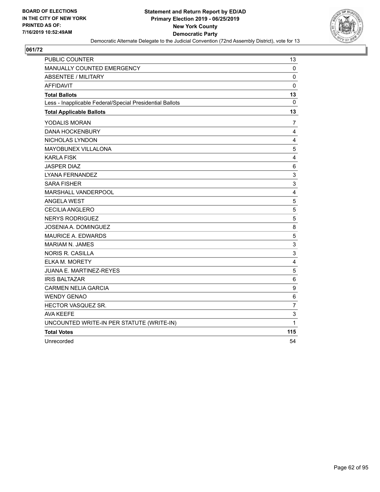

| <b>PUBLIC COUNTER</b>                                    | 13             |
|----------------------------------------------------------|----------------|
| MANUALLY COUNTED EMERGENCY                               | 0              |
| <b>ABSENTEE / MILITARY</b>                               | 0              |
| AFFIDAVIT                                                | 0              |
| <b>Total Ballots</b>                                     | 13             |
| Less - Inapplicable Federal/Special Presidential Ballots | 0              |
| <b>Total Applicable Ballots</b>                          | 13             |
| YODALIS MORAN                                            | 7              |
| <b>DANA HOCKENBURY</b>                                   | 4              |
| NICHOLAS LYNDON                                          | 4              |
| MAYOBUNEX VILLALONA                                      | 5              |
| <b>KARLA FISK</b>                                        | 4              |
| <b>JASPER DIAZ</b>                                       | 6              |
| <b>LYANA FERNANDEZ</b>                                   | 3              |
| <b>SARA FISHER</b>                                       | 3              |
| MARSHALL VANDERPOOL                                      | 4              |
| <b>ANGELA WEST</b>                                       | $\overline{5}$ |
| <b>CECILIA ANGLERO</b>                                   | $\sqrt{5}$     |
| <b>NERYS RODRIGUEZ</b>                                   | 5              |
| JOSENIA A. DOMINGUEZ                                     | 8              |
| MAURICE A. EDWARDS                                       | 5              |
| <b>MARIAM N. JAMES</b>                                   | 3              |
| <b>NORIS R. CASILLA</b>                                  | 3              |
| ELKA M. MORETY                                           | 4              |
| JUANA E. MARTINEZ-REYES                                  | $\overline{5}$ |
| <b>IRIS BALTAZAR</b>                                     | 6              |
| <b>CARMEN NELIA GARCIA</b>                               | 9              |
| <b>WENDY GENAO</b>                                       | 6              |
| HECTOR VASQUEZ SR.                                       | $\overline{7}$ |
| <b>AVA KEEFE</b>                                         | 3              |
| UNCOUNTED WRITE-IN PER STATUTE (WRITE-IN)                | 1              |
| <b>Total Votes</b>                                       | 115            |
| Unrecorded                                               | 54             |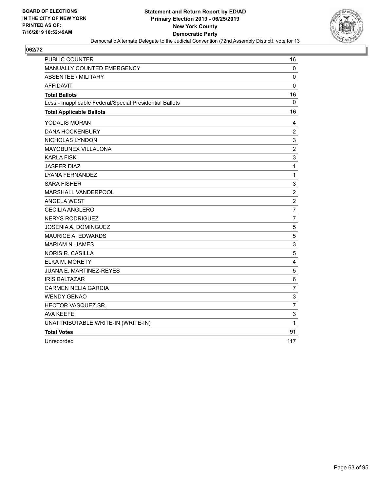

| <b>PUBLIC COUNTER</b>                                    | 16             |
|----------------------------------------------------------|----------------|
| MANUALLY COUNTED EMERGENCY                               | 0              |
| <b>ABSENTEE / MILITARY</b>                               | 0              |
| <b>AFFIDAVIT</b>                                         | 0              |
| <b>Total Ballots</b>                                     | 16             |
| Less - Inapplicable Federal/Special Presidential Ballots | 0              |
| <b>Total Applicable Ballots</b>                          | 16             |
| YODALIS MORAN                                            | 4              |
| <b>DANA HOCKENBURY</b>                                   | $\overline{c}$ |
| NICHOLAS LYNDON                                          | 3              |
| <b>MAYOBUNEX VILLALONA</b>                               | $\overline{c}$ |
| <b>KARLA FISK</b>                                        | 3              |
| <b>JASPER DIAZ</b>                                       | 1              |
| <b>LYANA FERNANDEZ</b>                                   | 1              |
| <b>SARA FISHER</b>                                       | 3              |
| <b>MARSHALL VANDERPOOL</b>                               | $\overline{c}$ |
| <b>ANGELA WEST</b>                                       | $\sqrt{2}$     |
| <b>CECILIA ANGLERO</b>                                   | $\overline{7}$ |
| <b>NERYS RODRIGUEZ</b>                                   | $\overline{7}$ |
| JOSENIA A. DOMINGUEZ                                     | 5              |
| <b>MAURICE A. EDWARDS</b>                                | 5              |
| <b>MARIAM N. JAMES</b>                                   | 3              |
| <b>NORIS R. CASILLA</b>                                  | 5              |
| ELKA M. MORETY                                           | 4              |
| JUANA E. MARTINEZ-REYES                                  | 5              |
| <b>IRIS BALTAZAR</b>                                     | $\,6$          |
| <b>CARMEN NELIA GARCIA</b>                               | $\overline{7}$ |
| <b>WENDY GENAO</b>                                       | $\mathsf 3$    |
| HECTOR VASQUEZ SR.                                       | $\overline{7}$ |
| AVA KEEFE                                                | 3              |
| UNATTRIBUTABLE WRITE-IN (WRITE-IN)                       | 1              |
| <b>Total Votes</b>                                       | 91             |
| Unrecorded                                               | 117            |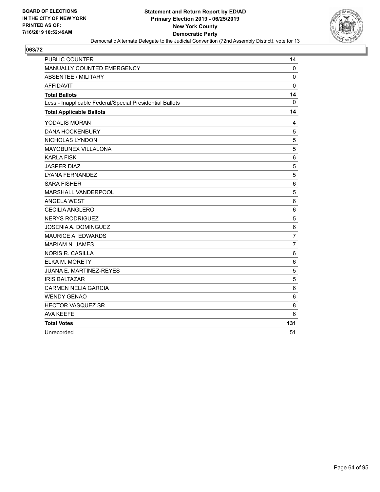

| <b>PUBLIC COUNTER</b>                                    | 14             |
|----------------------------------------------------------|----------------|
| MANUALLY COUNTED EMERGENCY                               | $\mathbf 0$    |
| <b>ABSENTEE / MILITARY</b>                               | $\mathbf 0$    |
| <b>AFFIDAVIT</b>                                         | 0              |
| <b>Total Ballots</b>                                     | 14             |
| Less - Inapplicable Federal/Special Presidential Ballots | $\mathbf{0}$   |
| <b>Total Applicable Ballots</b>                          | 14             |
| YODALIS MORAN                                            | 4              |
| <b>DANA HOCKENBURY</b>                                   | 5              |
| NICHOLAS LYNDON                                          | 5              |
| MAYOBUNEX VILLALONA                                      | 5              |
| <b>KARLA FISK</b>                                        | 6              |
| <b>JASPER DIAZ</b>                                       | 5              |
| LYANA FERNANDEZ                                          | 5              |
| <b>SARA FISHER</b>                                       | 6              |
| MARSHALL VANDERPOOL                                      | 5              |
| <b>ANGELA WEST</b>                                       | 6              |
| <b>CECILIA ANGLERO</b>                                   | 6              |
| <b>NERYS RODRIGUEZ</b>                                   | 5              |
| <b>JOSENIA A. DOMINGUEZ</b>                              | $\,6\,$        |
| <b>MAURICE A. EDWARDS</b>                                | $\overline{7}$ |
| <b>MARIAM N. JAMES</b>                                   | 7              |
| <b>NORIS R. CASILLA</b>                                  | 6              |
| <b>ELKA M. MORETY</b>                                    | 6              |
| <b>JUANA E. MARTINEZ-REYES</b>                           | 5              |
| <b>IRIS BALTAZAR</b>                                     | 5              |
| <b>CARMEN NELIA GARCIA</b>                               | 6              |
| <b>WENDY GENAO</b>                                       | 6              |
| HECTOR VASQUEZ SR.                                       | 8              |
| <b>AVA KEEFE</b>                                         | 6              |
| <b>Total Votes</b>                                       | 131            |
| Unrecorded                                               | 51             |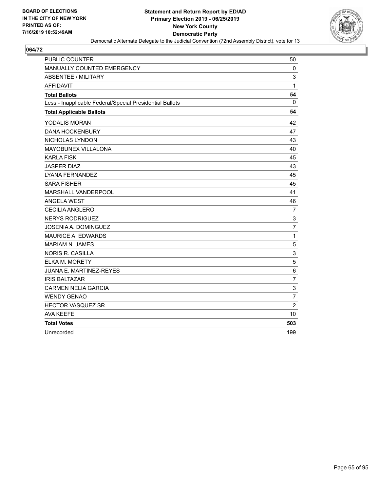

| <b>PUBLIC COUNTER</b>                                    | 50             |
|----------------------------------------------------------|----------------|
| MANUALLY COUNTED EMERGENCY                               | $\mathbf 0$    |
| <b>ABSENTEE / MILITARY</b>                               | 3              |
| <b>AFFIDAVIT</b>                                         | 1              |
| <b>Total Ballots</b>                                     | 54             |
| Less - Inapplicable Federal/Special Presidential Ballots | $\mathbf{0}$   |
| <b>Total Applicable Ballots</b>                          | 54             |
| <b>YODALIS MORAN</b>                                     | 42             |
| <b>DANA HOCKENBURY</b>                                   | 47             |
| NICHOLAS LYNDON                                          | 43             |
| MAYOBUNEX VILLALONA                                      | 40             |
| <b>KARLA FISK</b>                                        | 45             |
| <b>JASPER DIAZ</b>                                       | 43             |
| LYANA FERNANDEZ                                          | 45             |
| <b>SARA FISHER</b>                                       | 45             |
| MARSHALL VANDERPOOL                                      | 41             |
| <b>ANGELA WEST</b>                                       | 46             |
| <b>CECILIA ANGLERO</b>                                   | $\overline{7}$ |
| <b>NERYS RODRIGUEZ</b>                                   | 3              |
| <b>JOSENIA A. DOMINGUEZ</b>                              | $\overline{7}$ |
| <b>MAURICE A. EDWARDS</b>                                | $\mathbf{1}$   |
| <b>MARIAM N. JAMES</b>                                   | 5              |
| <b>NORIS R. CASILLA</b>                                  | 3              |
| <b>ELKA M. MORETY</b>                                    | 5              |
| <b>JUANA E. MARTINEZ-REYES</b>                           | $6\phantom{1}$ |
| <b>IRIS BALTAZAR</b>                                     | 7              |
| <b>CARMEN NELIA GARCIA</b>                               | 3              |
| <b>WENDY GENAO</b>                                       | $\overline{7}$ |
| HECTOR VASQUEZ SR.                                       | $\overline{2}$ |
| <b>AVA KEEFE</b>                                         | 10             |
| <b>Total Votes</b>                                       | 503            |
| Unrecorded                                               | 199            |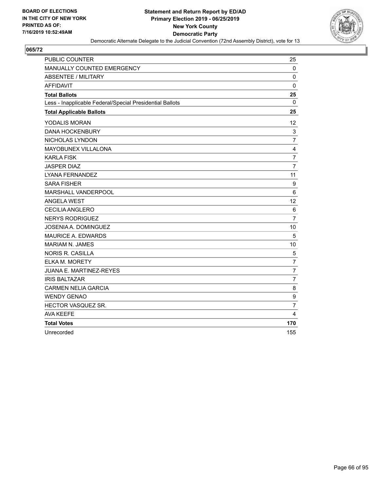

| <b>PUBLIC COUNTER</b>                                    | 25               |
|----------------------------------------------------------|------------------|
| MANUALLY COUNTED EMERGENCY                               | $\mathbf 0$      |
| <b>ABSENTEE / MILITARY</b>                               | $\mathbf 0$      |
| <b>AFFIDAVIT</b>                                         | $\mathbf 0$      |
| <b>Total Ballots</b>                                     | 25               |
| Less - Inapplicable Federal/Special Presidential Ballots | $\Omega$         |
| <b>Total Applicable Ballots</b>                          | 25               |
| YODALIS MORAN                                            | 12               |
| <b>DANA HOCKENBURY</b>                                   | $\mathsf 3$      |
| NICHOLAS LYNDON                                          | 7                |
| MAYOBUNEX VILLALONA                                      | $\overline{4}$   |
| <b>KARLA FISK</b>                                        | $\overline{7}$   |
| <b>JASPER DIAZ</b>                                       | $\overline{7}$   |
| LYANA FERNANDEZ                                          | 11               |
| <b>SARA FISHER</b>                                       | $\boldsymbol{9}$ |
| MARSHALL VANDERPOOL                                      | 6                |
| <b>ANGELA WEST</b>                                       | 12 <sup>2</sup>  |
| <b>CECILIA ANGLERO</b>                                   | 6                |
| <b>NERYS RODRIGUEZ</b>                                   | $\overline{7}$   |
| <b>JOSENIA A. DOMINGUEZ</b>                              | 10               |
| <b>MAURICE A. EDWARDS</b>                                | 5                |
| <b>MARIAM N. JAMES</b>                                   | 10               |
| <b>NORIS R. CASILLA</b>                                  | 5                |
| <b>ELKA M. MORETY</b>                                    | $\overline{7}$   |
| JUANA E. MARTINEZ-REYES                                  | $\overline{7}$   |
| <b>IRIS BALTAZAR</b>                                     | $\overline{7}$   |
| <b>CARMEN NELIA GARCIA</b>                               | 8                |
| <b>WENDY GENAO</b>                                       | 9                |
| HECTOR VASQUEZ SR.                                       | $\overline{7}$   |
| <b>AVA KEEFE</b>                                         | 4                |
| <b>Total Votes</b>                                       | 170              |
| Unrecorded                                               | 155              |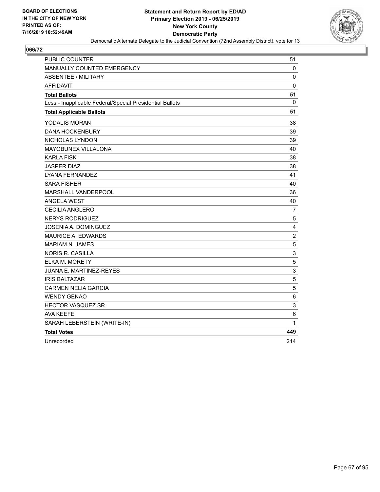

| <b>PUBLIC COUNTER</b>                                    | 51             |
|----------------------------------------------------------|----------------|
| MANUALLY COUNTED EMERGENCY                               | 0              |
| <b>ABSENTEE / MILITARY</b>                               | 0              |
| <b>AFFIDAVIT</b>                                         | 0              |
| <b>Total Ballots</b>                                     | 51             |
| Less - Inapplicable Federal/Special Presidential Ballots | 0              |
| <b>Total Applicable Ballots</b>                          | 51             |
| YODALIS MORAN                                            | 38             |
| <b>DANA HOCKENBURY</b>                                   | 39             |
| NICHOLAS LYNDON                                          | 39             |
| <b>MAYOBUNEX VILLALONA</b>                               | 40             |
| <b>KARLA FISK</b>                                        | 38             |
| <b>JASPER DIAZ</b>                                       | 38             |
| <b>LYANA FERNANDEZ</b>                                   | 41             |
| <b>SARA FISHER</b>                                       | 40             |
| MARSHALL VANDERPOOL                                      | 36             |
| <b>ANGELA WEST</b>                                       | 40             |
| <b>CECILIA ANGLERO</b>                                   | 7              |
| <b>NERYS RODRIGUEZ</b>                                   | 5              |
| JOSENIA A. DOMINGUEZ                                     | 4              |
| <b>MAURICE A. EDWARDS</b>                                | $\overline{c}$ |
| <b>MARIAM N. JAMES</b>                                   | 5              |
| NORIS R. CASILLA                                         | 3              |
| ELKA M. MORETY                                           | 5              |
| JUANA E. MARTINEZ-REYES                                  | 3              |
| <b>IRIS BALTAZAR</b>                                     | 5              |
| <b>CARMEN NELIA GARCIA</b>                               | 5              |
| <b>WENDY GENAO</b>                                       | 6              |
| <b>HECTOR VASQUEZ SR.</b>                                | 3              |
| <b>AVA KEEFE</b>                                         | 6              |
| SARAH LEBERSTEIN (WRITE-IN)                              | 1              |
| <b>Total Votes</b>                                       | 449            |
| Unrecorded                                               | 214            |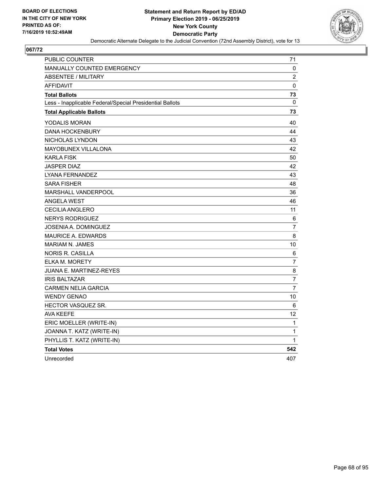

| PUBLIC COUNTER                                           | 71           |
|----------------------------------------------------------|--------------|
| <b>MANUALLY COUNTED EMERGENCY</b>                        | 0            |
| <b>ABSENTEE / MILITARY</b>                               | 2            |
| <b>AFFIDAVIT</b>                                         | $\mathbf 0$  |
| <b>Total Ballots</b>                                     | 73           |
| Less - Inapplicable Federal/Special Presidential Ballots | $\mathbf{0}$ |
| <b>Total Applicable Ballots</b>                          | 73           |
| YODALIS MORAN                                            | 40           |
| <b>DANA HOCKENBURY</b>                                   | 44           |
| NICHOLAS LYNDON                                          | 43           |
| <b>MAYOBUNEX VILLALONA</b>                               | 42           |
| <b>KARLA FISK</b>                                        | 50           |
| JASPER DIAZ                                              | 42           |
| LYANA FERNANDEZ                                          | 43           |
| <b>SARA FISHER</b>                                       | 48           |
| MARSHALL VANDERPOOL                                      | 36           |
| <b>ANGELA WEST</b>                                       | 46           |
| <b>CECILIA ANGLERO</b>                                   | 11           |
| <b>NERYS RODRIGUEZ</b>                                   | 6            |
| JOSENIA A. DOMINGUEZ                                     | 7            |
| MAURICE A. EDWARDS                                       | 8            |
| <b>MARIAM N. JAMES</b>                                   | 10           |
| <b>NORIS R. CASILLA</b>                                  | 6            |
| ELKA M. MORETY                                           | 7            |
| JUANA E. MARTINEZ-REYES                                  | 8            |
| <b>IRIS BALTAZAR</b>                                     | 7            |
| <b>CARMEN NELIA GARCIA</b>                               | 7            |
| <b>WENDY GENAO</b>                                       | 10           |
| HECTOR VASQUEZ SR.                                       | 6            |
| <b>AVA KEEFE</b>                                         | 12           |
| ERIC MOELLER (WRITE-IN)                                  | 1            |
| JOANNA T. KATZ (WRITE-IN)                                | 1            |
| PHYLLIS T. KATZ (WRITE-IN)                               | 1            |
| <b>Total Votes</b>                                       | 542          |
| Unrecorded                                               | 407          |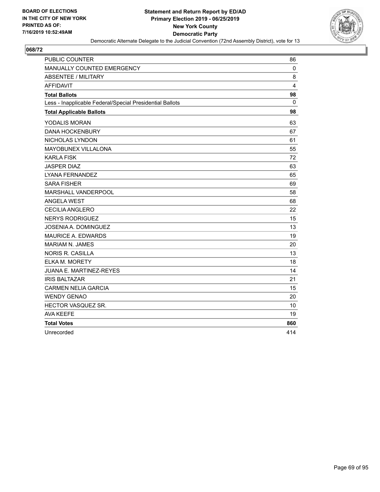

| <b>PUBLIC COUNTER</b>                                    | 86             |
|----------------------------------------------------------|----------------|
| MANUALLY COUNTED EMERGENCY                               | $\mathbf 0$    |
| <b>ABSENTEE / MILITARY</b>                               | 8              |
| <b>AFFIDAVIT</b>                                         | $\overline{4}$ |
| <b>Total Ballots</b>                                     | 98             |
| Less - Inapplicable Federal/Special Presidential Ballots | 0              |
| <b>Total Applicable Ballots</b>                          | 98             |
| <b>YODALIS MORAN</b>                                     | 63             |
| <b>DANA HOCKENBURY</b>                                   | 67             |
| NICHOLAS LYNDON                                          | 61             |
| MAYOBUNEX VILLALONA                                      | 55             |
| <b>KARLA FISK</b>                                        | 72             |
| <b>JASPER DIAZ</b>                                       | 63             |
| LYANA FERNANDEZ                                          | 65             |
| <b>SARA FISHER</b>                                       | 69             |
| MARSHALL VANDERPOOL                                      | 58             |
| <b>ANGELA WEST</b>                                       | 68             |
| CECILIA ANGLERO                                          | 22             |
| <b>NERYS RODRIGUEZ</b>                                   | 15             |
| JOSENIA A. DOMINGUEZ                                     | 13             |
| <b>MAURICE A. EDWARDS</b>                                | 19             |
| <b>MARIAM N. JAMES</b>                                   | 20             |
| <b>NORIS R. CASILLA</b>                                  | 13             |
| ELKA M. MORETY                                           | 18             |
| <b>JUANA E. MARTINEZ-REYES</b>                           | 14             |
| <b>IRIS BALTAZAR</b>                                     | 21             |
| <b>CARMEN NELIA GARCIA</b>                               | 15             |
| <b>WENDY GENAO</b>                                       | 20             |
| HECTOR VASQUEZ SR.                                       | 10             |
| <b>AVA KEEFE</b>                                         | 19             |
| <b>Total Votes</b>                                       | 860            |
| Unrecorded                                               | 414            |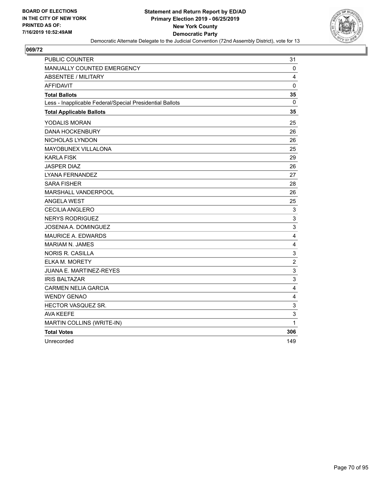

| <b>PUBLIC COUNTER</b>                                    | 31                        |
|----------------------------------------------------------|---------------------------|
| MANUALLY COUNTED EMERGENCY                               | 0                         |
| <b>ABSENTEE / MILITARY</b>                               | 4                         |
| <b>AFFIDAVIT</b>                                         | $\mathbf 0$               |
| <b>Total Ballots</b>                                     | 35                        |
| Less - Inapplicable Federal/Special Presidential Ballots | 0                         |
| <b>Total Applicable Ballots</b>                          | 35                        |
| YODALIS MORAN                                            | 25                        |
| <b>DANA HOCKENBURY</b>                                   | 26                        |
| NICHOLAS LYNDON                                          | 26                        |
| MAYOBUNEX VILLALONA                                      | 25                        |
| <b>KARLA FISK</b>                                        | 29                        |
| <b>JASPER DIAZ</b>                                       | 26                        |
| <b>LYANA FERNANDEZ</b>                                   | 27                        |
| <b>SARA FISHER</b>                                       | 28                        |
| MARSHALL VANDERPOOL                                      | 26                        |
| ANGELA WEST                                              | 25                        |
| <b>CECILIA ANGLERO</b>                                   | 3                         |
| <b>NERYS RODRIGUEZ</b>                                   | 3                         |
| JOSENIA A. DOMINGUEZ                                     | 3                         |
| MAURICE A. EDWARDS                                       | 4                         |
| <b>MARIAM N. JAMES</b>                                   | 4                         |
| <b>NORIS R. CASILLA</b>                                  | $\ensuremath{\mathsf{3}}$ |
| ELKA M. MORETY                                           | $\overline{c}$            |
| JUANA E. MARTINEZ-REYES                                  | $\ensuremath{\mathsf{3}}$ |
| <b>IRIS BALTAZAR</b>                                     | 3                         |
| <b>CARMEN NELIA GARCIA</b>                               | $\overline{4}$            |
| <b>WENDY GENAO</b>                                       | 4                         |
| HECTOR VASQUEZ SR.                                       | 3                         |
| <b>AVA KEEFE</b>                                         | 3                         |
| MARTIN COLLINS (WRITE-IN)                                | 1                         |
| <b>Total Votes</b>                                       | 306                       |
| Unrecorded                                               | 149                       |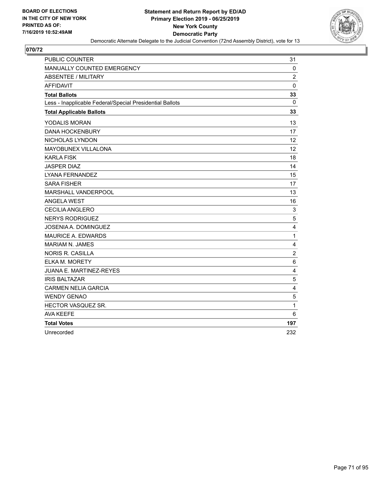

| <b>PUBLIC COUNTER</b>                                    | 31             |
|----------------------------------------------------------|----------------|
| MANUALLY COUNTED EMERGENCY                               | $\mathbf 0$    |
| <b>ABSENTEE / MILITARY</b>                               | $\overline{2}$ |
| <b>AFFIDAVIT</b>                                         | $\mathbf 0$    |
| <b>Total Ballots</b>                                     | 33             |
| Less - Inapplicable Federal/Special Presidential Ballots | $\Omega$       |
| <b>Total Applicable Ballots</b>                          | 33             |
| YODALIS MORAN                                            | 13             |
| <b>DANA HOCKENBURY</b>                                   | 17             |
| NICHOLAS LYNDON                                          | 12             |
| MAYOBUNEX VILLALONA                                      | 12             |
| <b>KARLA FISK</b>                                        | 18             |
| <b>JASPER DIAZ</b>                                       | 14             |
| <b>LYANA FERNANDEZ</b>                                   | 15             |
| <b>SARA FISHER</b>                                       | 17             |
| MARSHALL VANDERPOOL                                      | 13             |
| <b>ANGELA WEST</b>                                       | 16             |
| CECILIA ANGLERO                                          | 3              |
| <b>NERYS RODRIGUEZ</b>                                   | 5              |
| JOSENIA A. DOMINGUEZ                                     | 4              |
| MAURICE A. EDWARDS                                       | $\mathbf{1}$   |
| <b>MARIAM N. JAMES</b>                                   | 4              |
| <b>NORIS R. CASILLA</b>                                  | $\overline{c}$ |
| ELKA M. MORETY                                           | 6              |
| <b>JUANA E. MARTINEZ-REYES</b>                           | 4              |
| <b>IRIS BALTAZAR</b>                                     | $\mathbf 5$    |
| <b>CARMEN NELIA GARCIA</b>                               | 4              |
| <b>WENDY GENAO</b>                                       | 5              |
| HECTOR VASQUEZ SR.                                       | 1              |
| <b>AVA KEEFE</b>                                         | 6              |
| <b>Total Votes</b>                                       | 197            |
| Unrecorded                                               | 232            |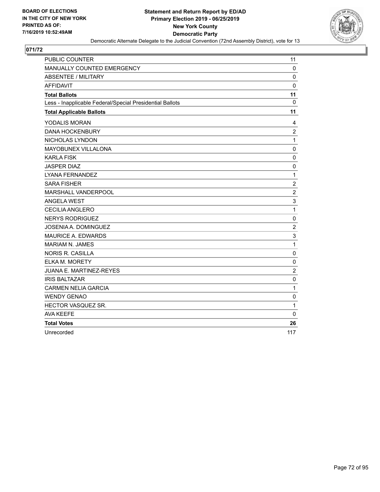

| <b>PUBLIC COUNTER</b>                                    | 11             |
|----------------------------------------------------------|----------------|
| MANUALLY COUNTED EMERGENCY                               | 0              |
| ABSENTEE / MILITARY                                      | $\mathbf 0$    |
| <b>AFFIDAVIT</b>                                         | $\mathbf 0$    |
| <b>Total Ballots</b>                                     | 11             |
| Less - Inapplicable Federal/Special Presidential Ballots | $\mathbf{0}$   |
| <b>Total Applicable Ballots</b>                          | 11             |
| YODALIS MORAN                                            | 4              |
| <b>DANA HOCKENBURY</b>                                   | $\overline{c}$ |
| NICHOLAS LYNDON                                          | $\mathbf{1}$   |
| MAYOBUNEX VILLALONA                                      | $\mathbf 0$    |
| <b>KARLA FISK</b>                                        | $\mathbf 0$    |
| <b>JASPER DIAZ</b>                                       | 0              |
| <b>LYANA FERNANDEZ</b>                                   | $\mathbf{1}$   |
| <b>SARA FISHER</b>                                       | $\overline{c}$ |
| MARSHALL VANDERPOOL                                      | $\overline{2}$ |
| <b>ANGELA WEST</b>                                       | 3              |
| <b>CECILIA ANGLERO</b>                                   | $\mathbf{1}$   |
| <b>NERYS RODRIGUEZ</b>                                   | $\mathbf 0$    |
| JOSENIA A. DOMINGUEZ                                     | $\overline{2}$ |
| <b>MAURICE A. EDWARDS</b>                                | 3              |
| <b>MARIAM N. JAMES</b>                                   | $\mathbf{1}$   |
| <b>NORIS R. CASILLA</b>                                  | $\mathbf 0$    |
| <b>ELKA M. MORETY</b>                                    | $\mathbf 0$    |
| <b>JUANA E. MARTINEZ-REYES</b>                           | $\overline{2}$ |
| <b>IRIS BALTAZAR</b>                                     | 0              |
| <b>CARMEN NELIA GARCIA</b>                               | $\mathbf{1}$   |
| <b>WENDY GENAO</b>                                       | $\mathbf 0$    |
| HECTOR VASQUEZ SR.                                       | $\mathbf{1}$   |
| <b>AVA KEEFE</b>                                         | 0              |
| <b>Total Votes</b>                                       | 26             |
| Unrecorded                                               | 117            |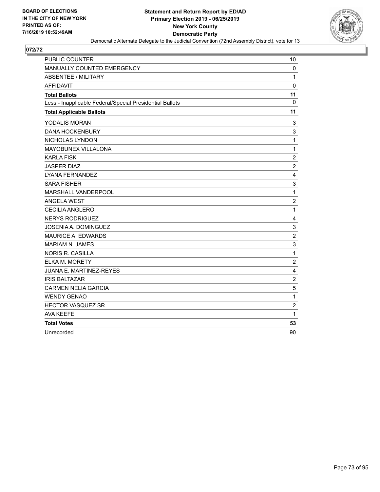

| <b>PUBLIC COUNTER</b>                                    | 10                      |
|----------------------------------------------------------|-------------------------|
| MANUALLY COUNTED EMERGENCY                               | 0                       |
| <b>ABSENTEE / MILITARY</b>                               | $\mathbf{1}$            |
| <b>AFFIDAVIT</b>                                         | $\mathbf 0$             |
| <b>Total Ballots</b>                                     | 11                      |
| Less - Inapplicable Federal/Special Presidential Ballots | $\mathbf{0}$            |
| <b>Total Applicable Ballots</b>                          | 11                      |
| YODALIS MORAN                                            | 3                       |
| <b>DANA HOCKENBURY</b>                                   | 3                       |
| NICHOLAS LYNDON                                          | $\mathbf{1}$            |
| MAYOBUNEX VILLALONA                                      | $\mathbf{1}$            |
| <b>KARLA FISK</b>                                        | $\overline{c}$          |
| <b>JASPER DIAZ</b>                                       | $\boldsymbol{2}$        |
| LYANA FERNANDEZ                                          | $\overline{4}$          |
| <b>SARA FISHER</b>                                       | 3                       |
| MARSHALL VANDERPOOL                                      | $\mathbf{1}$            |
| <b>ANGELA WEST</b>                                       | $\overline{c}$          |
| <b>CECILIA ANGLERO</b>                                   | $\mathbf{1}$            |
| <b>NERYS RODRIGUEZ</b>                                   | 4                       |
| <b>JOSENIA A. DOMINGUEZ</b>                              | 3                       |
| <b>MAURICE A. EDWARDS</b>                                | $\overline{2}$          |
| <b>MARIAM N. JAMES</b>                                   | 3                       |
| <b>NORIS R. CASILLA</b>                                  | $\mathbf{1}$            |
| <b>ELKA M. MORETY</b>                                    | $\overline{c}$          |
| <b>JUANA E. MARTINEZ-REYES</b>                           | 4                       |
| <b>IRIS BALTAZAR</b>                                     | $\overline{\mathbf{c}}$ |
| <b>CARMEN NELIA GARCIA</b>                               | 5                       |
| <b>WENDY GENAO</b>                                       | $\mathbf{1}$            |
| HECTOR VASQUEZ SR.                                       | $\boldsymbol{2}$        |
| <b>AVA KEEFE</b>                                         | 1                       |
| <b>Total Votes</b>                                       | 53                      |
| Unrecorded                                               | 90                      |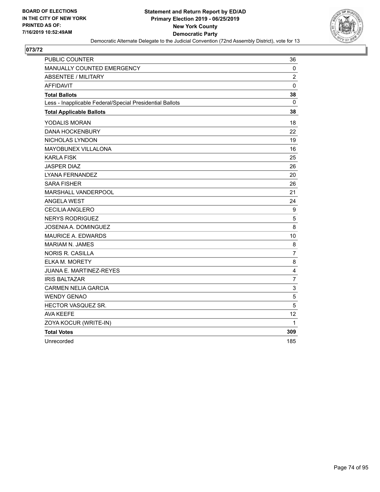

| <b>PUBLIC COUNTER</b>                                    | 36                      |
|----------------------------------------------------------|-------------------------|
| MANUALLY COUNTED EMERGENCY                               | 0                       |
| <b>ABSENTEE / MILITARY</b>                               | $\overline{2}$          |
| <b>AFFIDAVIT</b>                                         | $\mathbf 0$             |
| <b>Total Ballots</b>                                     | 38                      |
| Less - Inapplicable Federal/Special Presidential Ballots | 0                       |
| <b>Total Applicable Ballots</b>                          | 38                      |
| YODALIS MORAN                                            | 18                      |
| <b>DANA HOCKENBURY</b>                                   | 22                      |
| NICHOLAS LYNDON                                          | 19                      |
| MAYOBUNEX VILLALONA                                      | 16                      |
| <b>KARLA FISK</b>                                        | 25                      |
| <b>JASPER DIAZ</b>                                       | 26                      |
| LYANA FERNANDEZ                                          | 20                      |
| <b>SARA FISHER</b>                                       | 26                      |
| MARSHALL VANDERPOOL                                      | 21                      |
| ANGELA WEST                                              | 24                      |
| <b>CECILIA ANGLERO</b>                                   | 9                       |
| <b>NERYS RODRIGUEZ</b>                                   | 5                       |
| JOSENIA A. DOMINGUEZ                                     | 8                       |
| MAURICE A. EDWARDS                                       | 10                      |
| <b>MARIAM N. JAMES</b>                                   | 8                       |
| NORIS R. CASILLA                                         | $\overline{7}$          |
| ELKA M. MORETY                                           | 8                       |
| JUANA E. MARTINEZ-REYES                                  | $\overline{\mathbf{4}}$ |
| <b>IRIS BALTAZAR</b>                                     | $\overline{7}$          |
| <b>CARMEN NELIA GARCIA</b>                               | 3                       |
| <b>WENDY GENAO</b>                                       | $\sqrt{5}$              |
| <b>HECTOR VASQUEZ SR.</b>                                | 5                       |
| <b>AVA KEEFE</b>                                         | 12 <sup>2</sup>         |
| ZOYA KOCUR (WRITE-IN)                                    | 1                       |
| <b>Total Votes</b>                                       | 309                     |
| Unrecorded                                               | 185                     |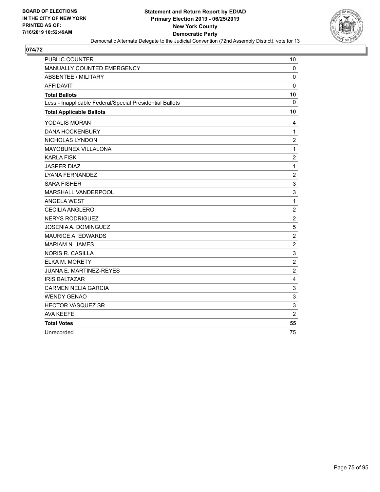

| <b>PUBLIC COUNTER</b>                                    | 10                        |
|----------------------------------------------------------|---------------------------|
| MANUALLY COUNTED EMERGENCY                               | 0                         |
| <b>ABSENTEE / MILITARY</b>                               | $\mathbf 0$               |
| <b>AFFIDAVIT</b>                                         | $\mathbf 0$               |
| <b>Total Ballots</b>                                     | 10                        |
| Less - Inapplicable Federal/Special Presidential Ballots | $\mathbf{0}$              |
| <b>Total Applicable Ballots</b>                          | 10                        |
| YODALIS MORAN                                            | 4                         |
| <b>DANA HOCKENBURY</b>                                   | $\mathbf{1}$              |
| NICHOLAS LYNDON                                          | $\overline{c}$            |
| MAYOBUNEX VILLALONA                                      | $\mathbf{1}$              |
| <b>KARLA FISK</b>                                        | $\overline{c}$            |
| <b>JASPER DIAZ</b>                                       | $\mathbf{1}$              |
| <b>LYANA FERNANDEZ</b>                                   | $\overline{2}$            |
| <b>SARA FISHER</b>                                       | $\ensuremath{\mathsf{3}}$ |
| MARSHALL VANDERPOOL                                      | 3                         |
| <b>ANGELA WEST</b>                                       | $\mathbf{1}$              |
| <b>CECILIA ANGLERO</b>                                   | $\boldsymbol{2}$          |
| <b>NERYS RODRIGUEZ</b>                                   | $\boldsymbol{2}$          |
| <b>JOSENIA A. DOMINGUEZ</b>                              | 5                         |
| <b>MAURICE A. EDWARDS</b>                                | $\overline{c}$            |
| <b>MARIAM N. JAMES</b>                                   | $\overline{2}$            |
| <b>NORIS R. CASILLA</b>                                  | 3                         |
| <b>ELKA M. MORETY</b>                                    | $\overline{c}$            |
| <b>JUANA E. MARTINEZ-REYES</b>                           | $\overline{2}$            |
| <b>IRIS BALTAZAR</b>                                     | 4                         |
| <b>CARMEN NELIA GARCIA</b>                               | 3                         |
| <b>WENDY GENAO</b>                                       | 3                         |
| HECTOR VASQUEZ SR.                                       | $\ensuremath{\mathsf{3}}$ |
| <b>AVA KEEFE</b>                                         | $\overline{2}$            |
| <b>Total Votes</b>                                       | 55                        |
| Unrecorded                                               | 75                        |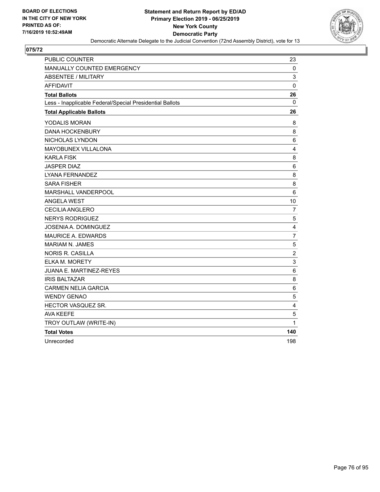

| <b>PUBLIC COUNTER</b>                                    | 23              |
|----------------------------------------------------------|-----------------|
| MANUALLY COUNTED EMERGENCY                               | 0               |
| <b>ABSENTEE / MILITARY</b>                               | 3               |
| <b>AFFIDAVIT</b>                                         | $\mathbf 0$     |
| <b>Total Ballots</b>                                     | 26              |
| Less - Inapplicable Federal/Special Presidential Ballots | $\mathbf{0}$    |
| <b>Total Applicable Ballots</b>                          | 26              |
| YODALIS MORAN                                            | 8               |
| <b>DANA HOCKENBURY</b>                                   | 8               |
| NICHOLAS LYNDON                                          | 6               |
| MAYOBUNEX VILLALONA                                      | 4               |
| <b>KARLA FISK</b>                                        | 8               |
| <b>JASPER DIAZ</b>                                       | 6               |
| LYANA FERNANDEZ                                          | 8               |
| <b>SARA FISHER</b>                                       | 8               |
| MARSHALL VANDERPOOL                                      | $6\phantom{1}6$ |
| <b>ANGELA WEST</b>                                       | 10              |
| <b>CECILIA ANGLERO</b>                                   | 7               |
| <b>NERYS RODRIGUEZ</b>                                   | $\mathbf 5$     |
| JOSENIA A. DOMINGUEZ                                     | 4               |
| <b>MAURICE A. EDWARDS</b>                                | $\overline{7}$  |
| <b>MARIAM N. JAMES</b>                                   | 5               |
| NORIS R. CASILLA                                         | $\overline{c}$  |
| <b>ELKA M. MORETY</b>                                    | 3               |
| <b>JUANA E. MARTINEZ-REYES</b>                           | 6               |
| <b>IRIS BALTAZAR</b>                                     | 8               |
| <b>CARMEN NELIA GARCIA</b>                               | 6               |
| <b>WENDY GENAO</b>                                       | 5               |
| HECTOR VASQUEZ SR.                                       | 4               |
| <b>AVA KEEFE</b>                                         | 5               |
| TROY OUTLAW (WRITE-IN)                                   | 1               |
| <b>Total Votes</b>                                       | 140             |
| Unrecorded                                               | 198             |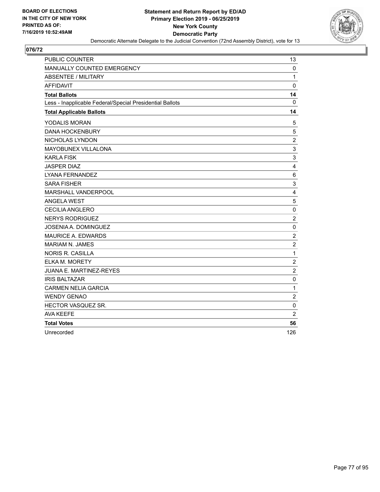

| <b>PUBLIC COUNTER</b>                                    | 13                      |
|----------------------------------------------------------|-------------------------|
| MANUALLY COUNTED EMERGENCY                               | $\mathbf 0$             |
| <b>ABSENTEE / MILITARY</b>                               | $\mathbf{1}$            |
| <b>AFFIDAVIT</b>                                         | $\mathbf 0$             |
| <b>Total Ballots</b>                                     | 14                      |
| Less - Inapplicable Federal/Special Presidential Ballots | $\Omega$                |
| <b>Total Applicable Ballots</b>                          | 14                      |
| YODALIS MORAN                                            | 5                       |
| <b>DANA HOCKENBURY</b>                                   | 5                       |
| NICHOLAS LYNDON                                          | $\overline{2}$          |
| MAYOBUNEX VILLALONA                                      | 3                       |
| <b>KARLA FISK</b>                                        | 3                       |
| <b>JASPER DIAZ</b>                                       | 4                       |
| <b>LYANA FERNANDEZ</b>                                   | $6\phantom{1}6$         |
| <b>SARA FISHER</b>                                       | 3                       |
| MARSHALL VANDERPOOL                                      | $\overline{4}$          |
| <b>ANGELA WEST</b>                                       | 5                       |
| <b>CECILIA ANGLERO</b>                                   | $\pmb{0}$               |
| <b>NERYS RODRIGUEZ</b>                                   | $\overline{c}$          |
| <b>JOSENIA A. DOMINGUEZ</b>                              | $\mathbf 0$             |
| <b>MAURICE A. EDWARDS</b>                                | $\overline{2}$          |
| <b>MARIAM N. JAMES</b>                                   | $\overline{\mathbf{c}}$ |
| <b>NORIS R. CASILLA</b>                                  | $\mathbf{1}$            |
| ELKA M. MORETY                                           | $\sqrt{2}$              |
| JUANA E. MARTINEZ-REYES                                  | $\overline{2}$          |
| <b>IRIS BALTAZAR</b>                                     | $\mathbf 0$             |
| <b>CARMEN NELIA GARCIA</b>                               | $\mathbf{1}$            |
| <b>WENDY GENAO</b>                                       | $\overline{c}$          |
| HECTOR VASQUEZ SR.                                       | $\pmb{0}$               |
| <b>AVA KEEFE</b>                                         | $\overline{2}$          |
| <b>Total Votes</b>                                       | 56                      |
| Unrecorded                                               | 126                     |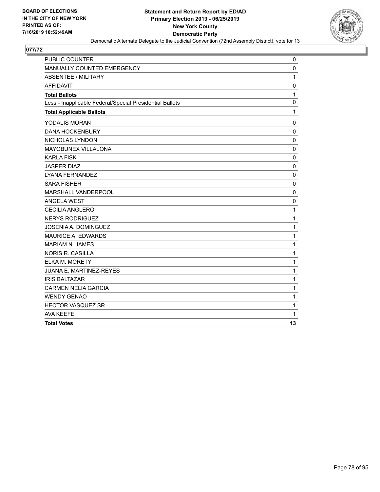

| <b>PUBLIC COUNTER</b>                                    | 0            |
|----------------------------------------------------------|--------------|
| MANUALLY COUNTED EMERGENCY                               | $\mathbf 0$  |
| <b>ABSENTEE / MILITARY</b>                               | $\mathbf{1}$ |
| <b>AFFIDAVIT</b>                                         | 0            |
| <b>Total Ballots</b>                                     | 1            |
| Less - Inapplicable Federal/Special Presidential Ballots | 0            |
| <b>Total Applicable Ballots</b>                          | 1            |
| YODALIS MORAN                                            | 0            |
| <b>DANA HOCKENBURY</b>                                   | $\mathbf 0$  |
| NICHOLAS LYNDON                                          | $\mathbf 0$  |
| MAYOBUNEX VILLALONA                                      | $\mathbf 0$  |
| <b>KARLA FISK</b>                                        | $\mathbf 0$  |
| <b>JASPER DIAZ</b>                                       | $\mathbf 0$  |
| LYANA FERNANDEZ                                          | 0            |
| <b>SARA FISHER</b>                                       | $\mathbf 0$  |
| <b>MARSHALL VANDERPOOL</b>                               | $\mathbf 0$  |
| <b>ANGELA WEST</b>                                       | $\mathbf 0$  |
| <b>CECILIA ANGLERO</b>                                   | 1            |
| <b>NERYS RODRIGUEZ</b>                                   | $\mathbf{1}$ |
| JOSENIA A. DOMINGUEZ                                     | $\mathbf{1}$ |
| <b>MAURICE A. EDWARDS</b>                                | 1            |
| MARIAM N. JAMES                                          | 1            |
| <b>NORIS R. CASILLA</b>                                  | $\mathbf{1}$ |
| ELKA M. MORETY                                           | $\mathbf{1}$ |
| JUANA E. MARTINEZ-REYES                                  | $\mathbf{1}$ |
| <b>IRIS BALTAZAR</b>                                     | 1            |
| <b>CARMEN NELIA GARCIA</b>                               | $\mathbf{1}$ |
| <b>WENDY GENAO</b>                                       | $\mathbf 1$  |
| HECTOR VASQUEZ SR.                                       | 1            |
| <b>AVA KEEFE</b>                                         | 1            |
| <b>Total Votes</b>                                       | 13           |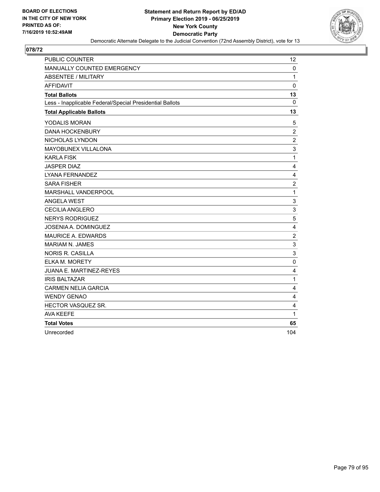

| <b>PUBLIC COUNTER</b>                                    | 12               |
|----------------------------------------------------------|------------------|
| MANUALLY COUNTED EMERGENCY                               | $\mathbf 0$      |
| <b>ABSENTEE / MILITARY</b>                               | 1                |
| <b>AFFIDAVIT</b>                                         | $\pmb{0}$        |
| <b>Total Ballots</b>                                     | 13               |
| Less - Inapplicable Federal/Special Presidential Ballots | $\mathbf{0}$     |
| <b>Total Applicable Ballots</b>                          | 13               |
| YODALIS MORAN                                            | 5                |
| <b>DANA HOCKENBURY</b>                                   | 2                |
| NICHOLAS LYNDON                                          | $\overline{2}$   |
| <b>MAYOBUNEX VILLALONA</b>                               | 3                |
| <b>KARLA FISK</b>                                        | $\mathbf{1}$     |
| <b>JASPER DIAZ</b>                                       | 4                |
| LYANA FERNANDEZ                                          | 4                |
| <b>SARA FISHER</b>                                       | $\overline{c}$   |
| MARSHALL VANDERPOOL                                      | $\mathbf{1}$     |
| <b>ANGELA WEST</b>                                       | 3                |
| <b>CECILIA ANGLERO</b>                                   | 3                |
| <b>NERYS RODRIGUEZ</b>                                   | 5                |
| <b>JOSENIA A. DOMINGUEZ</b>                              | 4                |
| <b>MAURICE A. EDWARDS</b>                                | $\boldsymbol{2}$ |
| MARIAM N. JAMES                                          | 3                |
| <b>NORIS R. CASILLA</b>                                  | 3                |
| ELKA M. MORETY                                           | $\mathbf 0$      |
| JUANA E. MARTINEZ-REYES                                  | 4                |
| <b>IRIS BALTAZAR</b>                                     | 1                |
| <b>CARMEN NELIA GARCIA</b>                               | $\overline{4}$   |
| <b>WENDY GENAO</b>                                       | 4                |
| HECTOR VASQUEZ SR.                                       | 4                |
| <b>AVA KEEFE</b>                                         | 1                |
| <b>Total Votes</b>                                       | 65               |
| Unrecorded                                               | 104              |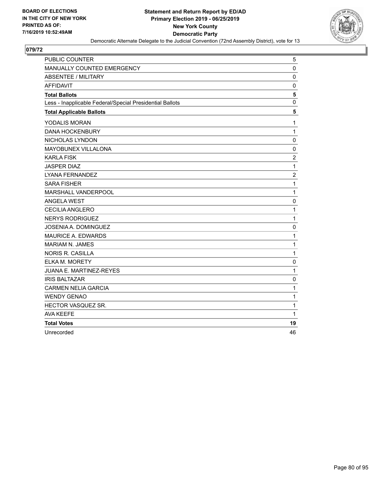

| <b>PUBLIC COUNTER</b>                                    | 5              |
|----------------------------------------------------------|----------------|
| MANUALLY COUNTED EMERGENCY                               | $\mathbf 0$    |
| <b>ABSENTEE / MILITARY</b>                               | 0              |
| <b>AFFIDAVIT</b>                                         | $\mathbf 0$    |
| <b>Total Ballots</b>                                     | 5              |
| Less - Inapplicable Federal/Special Presidential Ballots | 0              |
| <b>Total Applicable Ballots</b>                          | 5              |
| YODALIS MORAN                                            | $\mathbf{1}$   |
| <b>DANA HOCKENBURY</b>                                   | $\mathbf{1}$   |
| NICHOLAS LYNDON                                          | $\mathbf 0$    |
| MAYOBUNEX VILLALONA                                      | $\mathbf 0$    |
| <b>KARLA FISK</b>                                        | $\overline{c}$ |
| <b>JASPER DIAZ</b>                                       | $\mathbf{1}$   |
| LYANA FERNANDEZ                                          | $\overline{2}$ |
| <b>SARA FISHER</b>                                       | $\mathbf{1}$   |
| MARSHALL VANDERPOOL                                      | $\mathbf{1}$   |
| <b>ANGELA WEST</b>                                       | $\mathbf 0$    |
| <b>CECILIA ANGLERO</b>                                   | $\mathbf{1}$   |
| <b>NERYS RODRIGUEZ</b>                                   | $\mathbf{1}$   |
| JOSENIA A. DOMINGUEZ                                     | 0              |
| <b>MAURICE A. EDWARDS</b>                                | $\mathbf{1}$   |
| <b>MARIAM N. JAMES</b>                                   | $\mathbf{1}$   |
| <b>NORIS R. CASILLA</b>                                  | $\mathbf{1}$   |
| <b>ELKA M. MORETY</b>                                    | $\mathbf 0$    |
| JUANA E. MARTINEZ-REYES                                  | $\mathbf{1}$   |
| <b>IRIS BALTAZAR</b>                                     | 0              |
| <b>CARMEN NELIA GARCIA</b>                               | $\mathbf{1}$   |
| <b>WENDY GENAO</b>                                       | $\mathbf 1$    |
| HECTOR VASQUEZ SR.                                       | 1              |
| <b>AVA KEEFE</b>                                         | 1              |
| <b>Total Votes</b>                                       | 19             |
| Unrecorded                                               | 46             |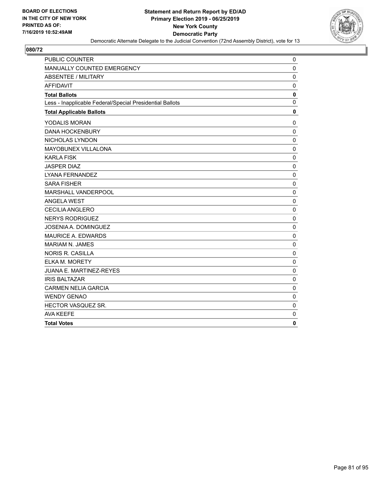

| PUBLIC COUNTER                                           | $\mathbf 0$  |
|----------------------------------------------------------|--------------|
| <b>MANUALLY COUNTED EMERGENCY</b>                        | 0            |
| ABSENTEE / MILITARY                                      | $\mathbf 0$  |
| <b>AFFIDAVIT</b>                                         | $\mathbf 0$  |
| <b>Total Ballots</b>                                     | $\mathbf 0$  |
| Less - Inapplicable Federal/Special Presidential Ballots | $\mathbf 0$  |
| <b>Total Applicable Ballots</b>                          | $\mathbf 0$  |
| YODALIS MORAN                                            | 0            |
| <b>DANA HOCKENBURY</b>                                   | $\mathbf 0$  |
| NICHOLAS LYNDON                                          | $\mathbf 0$  |
| MAYOBUNEX VILLALONA                                      | $\mathbf 0$  |
| <b>KARLA FISK</b>                                        | $\mathbf 0$  |
| <b>JASPER DIAZ</b>                                       | 0            |
| <b>LYANA FERNANDEZ</b>                                   | $\mathbf{0}$ |
| <b>SARA FISHER</b>                                       | 0            |
| MARSHALL VANDERPOOL                                      | $\mathbf 0$  |
| <b>ANGELA WEST</b>                                       | $\mathbf 0$  |
| <b>CECILIA ANGLERO</b>                                   | $\mathbf 0$  |
| <b>NERYS RODRIGUEZ</b>                                   | $\mathbf{0}$ |
| JOSENIA A. DOMINGUEZ                                     | 0            |
| <b>MAURICE A. EDWARDS</b>                                | $\mathbf 0$  |
| MARIAM N. JAMES                                          | 0            |
| <b>NORIS R. CASILLA</b>                                  | $\Omega$     |
| <b>ELKA M. MORETY</b>                                    | $\mathbf 0$  |
| JUANA E. MARTINEZ-REYES                                  | $\mathbf 0$  |
| <b>IRIS BALTAZAR</b>                                     | 0            |
| <b>CARMEN NELIA GARCIA</b>                               | $\mathbf 0$  |
| <b>WENDY GENAO</b>                                       | $\mathbf 0$  |
| HECTOR VASQUEZ SR.                                       | $\mathbf 0$  |
| <b>AVA KEEFE</b>                                         | 0            |
| <b>Total Votes</b>                                       | 0            |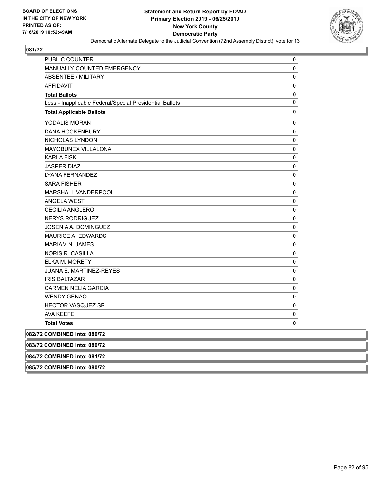

| <b>PUBLIC COUNTER</b>                                    | 0         |
|----------------------------------------------------------|-----------|
| <b>MANUALLY COUNTED EMERGENCY</b>                        | 0         |
| ABSENTEE / MILITARY                                      | 0         |
| <b>AFFIDAVIT</b>                                         | 0         |
| <b>Total Ballots</b>                                     | 0         |
| Less - Inapplicable Federal/Special Presidential Ballots | 0         |
| <b>Total Applicable Ballots</b>                          | 0         |
| YODALIS MORAN                                            | 0         |
| <b>DANA HOCKENBURY</b>                                   | 0         |
| NICHOLAS LYNDON                                          | 0         |
| <b>MAYOBUNEX VILLALONA</b>                               | 0         |
| <b>KARLA FISK</b>                                        | 0         |
| <b>JASPER DIAZ</b>                                       | 0         |
| LYANA FERNANDEZ                                          | 0         |
| <b>SARA FISHER</b>                                       | 0         |
| MARSHALL VANDERPOOL                                      | 0         |
| ANGELA WEST                                              | 0         |
| <b>CECILIA ANGLERO</b>                                   | 0         |
| <b>NERYS RODRIGUEZ</b>                                   | 0         |
| JOSENIA A. DOMINGUEZ                                     | $\pmb{0}$ |
| <b>MAURICE A. EDWARDS</b>                                | 0         |
| <b>MARIAM N. JAMES</b>                                   | 0         |
| <b>NORIS R. CASILLA</b>                                  | 0         |
| <b>ELKA M. MORETY</b>                                    | 0         |
| JUANA E. MARTINEZ-REYES                                  | 0         |
| <b>IRIS BALTAZAR</b>                                     | 0         |
| <b>CARMEN NELIA GARCIA</b>                               | 0         |
| <b>WENDY GENAO</b>                                       | 0         |
| HECTOR VASQUEZ SR.                                       | 0         |
| AVA KEEFE                                                | 0         |
| <b>Total Votes</b>                                       | 0         |
| 082/72 COMBINED into: 080/72                             |           |
| 083/72 COMBINED into: 080/72                             |           |
| 084/72 COMBINED into: 081/72                             |           |
| 085/72 COMBINED into: 080/72                             |           |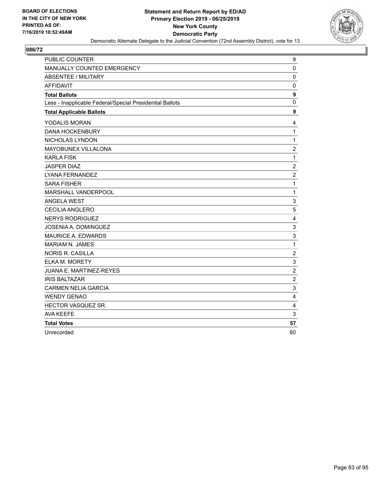

| <b>PUBLIC COUNTER</b>                                    | 9                |
|----------------------------------------------------------|------------------|
| MANUALLY COUNTED EMERGENCY                               | 0                |
| <b>ABSENTEE / MILITARY</b>                               | $\mathbf 0$      |
| <b>AFFIDAVIT</b>                                         | $\mathbf 0$      |
| <b>Total Ballots</b>                                     | $\boldsymbol{9}$ |
| Less - Inapplicable Federal/Special Presidential Ballots | $\mathbf{0}$     |
| <b>Total Applicable Ballots</b>                          | 9                |
| YODALIS MORAN                                            | 4                |
| <b>DANA HOCKENBURY</b>                                   | $\mathbf{1}$     |
| NICHOLAS LYNDON                                          | $\mathbf{1}$     |
| MAYOBUNEX VILLALONA                                      | $\overline{c}$   |
| <b>KARLA FISK</b>                                        | $\mathbf{1}$     |
| <b>JASPER DIAZ</b>                                       | $\overline{c}$   |
| LYANA FERNANDEZ                                          | $\overline{c}$   |
| <b>SARA FISHER</b>                                       | $\mathbf{1}$     |
| MARSHALL VANDERPOOL                                      | $\mathbf 1$      |
| <b>ANGELA WEST</b>                                       | 3                |
| <b>CECILIA ANGLERO</b>                                   | 5                |
| <b>NERYS RODRIGUEZ</b>                                   | 4                |
| <b>JOSENIA A. DOMINGUEZ</b>                              | 3                |
| MAURICE A. EDWARDS                                       | 3                |
| <b>MARIAM N. JAMES</b>                                   | $\mathbf{1}$     |
| <b>NORIS R. CASILLA</b>                                  | $\overline{c}$   |
| ELKA M. MORETY                                           | 3                |
| <b>JUANA E. MARTINEZ-REYES</b>                           | $\overline{c}$   |
| <b>IRIS BALTAZAR</b>                                     | $\overline{c}$   |
| <b>CARMEN NELIA GARCIA</b>                               | 3                |
| <b>WENDY GENAO</b>                                       | $\overline{4}$   |
| HECTOR VASQUEZ SR.                                       | 4                |
| <b>AVA KEEFE</b>                                         | 3                |
| <b>Total Votes</b>                                       | 57               |
| Unrecorded                                               | 60               |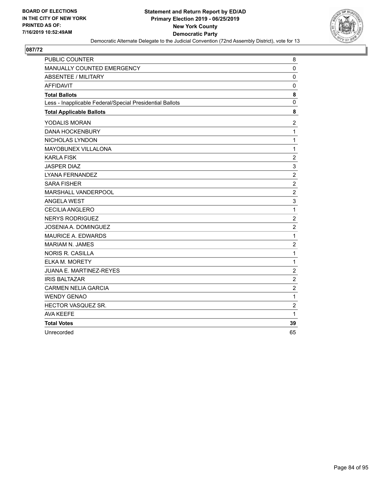

| PUBLIC COUNTER                                           | 8                |
|----------------------------------------------------------|------------------|
| MANUALLY COUNTED EMERGENCY                               | $\mathbf 0$      |
| <b>ABSENTEE / MILITARY</b>                               | $\mathbf 0$      |
| <b>AFFIDAVIT</b>                                         | $\mathbf 0$      |
| <b>Total Ballots</b>                                     | 8                |
| Less - Inapplicable Federal/Special Presidential Ballots | 0                |
| <b>Total Applicable Ballots</b>                          | 8                |
| YODALIS MORAN                                            | $\overline{2}$   |
| <b>DANA HOCKENBURY</b>                                   | $\mathbf{1}$     |
| NICHOLAS LYNDON                                          | $\mathbf{1}$     |
| MAYOBUNEX VILLALONA                                      | $\mathbf{1}$     |
| <b>KARLA FISK</b>                                        | $\overline{c}$   |
| <b>JASPER DIAZ</b>                                       | 3                |
| LYANA FERNANDEZ                                          | $\overline{c}$   |
| <b>SARA FISHER</b>                                       | $\overline{c}$   |
| MARSHALL VANDERPOOL                                      | $\boldsymbol{2}$ |
| <b>ANGELA WEST</b>                                       | 3                |
| <b>CECILIA ANGLERO</b>                                   | $\mathbf{1}$     |
| <b>NERYS RODRIGUEZ</b>                                   | $\overline{c}$   |
| <b>JOSENIA A. DOMINGUEZ</b>                              | $\overline{c}$   |
| MAURICE A. EDWARDS                                       | $\mathbf{1}$     |
| <b>MARIAM N. JAMES</b>                                   | $\overline{2}$   |
| <b>NORIS R. CASILLA</b>                                  | $\mathbf{1}$     |
| ELKA M. MORETY                                           | $\mathbf{1}$     |
| JUANA E. MARTINEZ-REYES                                  | $\overline{c}$   |
| <b>IRIS BALTAZAR</b>                                     | $\overline{c}$   |
| <b>CARMEN NELIA GARCIA</b>                               | $\overline{c}$   |
| <b>WENDY GENAO</b>                                       | $\mathbf{1}$     |
| HECTOR VASQUEZ SR.                                       | $\overline{c}$   |
| <b>AVA KEEFE</b>                                         | 1                |
| <b>Total Votes</b>                                       | 39               |
| Unrecorded                                               | 65               |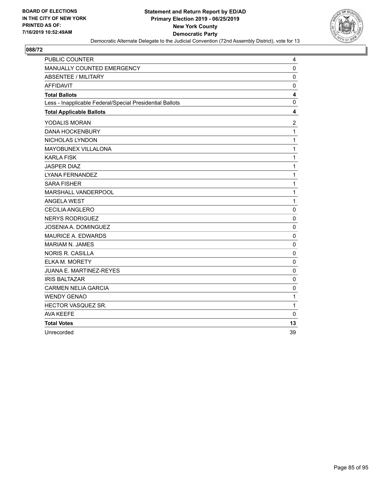

| <b>PUBLIC COUNTER</b>                                    | 4              |
|----------------------------------------------------------|----------------|
| MANUALLY COUNTED EMERGENCY                               | $\mathbf 0$    |
| ABSENTEE / MILITARY                                      | $\mathbf 0$    |
| <b>AFFIDAVIT</b>                                         | $\mathbf 0$    |
| <b>Total Ballots</b>                                     | 4              |
| Less - Inapplicable Federal/Special Presidential Ballots | $\mathbf 0$    |
| <b>Total Applicable Ballots</b>                          | 4              |
| YODALIS MORAN                                            | $\overline{c}$ |
| <b>DANA HOCKENBURY</b>                                   | $\mathbf{1}$   |
| NICHOLAS LYNDON                                          | 1              |
| MAYOBUNEX VILLALONA                                      | 1              |
| <b>KARLA FISK</b>                                        | 1              |
| <b>JASPER DIAZ</b>                                       | 1              |
| <b>LYANA FERNANDEZ</b>                                   | 1              |
| <b>SARA FISHER</b>                                       | 1              |
| MARSHALL VANDERPOOL                                      | 1              |
| <b>ANGELA WEST</b>                                       | 1              |
| <b>CECILIA ANGLERO</b>                                   | $\pmb{0}$      |
| <b>NERYS RODRIGUEZ</b>                                   | $\mathbf 0$    |
| JOSENIA A. DOMINGUEZ                                     | $\mathbf 0$    |
| <b>MAURICE A. EDWARDS</b>                                | 0              |
| <b>MARIAM N. JAMES</b>                                   | $\mathbf 0$    |
| <b>NORIS R. CASILLA</b>                                  | $\mathbf 0$    |
| <b>ELKA M. MORETY</b>                                    | 0              |
| JUANA E. MARTINEZ-REYES                                  | $\pmb{0}$      |
| <b>IRIS BALTAZAR</b>                                     | $\mathbf 0$    |
| <b>CARMEN NELIA GARCIA</b>                               | $\mathbf 0$    |
| <b>WENDY GENAO</b>                                       | 1              |
| HECTOR VASQUEZ SR.                                       | 1              |
| <b>AVA KEEFE</b>                                         | $\mathbf 0$    |
| <b>Total Votes</b>                                       | 13             |
| Unrecorded                                               | 39             |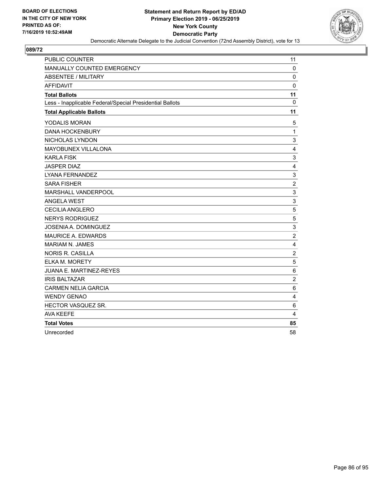

| <b>PUBLIC COUNTER</b>                                    | 11             |
|----------------------------------------------------------|----------------|
| MANUALLY COUNTED EMERGENCY                               | 0              |
| ABSENTEE / MILITARY                                      | $\mathbf 0$    |
| <b>AFFIDAVIT</b>                                         | $\mathbf 0$    |
| <b>Total Ballots</b>                                     | 11             |
| Less - Inapplicable Federal/Special Presidential Ballots | $\mathbf{0}$   |
| <b>Total Applicable Ballots</b>                          | 11             |
| YODALIS MORAN                                            | 5              |
| <b>DANA HOCKENBURY</b>                                   | $\mathbf{1}$   |
| NICHOLAS LYNDON                                          | 3              |
| MAYOBUNEX VILLALONA                                      | 4              |
| <b>KARLA FISK</b>                                        | 3              |
| <b>JASPER DIAZ</b>                                       | 4              |
| <b>LYANA FERNANDEZ</b>                                   | 3              |
| <b>SARA FISHER</b>                                       | $\overline{c}$ |
| MARSHALL VANDERPOOL                                      | 3              |
| <b>ANGELA WEST</b>                                       | 3              |
| <b>CECILIA ANGLERO</b>                                   | 5              |
| <b>NERYS RODRIGUEZ</b>                                   | 5              |
| JOSENIA A. DOMINGUEZ                                     | 3              |
| <b>MAURICE A. EDWARDS</b>                                | $\overline{c}$ |
| <b>MARIAM N. JAMES</b>                                   | 4              |
| <b>NORIS R. CASILLA</b>                                  | $\overline{c}$ |
| <b>ELKA M. MORETY</b>                                    | 5              |
| <b>JUANA E. MARTINEZ-REYES</b>                           | 6              |
| <b>IRIS BALTAZAR</b>                                     | $\overline{c}$ |
| <b>CARMEN NELIA GARCIA</b>                               | 6              |
| <b>WENDY GENAO</b>                                       | 4              |
| HECTOR VASQUEZ SR.                                       | 6              |
| <b>AVA KEEFE</b>                                         | 4              |
| <b>Total Votes</b>                                       | 85             |
| Unrecorded                                               | 58             |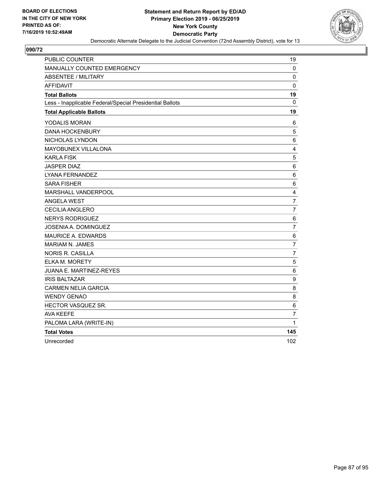

| <b>PUBLIC COUNTER</b>                                    | 19             |
|----------------------------------------------------------|----------------|
| MANUALLY COUNTED EMERGENCY                               | 0              |
| <b>ABSENTEE / MILITARY</b>                               | 0              |
| <b>AFFIDAVIT</b>                                         | 0              |
| <b>Total Ballots</b>                                     | 19             |
| Less - Inapplicable Federal/Special Presidential Ballots | 0              |
| <b>Total Applicable Ballots</b>                          | 19             |
| YODALIS MORAN                                            | 6              |
| <b>DANA HOCKENBURY</b>                                   | $\overline{5}$ |
| NICHOLAS LYNDON                                          | 6              |
| MAYOBUNEX VILLALONA                                      | 4              |
| <b>KARLA FISK</b>                                        | 5              |
| <b>JASPER DIAZ</b>                                       | 6              |
| LYANA FERNANDEZ                                          | 6              |
| <b>SARA FISHER</b>                                       | 6              |
| MARSHALL VANDERPOOL                                      | 4              |
| <b>ANGELA WEST</b>                                       | $\overline{7}$ |
| <b>CECILIA ANGLERO</b>                                   | $\overline{7}$ |
| <b>NERYS RODRIGUEZ</b>                                   | 6              |
| JOSENIA A. DOMINGUEZ                                     | $\overline{7}$ |
| <b>MAURICE A. EDWARDS</b>                                | 6              |
| <b>MARIAM N. JAMES</b>                                   | $\overline{7}$ |
| NORIS R. CASILLA                                         | $\overline{7}$ |
| <b>ELKA M. MORETY</b>                                    | $\sqrt{5}$     |
| JUANA E. MARTINEZ-REYES                                  | 6              |
| <b>IRIS BALTAZAR</b>                                     | 9              |
| <b>CARMEN NELIA GARCIA</b>                               | 8              |
| <b>WENDY GENAO</b>                                       | 8              |
| HECTOR VASQUEZ SR.                                       | 6              |
| <b>AVA KEEFE</b>                                         | $\overline{7}$ |
| PALOMA LARA (WRITE-IN)                                   | 1              |
| <b>Total Votes</b>                                       | 145            |
| Unrecorded                                               | 102            |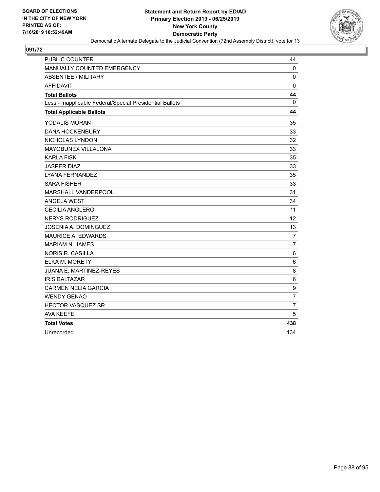

| <b>PUBLIC COUNTER</b>                                    | 44             |
|----------------------------------------------------------|----------------|
| MANUALLY COUNTED EMERGENCY                               | $\mathbf 0$    |
| <b>ABSENTEE / MILITARY</b>                               | $\mathbf 0$    |
| <b>AFFIDAVIT</b>                                         | 0              |
| <b>Total Ballots</b>                                     | 44             |
| Less - Inapplicable Federal/Special Presidential Ballots | $\mathbf{0}$   |
| <b>Total Applicable Ballots</b>                          | 44             |
| YODALIS MORAN                                            | 35             |
| <b>DANA HOCKENBURY</b>                                   | 33             |
| NICHOLAS LYNDON                                          | 32             |
| MAYOBUNEX VILLALONA                                      | 33             |
| <b>KARLA FISK</b>                                        | 35             |
| <b>JASPER DIAZ</b>                                       | 33             |
| <b>LYANA FERNANDEZ</b>                                   | 35             |
| <b>SARA FISHER</b>                                       | 33             |
| MARSHALL VANDERPOOL                                      | 31             |
| <b>ANGELA WEST</b>                                       | 34             |
| CECILIA ANGLERO                                          | 11             |
| <b>NERYS RODRIGUEZ</b>                                   | 12             |
| <b>JOSENIA A. DOMINGUEZ</b>                              | 13             |
| <b>MAURICE A. EDWARDS</b>                                | $\overline{7}$ |
| <b>MARIAM N. JAMES</b>                                   | $\overline{7}$ |
| <b>NORIS R. CASILLA</b>                                  | 6              |
| ELKA M. MORETY                                           | 6              |
| <b>JUANA E. MARTINEZ-REYES</b>                           | 8              |
| <b>IRIS BALTAZAR</b>                                     | $\,6$          |
| <b>CARMEN NELIA GARCIA</b>                               | 9              |
| <b>WENDY GENAO</b>                                       | $\overline{7}$ |
| HECTOR VASQUEZ SR.                                       | $\overline{7}$ |
| <b>AVA KEEFE</b>                                         | 5              |
| <b>Total Votes</b>                                       | 438            |
| Unrecorded                                               | 134            |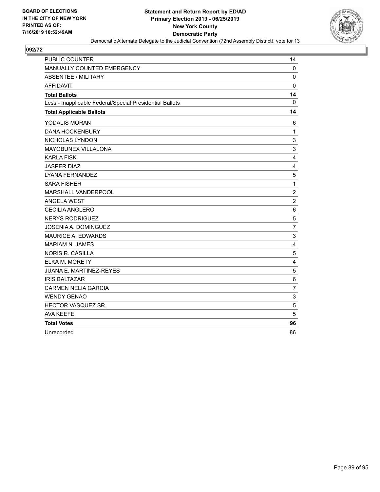

| <b>PUBLIC COUNTER</b>                                    | 14                      |
|----------------------------------------------------------|-------------------------|
| MANUALLY COUNTED EMERGENCY                               | $\mathbf 0$             |
| <b>ABSENTEE / MILITARY</b>                               | $\mathbf 0$             |
| <b>AFFIDAVIT</b>                                         | $\mathbf 0$             |
| <b>Total Ballots</b>                                     | 14                      |
| Less - Inapplicable Federal/Special Presidential Ballots | $\mathbf{0}$            |
| <b>Total Applicable Ballots</b>                          | 14                      |
| YODALIS MORAN                                            | 6                       |
| <b>DANA HOCKENBURY</b>                                   | 1                       |
| NICHOLAS LYNDON                                          | 3                       |
| MAYOBUNEX VILLALONA                                      | 3                       |
| <b>KARLA FISK</b>                                        | $\overline{4}$          |
| <b>JASPER DIAZ</b>                                       | $\overline{\mathbf{4}}$ |
| <b>LYANA FERNANDEZ</b>                                   | 5                       |
| <b>SARA FISHER</b>                                       | $\mathbf{1}$            |
| MARSHALL VANDERPOOL                                      | $\sqrt{2}$              |
| <b>ANGELA WEST</b>                                       | $\overline{2}$          |
| CECILIA ANGLERO                                          | $\,6\,$                 |
| <b>NERYS RODRIGUEZ</b>                                   | 5                       |
| <b>JOSENIA A. DOMINGUEZ</b>                              | $\overline{7}$          |
| <b>MAURICE A. EDWARDS</b>                                | 3                       |
| <b>MARIAM N. JAMES</b>                                   | $\overline{4}$          |
| <b>NORIS R. CASILLA</b>                                  | $\sqrt{5}$              |
| <b>ELKA M. MORETY</b>                                    | $\overline{4}$          |
| JUANA E. MARTINEZ-REYES                                  | 5                       |
| <b>IRIS BALTAZAR</b>                                     | $\,6\,$                 |
| <b>CARMEN NELIA GARCIA</b>                               | $\overline{7}$          |
| <b>WENDY GENAO</b>                                       | $\mathbf{3}$            |
| HECTOR VASQUEZ SR.                                       | 5                       |
| <b>AVA KEEFE</b>                                         | 5                       |
| <b>Total Votes</b>                                       | 96                      |
| Unrecorded                                               | 86                      |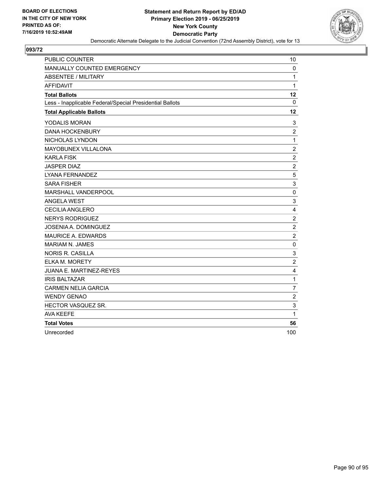

| <b>PUBLIC COUNTER</b>                                    | 10             |
|----------------------------------------------------------|----------------|
| MANUALLY COUNTED EMERGENCY                               | $\mathbf 0$    |
| <b>ABSENTEE / MILITARY</b>                               | $\mathbf{1}$   |
| <b>AFFIDAVIT</b>                                         | $\mathbf{1}$   |
| <b>Total Ballots</b>                                     | 12             |
| Less - Inapplicable Federal/Special Presidential Ballots | 0              |
| <b>Total Applicable Ballots</b>                          | 12             |
| YODALIS MORAN                                            | 3              |
| <b>DANA HOCKENBURY</b>                                   | $\overline{2}$ |
| NICHOLAS LYNDON                                          | $\mathbf{1}$   |
| MAYOBUNEX VILLALONA                                      | $\overline{c}$ |
| <b>KARLA FISK</b>                                        | $\overline{2}$ |
| <b>JASPER DIAZ</b>                                       | $\overline{c}$ |
| LYANA FERNANDEZ                                          | 5              |
| <b>SARA FISHER</b>                                       | 3              |
| MARSHALL VANDERPOOL                                      | $\mathbf 0$    |
| <b>ANGELA WEST</b>                                       | 3              |
| <b>CECILIA ANGLERO</b>                                   | 4              |
| <b>NERYS RODRIGUEZ</b>                                   | $\overline{c}$ |
| JOSENIA A. DOMINGUEZ                                     | $\overline{2}$ |
| <b>MAURICE A. EDWARDS</b>                                | $\overline{c}$ |
| MARIAM N. JAMES                                          | 0              |
| <b>NORIS R. CASILLA</b>                                  | 3              |
| <b>ELKA M. MORETY</b>                                    | $\overline{c}$ |
| JUANA E. MARTINEZ-REYES                                  | 4              |
| <b>IRIS BALTAZAR</b>                                     | $\mathbf 1$    |
| <b>CARMEN NELIA GARCIA</b>                               | $\overline{7}$ |
| <b>WENDY GENAO</b>                                       | $\overline{2}$ |
| HECTOR VASQUEZ SR.                                       | 3              |
| <b>AVA KEEFE</b>                                         | 1              |
| <b>Total Votes</b>                                       | 56             |
| Unrecorded                                               | 100            |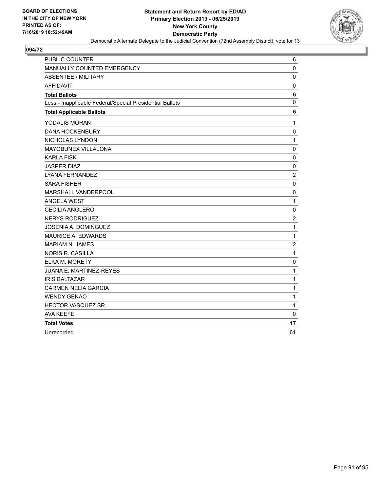

| <b>PUBLIC COUNTER</b>                                    | 6                |
|----------------------------------------------------------|------------------|
| MANUALLY COUNTED EMERGENCY                               | $\mathbf 0$      |
| <b>ABSENTEE / MILITARY</b>                               | $\mathbf 0$      |
| <b>AFFIDAVIT</b>                                         | $\pmb{0}$        |
| <b>Total Ballots</b>                                     | 6                |
| Less - Inapplicable Federal/Special Presidential Ballots | $\mathbf 0$      |
| <b>Total Applicable Ballots</b>                          | 6                |
| YODALIS MORAN                                            | 1                |
| <b>DANA HOCKENBURY</b>                                   | $\mathbf 0$      |
| NICHOLAS LYNDON                                          | $\mathbf{1}$     |
| MAYOBUNEX VILLALONA                                      | $\pmb{0}$        |
| <b>KARLA FISK</b>                                        | $\mathbf 0$      |
| <b>JASPER DIAZ</b>                                       | $\mathbf 0$      |
| LYANA FERNANDEZ                                          | 2                |
| <b>SARA FISHER</b>                                       | $\pmb{0}$        |
| MARSHALL VANDERPOOL                                      | $\mathbf 0$      |
| <b>ANGELA WEST</b>                                       | $\mathbf{1}$     |
| <b>CECILIA ANGLERO</b>                                   | $\pmb{0}$        |
| <b>NERYS RODRIGUEZ</b>                                   | $\boldsymbol{2}$ |
| <b>JOSENIA A. DOMINGUEZ</b>                              | 1                |
| <b>MAURICE A. EDWARDS</b>                                | 1                |
| <b>MARIAM N. JAMES</b>                                   | $\overline{c}$   |
| <b>NORIS R. CASILLA</b>                                  | $\mathbf 1$      |
| <b>ELKA M. MORETY</b>                                    | $\mathbf 0$      |
| <b>JUANA E. MARTINEZ-REYES</b>                           | 1                |
| <b>IRIS BALTAZAR</b>                                     | 1                |
| <b>CARMEN NELIA GARCIA</b>                               | 1                |
| <b>WENDY GENAO</b>                                       | $\mathbf{1}$     |
| HECTOR VASQUEZ SR.                                       | 1                |
| <b>AVA KEEFE</b>                                         | $\mathbf 0$      |
| <b>Total Votes</b>                                       | 17               |
| Unrecorded                                               | 61               |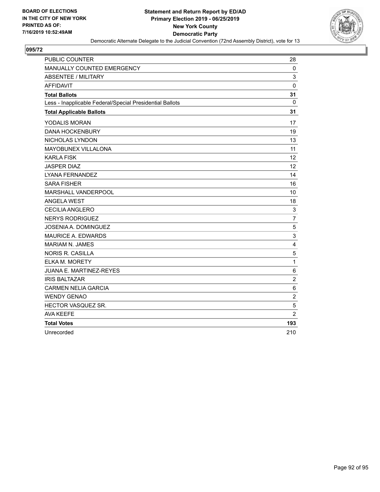

| <b>PUBLIC COUNTER</b>                                    | 28                        |
|----------------------------------------------------------|---------------------------|
| MANUALLY COUNTED EMERGENCY                               | $\mathbf{0}$              |
| ABSENTEE / MILITARY                                      | 3                         |
| <b>AFFIDAVIT</b>                                         | $\mathbf 0$               |
| <b>Total Ballots</b>                                     | 31                        |
| Less - Inapplicable Federal/Special Presidential Ballots | 0                         |
| <b>Total Applicable Ballots</b>                          | 31                        |
| YODALIS MORAN                                            | 17                        |
| <b>DANA HOCKENBURY</b>                                   | 19                        |
| NICHOLAS LYNDON                                          | 13                        |
| MAYOBUNEX VILLALONA                                      | 11                        |
| <b>KARLA FISK</b>                                        | 12                        |
| <b>JASPER DIAZ</b>                                       | 12                        |
| LYANA FERNANDEZ                                          | 14                        |
| <b>SARA FISHER</b>                                       | 16                        |
| MARSHALL VANDERPOOL                                      | 10                        |
| <b>ANGELA WEST</b>                                       | 18                        |
| CECILIA ANGLERO                                          | 3                         |
| <b>NERYS RODRIGUEZ</b>                                   | $\overline{7}$            |
| <b>JOSENIA A. DOMINGUEZ</b>                              | 5                         |
| <b>MAURICE A. EDWARDS</b>                                | $\ensuremath{\mathsf{3}}$ |
| MARIAM N. JAMES                                          | 4                         |
| <b>NORIS R. CASILLA</b>                                  | $\mathbf 5$               |
| <b>ELKA M. MORETY</b>                                    | $\mathbf{1}$              |
| <b>JUANA E. MARTINEZ-REYES</b>                           | $\,6\,$                   |
| <b>IRIS BALTAZAR</b>                                     | $\overline{2}$            |
| <b>CARMEN NELIA GARCIA</b>                               | $6\phantom{1}6$           |
| <b>WENDY GENAO</b>                                       | $\overline{c}$            |
| HECTOR VASQUEZ SR.                                       | 5                         |
| <b>AVA KEEFE</b>                                         | $\overline{2}$            |
| <b>Total Votes</b>                                       | 193                       |
| Unrecorded                                               | 210                       |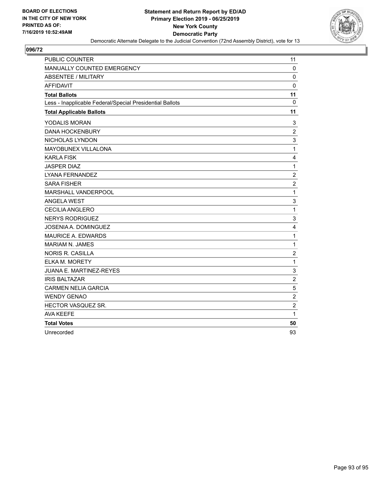

| <b>PUBLIC COUNTER</b>                                    | 11                      |
|----------------------------------------------------------|-------------------------|
| MANUALLY COUNTED EMERGENCY                               | $\mathbf 0$             |
| <b>ABSENTEE / MILITARY</b>                               | $\mathbf 0$             |
| <b>AFFIDAVIT</b>                                         | 0                       |
| <b>Total Ballots</b>                                     | 11                      |
| Less - Inapplicable Federal/Special Presidential Ballots | $\mathbf{0}$            |
| <b>Total Applicable Ballots</b>                          | 11                      |
| YODALIS MORAN                                            | 3                       |
| <b>DANA HOCKENBURY</b>                                   | $\overline{2}$          |
| NICHOLAS LYNDON                                          | 3                       |
| MAYOBUNEX VILLALONA                                      | $\mathbf{1}$            |
| KARLA FISK                                               | 4                       |
| <b>JASPER DIAZ</b>                                       | $\mathbf 1$             |
| <b>LYANA FERNANDEZ</b>                                   | $\overline{c}$          |
| <b>SARA FISHER</b>                                       | $\overline{c}$          |
| <b>MARSHALL VANDERPOOL</b>                               | $\mathbf{1}$            |
| <b>ANGELA WEST</b>                                       | 3                       |
| CECILIA ANGLERO                                          | $\mathbf{1}$            |
| <b>NERYS RODRIGUEZ</b>                                   | 3                       |
| <b>JOSENIA A. DOMINGUEZ</b>                              | $\overline{\mathbf{4}}$ |
| <b>MAURICE A. EDWARDS</b>                                | $\mathbf{1}$            |
| <b>MARIAM N. JAMES</b>                                   | 1                       |
| <b>NORIS R. CASILLA</b>                                  | $\overline{c}$          |
| ELKA M. MORETY                                           | $\mathbf{1}$            |
| JUANA E. MARTINEZ-REYES                                  | $\mathsf 3$             |
| <b>IRIS BALTAZAR</b>                                     | $\boldsymbol{2}$        |
| <b>CARMEN NELIA GARCIA</b>                               | 5                       |
| <b>WENDY GENAO</b>                                       | $\overline{c}$          |
| HECTOR VASQUEZ SR.                                       | $\overline{2}$          |
| <b>AVA KEEFE</b>                                         | 1                       |
| <b>Total Votes</b>                                       | 50                      |
| Unrecorded                                               | 93                      |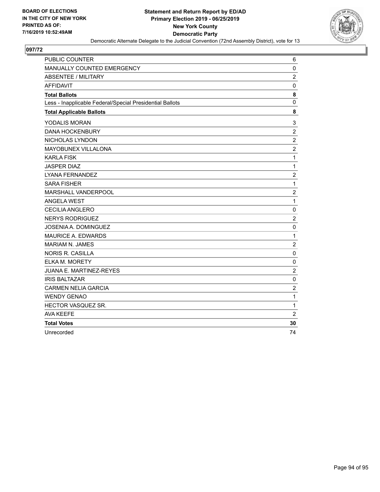

| <b>PUBLIC COUNTER</b>                                    | 6                         |
|----------------------------------------------------------|---------------------------|
| MANUALLY COUNTED EMERGENCY                               | $\mathbf 0$               |
| ABSENTEE / MILITARY                                      | $\overline{c}$            |
| <b>AFFIDAVIT</b>                                         | $\mathbf 0$               |
| <b>Total Ballots</b>                                     | 8                         |
| Less - Inapplicable Federal/Special Presidential Ballots | $\mathbf 0$               |
| <b>Total Applicable Ballots</b>                          | 8                         |
| YODALIS MORAN                                            | $\ensuremath{\mathsf{3}}$ |
| <b>DANA HOCKENBURY</b>                                   | $\overline{2}$            |
| NICHOLAS LYNDON                                          | $\sqrt{2}$                |
| MAYOBUNEX VILLALONA                                      | $\overline{2}$            |
| <b>KARLA FISK</b>                                        | $\mathbf{1}$              |
| <b>JASPER DIAZ</b>                                       | $\mathbf 1$               |
| LYANA FERNANDEZ                                          | $\overline{c}$            |
| <b>SARA FISHER</b>                                       | $\mathbf{1}$              |
| MARSHALL VANDERPOOL                                      | $\overline{c}$            |
| <b>ANGELA WEST</b>                                       | $\mathbf{1}$              |
| <b>CECILIA ANGLERO</b>                                   | $\pmb{0}$                 |
| <b>NERYS RODRIGUEZ</b>                                   | $\overline{2}$            |
| JOSENIA A. DOMINGUEZ                                     | $\mathbf 0$               |
| <b>MAURICE A. EDWARDS</b>                                | $\mathbf{1}$              |
| MARIAM N. JAMES                                          | $\overline{2}$            |
| <b>NORIS R. CASILLA</b>                                  | $\mathbf 0$               |
| <b>ELKA M. MORETY</b>                                    | $\mathbf 0$               |
| <b>JUANA E. MARTINEZ-REYES</b>                           | $\overline{c}$            |
| <b>IRIS BALTAZAR</b>                                     | $\pmb{0}$                 |
| <b>CARMEN NELIA GARCIA</b>                               | $\boldsymbol{2}$          |
| <b>WENDY GENAO</b>                                       | $\mathbf{1}$              |
| HECTOR VASQUEZ SR.                                       | 1                         |
| <b>AVA KEEFE</b>                                         | 2                         |
| <b>Total Votes</b>                                       | 30                        |
| Unrecorded                                               | 74                        |